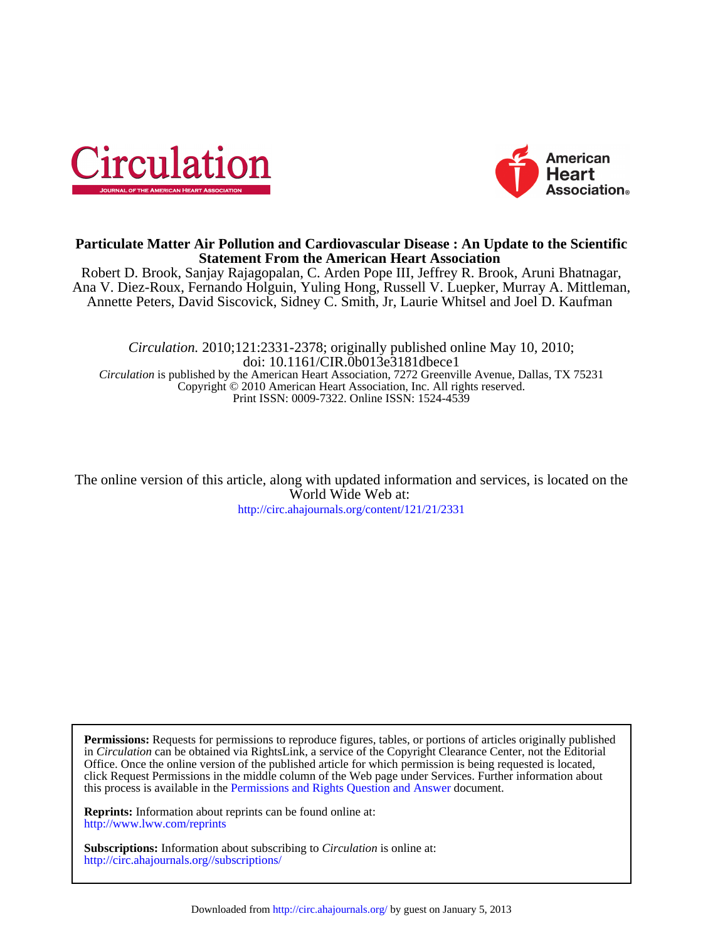



# **Statement From the American Heart Association Particulate Matter Air Pollution and Cardiovascular Disease : An Update to the Scientific**

Annette Peters, David Siscovick, Sidney C. Smith, Jr, Laurie Whitsel and Joel D. Kaufman Ana V. Diez-Roux, Fernando Holguin, Yuling Hong, Russell V. Luepker, Murray A. Mittleman, Robert D. Brook, Sanjay Rajagopalan, C. Arden Pope III, Jeffrey R. Brook, Aruni Bhatnagar,

Print ISSN: 0009-7322. Online ISSN: 1524-4539 Copyright © 2010 American Heart Association, Inc. All rights reserved. *Circulation* is published by the American Heart Association, 7272 Greenville Avenue, Dallas, TX 75231 doi: 10.1161/CIR.0b013e3181dbece1 *Circulation.* 2010;121:2331-2378; originally published online May 10, 2010;

<http://circ.ahajournals.org/content/121/21/2331> World Wide Web at: The online version of this article, along with updated information and services, is located on the

this process is available in the [Permissions and Rights Question and Answer d](http://www.ahajournals.org/site/rights/)ocument. click Request Permissions in the middle column of the Web page under Services. Further information about Office. Once the online version of the published article for which permission is being requested is located, in *Circulation* can be obtained via RightsLink, a service of the Copyright Clearance Center, not the Editorial **Permissions:** Requests for permissions to reproduce figures, tables, or portions of articles originally published

<http://www.lww.com/reprints> **Reprints:** Information about reprints can be found online at:

<http://circ.ahajournals.org//subscriptions/> **Subscriptions:** Information about subscribing to *Circulation* is online at: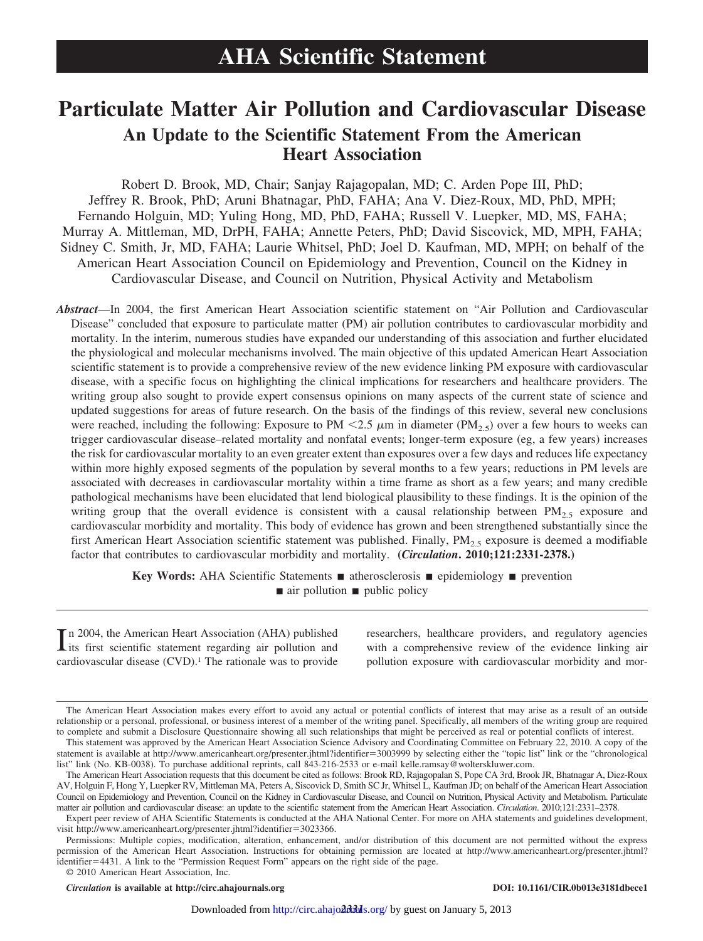# **Particulate Matter Air Pollution and Cardiovascular Disease An Update to the Scientific Statement From the American Heart Association**

Robert D. Brook, MD, Chair; Sanjay Rajagopalan, MD; C. Arden Pope III, PhD; Jeffrey R. Brook, PhD; Aruni Bhatnagar, PhD, FAHA; Ana V. Diez-Roux, MD, PhD, MPH; Fernando Holguin, MD; Yuling Hong, MD, PhD, FAHA; Russell V. Luepker, MD, MS, FAHA; Murray A. Mittleman, MD, DrPH, FAHA; Annette Peters, PhD; David Siscovick, MD, MPH, FAHA; Sidney C. Smith, Jr, MD, FAHA; Laurie Whitsel, PhD; Joel D. Kaufman, MD, MPH; on behalf of the American Heart Association Council on Epidemiology and Prevention, Council on the Kidney in Cardiovascular Disease, and Council on Nutrition, Physical Activity and Metabolism

*Abstract*—In 2004, the first American Heart Association scientific statement on "Air Pollution and Cardiovascular Disease" concluded that exposure to particulate matter (PM) air pollution contributes to cardiovascular morbidity and mortality. In the interim, numerous studies have expanded our understanding of this association and further elucidated the physiological and molecular mechanisms involved. The main objective of this updated American Heart Association scientific statement is to provide a comprehensive review of the new evidence linking PM exposure with cardiovascular disease, with a specific focus on highlighting the clinical implications for researchers and healthcare providers. The writing group also sought to provide expert consensus opinions on many aspects of the current state of science and updated suggestions for areas of future research. On the basis of the findings of this review, several new conclusions were reached, including the following: Exposure to PM  $\lt 2.5 \mu m$  in diameter (PM<sub>2.5</sub>) over a few hours to weeks can trigger cardiovascular disease–related mortality and nonfatal events; longer-term exposure (eg, a few years) increases the risk for cardiovascular mortality to an even greater extent than exposures over a few days and reduces life expectancy within more highly exposed segments of the population by several months to a few years; reductions in PM levels are associated with decreases in cardiovascular mortality within a time frame as short as a few years; and many credible pathological mechanisms have been elucidated that lend biological plausibility to these findings. It is the opinion of the writing group that the overall evidence is consistent with a causal relationship between  $PM_{2.5}$  exposure and cardiovascular morbidity and mortality. This body of evidence has grown and been strengthened substantially since the first American Heart Association scientific statement was published. Finally,  $PM<sub>2</sub>$  exposure is deemed a modifiable factor that contributes to cardiovascular morbidity and mortality. **(***Circulation***. 2010;121:2331-2378.)**

> **Key Words:** AHA Scientific Statements  $\blacksquare$  atherosclerosis  $\blacksquare$  epidemiology  $\blacksquare$  prevention  $\blacksquare$  air pollution  $\blacksquare$  public policy

In 2004, the American Heart Association (AHA) published<br>its first scientific statement regarding air pollution and its first scientific statement regarding air pollution and cardiovascular disease (CVD).1 The rationale was to provide researchers, healthcare providers, and regulatory agencies with a comprehensive review of the evidence linking air pollution exposure with cardiovascular morbidity and mor-

*Circulation* **is available at http://circ.ahajournals.org DOI: 10.1161/CIR.0b013e3181dbece1**

The American Heart Association makes every effort to avoid any actual or potential conflicts of interest that may arise as a result of an outside relationship or a personal, professional, or business interest of a member of the writing panel. Specifically, all members of the writing group are required to complete and submit a Disclosure Questionnaire showing all such relationships that might be perceived as real or potential conflicts of interest.

This statement was approved by the American Heart Association Science Advisory and Coordinating Committee on February 22, 2010. A copy of the statement is available at http://www.americanheart.org/presenter.jhtml?identifier=3003999 by selecting either the "topic list" link or the "chronological list" link (No. KB-0038). To purchase additional reprints, call 843-216-2533 or e-mail kelle.ramsay@wolterskluwer.com.

The American Heart Association requests that this document be cited as follows: Brook RD, Rajagopalan S, Pope CA 3rd, Brook JR, Bhatnagar A, Diez-Roux AV, Holguin F, Hong Y, Luepker RV, Mittleman MA, Peters A, Siscovick D, Smith SC Jr, Whitsel L, Kaufman JD; on behalf of the American Heart Association Council on Epidemiology and Prevention, Council on the Kidney in Cardiovascular Disease, and Council on Nutrition, Physical Activity and Metabolism. Particulate matter air pollution and cardiovascular disease: an update to the scientific statement from the American Heart Association. *Circulation*. 2010;121:2331–2378.

Expert peer review of AHA Scientific Statements is conducted at the AHA National Center. For more on AHA statements and guidelines development, visit http://www.americanheart.org/presenter.jhtml?identifier=3023366.

Permissions: Multiple copies, modification, alteration, enhancement, and/or distribution of this document are not permitted without the express permission of the American Heart Association. Instructions for obtaining permission are located at http://www.americanheart.org/presenter.jhtml? identifier-4431. A link to the "Permission Request Form" appears on the right side of the page.

<sup>© 2010</sup> American Heart Association, Inc.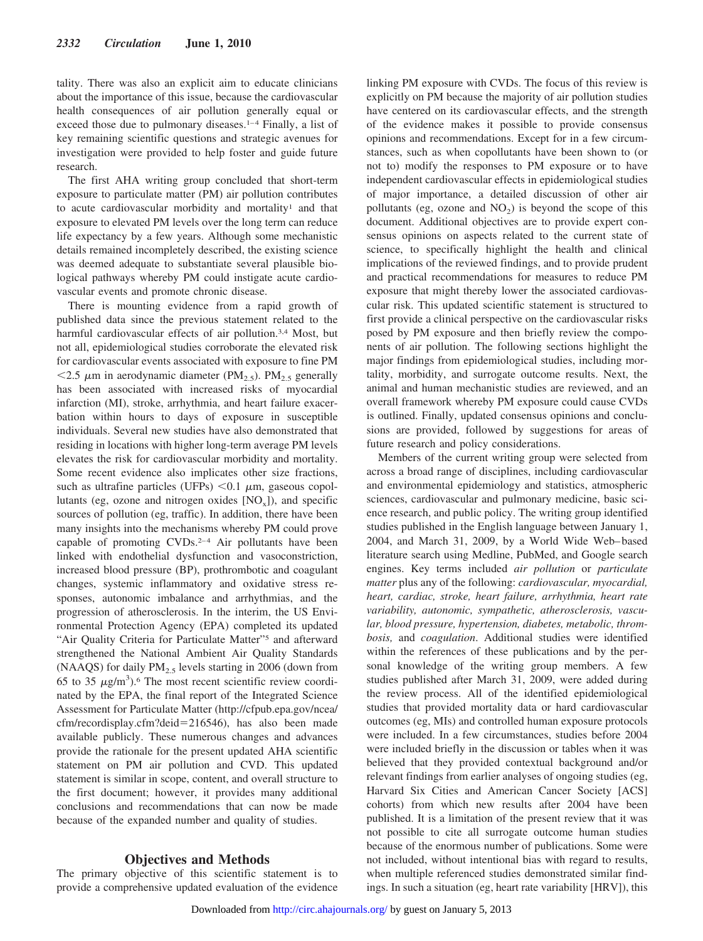tality. There was also an explicit aim to educate clinicians about the importance of this issue, because the cardiovascular health consequences of air pollution generally equal or exceed those due to pulmonary diseases.<sup>1-4</sup> Finally, a list of key remaining scientific questions and strategic avenues for investigation were provided to help foster and guide future research.

The first AHA writing group concluded that short-term exposure to particulate matter (PM) air pollution contributes to acute cardiovascular morbidity and mortality<sup>1</sup> and that exposure to elevated PM levels over the long term can reduce life expectancy by a few years. Although some mechanistic details remained incompletely described, the existing science was deemed adequate to substantiate several plausible biological pathways whereby PM could instigate acute cardiovascular events and promote chronic disease.

There is mounting evidence from a rapid growth of published data since the previous statement related to the harmful cardiovascular effects of air pollution.<sup>3,4</sup> Most, but not all, epidemiological studies corroborate the elevated risk for cardiovascular events associated with exposure to fine PM  $\langle 2.5 \mu m$  in aerodynamic diameter (PM<sub>2.5</sub>). PM<sub>2.5</sub> generally has been associated with increased risks of myocardial infarction (MI), stroke, arrhythmia, and heart failure exacerbation within hours to days of exposure in susceptible individuals. Several new studies have also demonstrated that residing in locations with higher long-term average PM levels elevates the risk for cardiovascular morbidity and mortality. Some recent evidence also implicates other size fractions, such as ultrafine particles (UFPs)  $< 0.1 \mu m$ , gaseous copollutants (eg, ozone and nitrogen oxides  $[NO_x]$ ), and specific sources of pollution (eg, traffic). In addition, there have been many insights into the mechanisms whereby PM could prove capable of promoting CVDs.2–4 Air pollutants have been linked with endothelial dysfunction and vasoconstriction, increased blood pressure (BP), prothrombotic and coagulant changes, systemic inflammatory and oxidative stress responses, autonomic imbalance and arrhythmias, and the progression of atherosclerosis. In the interim, the US Environmental Protection Agency (EPA) completed its updated "Air Quality Criteria for Particulate Matter"<sup>5</sup> and afterward strengthened the National Ambient Air Quality Standards (NAAQS) for daily  $PM<sub>2.5</sub>$  levels starting in 2006 (down from 65 to 35  $\mu$ g/m<sup>3</sup>).<sup>6</sup> The most recent scientific review coordinated by the EPA, the final report of the Integrated Science Assessment for Particulate Matter (http://cfpub.epa.gov/ncea/ cfm/recordisplay.cfm?deid-216546), has also been made available publicly. These numerous changes and advances provide the rationale for the present updated AHA scientific statement on PM air pollution and CVD. This updated statement is similar in scope, content, and overall structure to the first document; however, it provides many additional conclusions and recommendations that can now be made because of the expanded number and quality of studies.

#### **Objectives and Methods**

The primary objective of this scientific statement is to provide a comprehensive updated evaluation of the evidence linking PM exposure with CVDs. The focus of this review is explicitly on PM because the majority of air pollution studies have centered on its cardiovascular effects, and the strength of the evidence makes it possible to provide consensus opinions and recommendations. Except for in a few circumstances, such as when copollutants have been shown to (or not to) modify the responses to PM exposure or to have independent cardiovascular effects in epidemiological studies of major importance, a detailed discussion of other air pollutants (eg, ozone and  $NO<sub>2</sub>$ ) is beyond the scope of this document. Additional objectives are to provide expert consensus opinions on aspects related to the current state of science, to specifically highlight the health and clinical implications of the reviewed findings, and to provide prudent and practical recommendations for measures to reduce PM exposure that might thereby lower the associated cardiovascular risk. This updated scientific statement is structured to first provide a clinical perspective on the cardiovascular risks posed by PM exposure and then briefly review the components of air pollution. The following sections highlight the major findings from epidemiological studies, including mortality, morbidity, and surrogate outcome results. Next, the animal and human mechanistic studies are reviewed, and an overall framework whereby PM exposure could cause CVDs is outlined. Finally, updated consensus opinions and conclusions are provided, followed by suggestions for areas of future research and policy considerations.

Members of the current writing group were selected from across a broad range of disciplines, including cardiovascular and environmental epidemiology and statistics, atmospheric sciences, cardiovascular and pulmonary medicine, basic science research, and public policy. The writing group identified studies published in the English language between January 1, 2004, and March 31, 2009, by a World Wide Web–based literature search using Medline, PubMed, and Google search engines. Key terms included *air pollution* or *particulate matter* plus any of the following: *cardiovascular, myocardial, heart, cardiac, stroke, heart failure, arrhythmia, heart rate variability, autonomic, sympathetic, atherosclerosis, vascular, blood pressure, hypertension, diabetes, metabolic, thrombosis,* and *coagulation*. Additional studies were identified within the references of these publications and by the personal knowledge of the writing group members. A few studies published after March 31, 2009, were added during the review process. All of the identified epidemiological studies that provided mortality data or hard cardiovascular outcomes (eg, MIs) and controlled human exposure protocols were included. In a few circumstances, studies before 2004 were included briefly in the discussion or tables when it was believed that they provided contextual background and/or relevant findings from earlier analyses of ongoing studies (eg, Harvard Six Cities and American Cancer Society [ACS] cohorts) from which new results after 2004 have been published. It is a limitation of the present review that it was not possible to cite all surrogate outcome human studies because of the enormous number of publications. Some were not included, without intentional bias with regard to results, when multiple referenced studies demonstrated similar findings. In such a situation (eg, heart rate variability [HRV]), this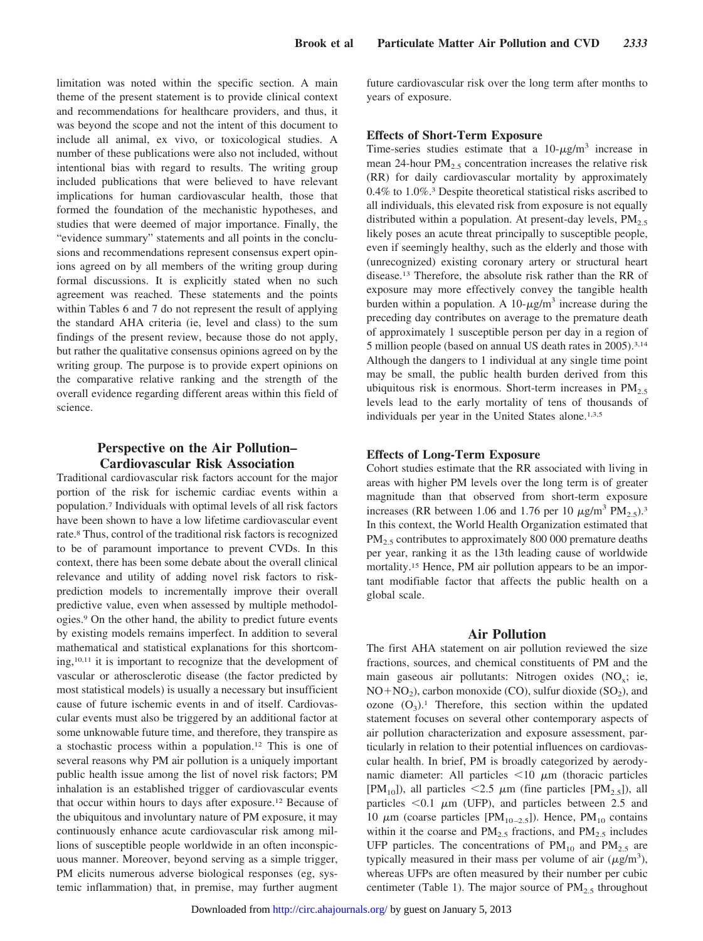limitation was noted within the specific section. A main theme of the present statement is to provide clinical context and recommendations for healthcare providers, and thus, it was beyond the scope and not the intent of this document to include all animal, ex vivo, or toxicological studies. A number of these publications were also not included, without intentional bias with regard to results. The writing group included publications that were believed to have relevant implications for human cardiovascular health, those that formed the foundation of the mechanistic hypotheses, and studies that were deemed of major importance. Finally, the "evidence summary" statements and all points in the conclusions and recommendations represent consensus expert opinions agreed on by all members of the writing group during formal discussions. It is explicitly stated when no such agreement was reached. These statements and the points within Tables 6 and 7 do not represent the result of applying the standard AHA criteria (ie, level and class) to the sum findings of the present review, because those do not apply, but rather the qualitative consensus opinions agreed on by the writing group. The purpose is to provide expert opinions on the comparative relative ranking and the strength of the overall evidence regarding different areas within this field of science.

# **Perspective on the Air Pollution– Cardiovascular Risk Association**

Traditional cardiovascular risk factors account for the major portion of the risk for ischemic cardiac events within a population.7 Individuals with optimal levels of all risk factors have been shown to have a low lifetime cardiovascular event rate.8 Thus, control of the traditional risk factors is recognized to be of paramount importance to prevent CVDs. In this context, there has been some debate about the overall clinical relevance and utility of adding novel risk factors to riskprediction models to incrementally improve their overall predictive value, even when assessed by multiple methodologies.9 On the other hand, the ability to predict future events by existing models remains imperfect. In addition to several mathematical and statistical explanations for this shortcoming,10,11 it is important to recognize that the development of vascular or atherosclerotic disease (the factor predicted by most statistical models) is usually a necessary but insufficient cause of future ischemic events in and of itself. Cardiovascular events must also be triggered by an additional factor at some unknowable future time, and therefore, they transpire as a stochastic process within a population.12 This is one of several reasons why PM air pollution is a uniquely important public health issue among the list of novel risk factors; PM inhalation is an established trigger of cardiovascular events that occur within hours to days after exposure.12 Because of the ubiquitous and involuntary nature of PM exposure, it may continuously enhance acute cardiovascular risk among millions of susceptible people worldwide in an often inconspicuous manner. Moreover, beyond serving as a simple trigger, PM elicits numerous adverse biological responses (eg, systemic inflammation) that, in premise, may further augment

future cardiovascular risk over the long term after months to years of exposure.

# **Effects of Short-Term Exposure**

Time-series studies estimate that a  $10-\mu g/m^3$  increase in mean 24-hour  $PM<sub>2.5</sub>$  concentration increases the relative risk (RR) for daily cardiovascular mortality by approximately 0.4% to 1.0%.3 Despite theoretical statistical risks ascribed to all individuals, this elevated risk from exposure is not equally distributed within a population. At present-day levels,  $PM_{2.5}$ likely poses an acute threat principally to susceptible people, even if seemingly healthy, such as the elderly and those with (unrecognized) existing coronary artery or structural heart disease.13 Therefore, the absolute risk rather than the RR of exposure may more effectively convey the tangible health burden within a population. A 10- $\mu$ g/m<sup>3</sup> increase during the preceding day contributes on average to the premature death of approximately 1 susceptible person per day in a region of 5 million people (based on annual US death rates in 2005).3,14 Although the dangers to 1 individual at any single time point may be small, the public health burden derived from this ubiquitous risk is enormous. Short-term increases in  $PM<sub>2.5</sub>$ levels lead to the early mortality of tens of thousands of individuals per year in the United States alone.<sup>1,3,5</sup>

# **Effects of Long-Term Exposure**

Cohort studies estimate that the RR associated with living in areas with higher PM levels over the long term is of greater magnitude than that observed from short-term exposure increases (RR between 1.06 and 1.76 per 10  $\mu$ g/m<sup>3</sup> PM<sub>2.5</sub>).<sup>3</sup> In this context, the World Health Organization estimated that  $PM<sub>2.5</sub>$  contributes to approximately 800 000 premature deaths per year, ranking it as the 13th leading cause of worldwide mortality.15 Hence, PM air pollution appears to be an important modifiable factor that affects the public health on a global scale.

# **Air Pollution**

The first AHA statement on air pollution reviewed the size fractions, sources, and chemical constituents of PM and the main gaseous air pollutants: Nitrogen oxides  $(NO_x; ie,$  $NO + NO<sub>2</sub>$ ), carbon monoxide (CO), sulfur dioxide (SO<sub>2</sub>), and ozone  $(O_3)$ .<sup>1</sup> Therefore, this section within the updated statement focuses on several other contemporary aspects of air pollution characterization and exposure assessment, particularly in relation to their potential influences on cardiovascular health. In brief, PM is broadly categorized by aerodynamic diameter: All particles  $\leq 10 \mu$ m (thoracic particles  $[PM_{10}]$ ), all particles <2.5  $\mu$ m (fine particles  $[PM_{2.5}]$ ), all particles  $< 0.1 \mu m$  (UFP), and particles between 2.5 and 10  $\mu$ m (coarse particles [PM<sub>10–2.5</sub>]). Hence, PM<sub>10</sub> contains within it the coarse and  $PM_{2.5}$  fractions, and  $PM_{2.5}$  includes UFP particles. The concentrations of  $PM_{10}$  and  $PM_{2.5}$  are typically measured in their mass per volume of air  $(\mu g/m^3)$ , whereas UFPs are often measured by their number per cubic centimeter (Table 1). The major source of  $PM_{2.5}$  throughout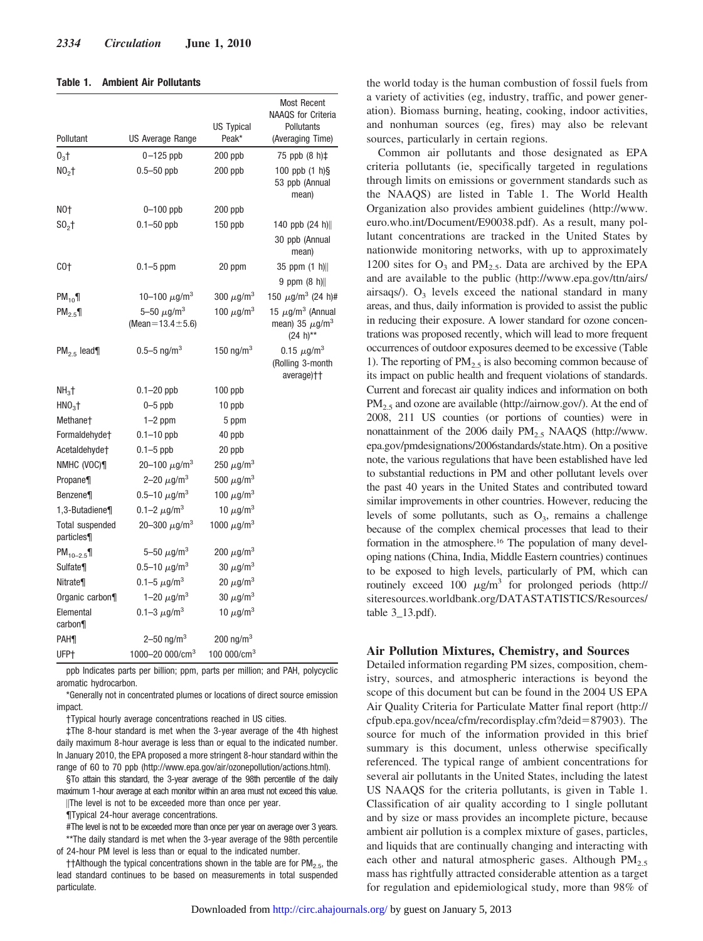#### **Table 1. Ambient Air Pollutants**

| Pollutant                    | US Average Range                                     | US Typical<br>Peak*         | <b>Most Recent</b><br><b>NAAQS</b> for Criteria<br>Pollutants<br>(Averaging Time)     |
|------------------------------|------------------------------------------------------|-----------------------------|---------------------------------------------------------------------------------------|
| $03$ †                       | $0-125$ ppb                                          | $200$ ppb                   | 75 ppb (8 h)‡                                                                         |
| $NO2$ †                      | $0.5 - 50$ ppb                                       | $200$ ppb                   | 100 ppb $(1 h)\$<br>53 ppb (Annual<br>mean)                                           |
| NO†                          | $0 - 100$ ppb                                        | 200 ppb                     |                                                                                       |
| $S_0$                        | $0.1 - 50$ ppb                                       | $150$ ppb                   | 140 ppb (24 h)                                                                        |
|                              |                                                      |                             | 30 ppb (Annual<br>mean)                                                               |
| CO+                          | $0.1 - 5$ ppm                                        | 20 ppm                      | $35$ ppm $(1 h)$                                                                      |
|                              |                                                      |                             | 9 ppm $(8 h)$                                                                         |
| $PM_{10}$                    | 10–100 $\mu$ g/m <sup>3</sup>                        | 300 $\mu$ g/m <sup>3</sup>  | 150 $\mu$ g/m <sup>3</sup> (24 h)#                                                    |
| PM <sub>2.5</sub>            | 5-50 $\mu$ g/m <sup>3</sup><br>(Mean=13.4 $\pm$ 5.6) | 100 $\mu$ g/m <sup>3</sup>  | 15 $\mu$ g/m <sup>3</sup> (Annual<br>mean) 35 $\mu$ g/m <sup>3</sup><br>$(24 h^{**})$ |
| $PM_{2.5}$ lead¶             | $0.5 - 5$ ng/m <sup>3</sup>                          | 150 ng/m $3$                | 0.15 $\mu$ g/m <sup>3</sup><br>(Rolling 3-month<br>average)††                         |
| $NH3$ †                      | $0.1 - 20$ ppb                                       | $100$ ppb                   |                                                                                       |
| $HNO3$ †                     | $0 - 5$ ppb                                          | 10 ppb                      |                                                                                       |
| Methane†                     | $1-2$ ppm                                            | 5 ppm                       |                                                                                       |
| Formaldehyde <sup>+</sup>    | $0.1 - 10$ ppb                                       | 40 ppb                      |                                                                                       |
| Acetaldehyde†                | $0.1 - 5$ ppb                                        | 20 ppb                      |                                                                                       |
| NMHC (VOC)¶                  | 20-100 $\mu$ g/m <sup>3</sup>                        | 250 $\mu$ g/m <sup>3</sup>  |                                                                                       |
| Propane¶                     | 2-20 $\mu$ g/m <sup>3</sup>                          | 500 $\mu$ g/m <sup>3</sup>  |                                                                                       |
| <b>Benzene</b>               | 0.5–10 $\mu$ g/m $^3$                                | 100 $\mu$ g/m <sup>3</sup>  |                                                                                       |
| 1,3-Butadiene¶               | 0.1-2 $\mu$ g/m <sup>3</sup>                         | 10 $\mu$ g/m <sup>3</sup>   |                                                                                       |
| Total suspended<br>particles | 20-300 $\mu$ g/m <sup>3</sup>                        | 1000 $\mu$ g/m <sup>3</sup> |                                                                                       |
| $PM_{10-2.5}$                | $5 - 50 \mu g/m^3$                                   | 200 $\mu$ g/m <sup>3</sup>  |                                                                                       |
| Sulfate¶                     | 0.5-10 $\mu$ g/m <sup>3</sup>                        | 30 $\mu$ g/m <sup>3</sup>   |                                                                                       |
| <b>Nitrate</b>               | 0.1-5 $\mu$ g/m <sup>3</sup>                         | 20 $\mu$ g/m <sup>3</sup>   |                                                                                       |
| Organic carbon¶              | 1-20 $\mu$ g/m <sup>3</sup>                          | 30 $\mu$ g/m <sup>3</sup>   |                                                                                       |
| Elemental<br>carbon          | 0.1-3 $\mu$ g/m <sup>3</sup>                         | 10 $\mu$ g/m <sup>3</sup>   |                                                                                       |
| <b>PAH</b>                   | 2–50 ng/m <sup>3</sup>                               | 200 ng/m <sup>3</sup>       |                                                                                       |
| UFP+                         | 1000-20 000/cm <sup>3</sup>                          | 100 000/ $cm3$              |                                                                                       |

ppb Indicates parts per billion; ppm, parts per million; and PAH, polycyclic aromatic hydrocarbon.

\*Generally not in concentrated plumes or locations of direct source emission impact.

†Typical hourly average concentrations reached in US cities.

‡The 8-hour standard is met when the 3-year average of the 4th highest daily maximum 8-hour average is less than or equal to the indicated number. In January 2010, the EPA proposed a more stringent 8-hour standard within the range of 60 to 70 ppb (http://www.epa.gov/air/ozonepollution/actions.html).

§To attain this standard, the 3-year average of the 98th percentile of the daily maximum 1-hour average at each monitor within an area must not exceed this value.

-The level is not to be exceeded more than once per year.

¶Typical 24-hour average concentrations.

#The level is not to be exceeded more than once per year on average over 3 years. \*\*The daily standard is met when the 3-year average of the 98th percentile of 24-hour PM level is less than or equal to the indicated number.

††Although the typical concentrations shown in the table are for  $PM_{2.5}$ , the lead standard continues to be based on measurements in total suspended particulate.

the world today is the human combustion of fossil fuels from a variety of activities (eg, industry, traffic, and power generation). Biomass burning, heating, cooking, indoor activities, and nonhuman sources (eg, fires) may also be relevant sources, particularly in certain regions.

Common air pollutants and those designated as EPA criteria pollutants (ie, specifically targeted in regulations through limits on emissions or government standards such as the NAAQS) are listed in Table 1. The World Health Organization also provides ambient guidelines (http://www. euro.who.int/Document/E90038.pdf). As a result, many pollutant concentrations are tracked in the United States by nationwide monitoring networks, with up to approximately 1200 sites for  $O_3$  and  $PM_{2.5}$ . Data are archived by the EPA and are available to the public (http://www.epa.gov/ttn/airs/ airsaqs/).  $O_3$  levels exceed the national standard in many areas, and thus, daily information is provided to assist the public in reducing their exposure. A lower standard for ozone concentrations was proposed recently, which will lead to more frequent occurrences of outdoor exposures deemed to be excessive (Table 1). The reporting of  $PM_{2.5}$  is also becoming common because of its impact on public health and frequent violations of standards. Current and forecast air quality indices and information on both  $PM_{2.5}$  and ozone are available (http://airnow.gov/). At the end of 2008, 211 US counties (or portions of counties) were in nonattainment of the 2006 daily  $PM_{2.5}$  NAAQS (http://www. epa.gov/pmdesignations/2006standards/state.htm). On a positive note, the various regulations that have been established have led to substantial reductions in PM and other pollutant levels over the past 40 years in the United States and contributed toward similar improvements in other countries. However, reducing the levels of some pollutants, such as  $O_3$ , remains a challenge because of the complex chemical processes that lead to their formation in the atmosphere.16 The population of many developing nations (China, India, Middle Eastern countries) continues to be exposed to high levels, particularly of PM, which can routinely exceed 100  $\mu$ g/m<sup>3</sup> for prolonged periods (http:// siteresources.worldbank.org/DATASTATISTICS/Resources/ table 3\_13.pdf).

# **Air Pollution Mixtures, Chemistry, and Sources**

Detailed information regarding PM sizes, composition, chemistry, sources, and atmospheric interactions is beyond the scope of this document but can be found in the 2004 US EPA Air Quality Criteria for Particulate Matter final report (http:// cfpub.epa.gov/ncea/cfm/recordisplay.cfm?deid-87903). The source for much of the information provided in this brief summary is this document, unless otherwise specifically referenced. The typical range of ambient concentrations for several air pollutants in the United States, including the latest US NAAQS for the criteria pollutants, is given in Table 1. Classification of air quality according to 1 single pollutant and by size or mass provides an incomplete picture, because ambient air pollution is a complex mixture of gases, particles, and liquids that are continually changing and interacting with each other and natural atmospheric gases. Although  $PM_{2.5}$ mass has rightfully attracted considerable attention as a target for regulation and epidemiological study, more than 98% of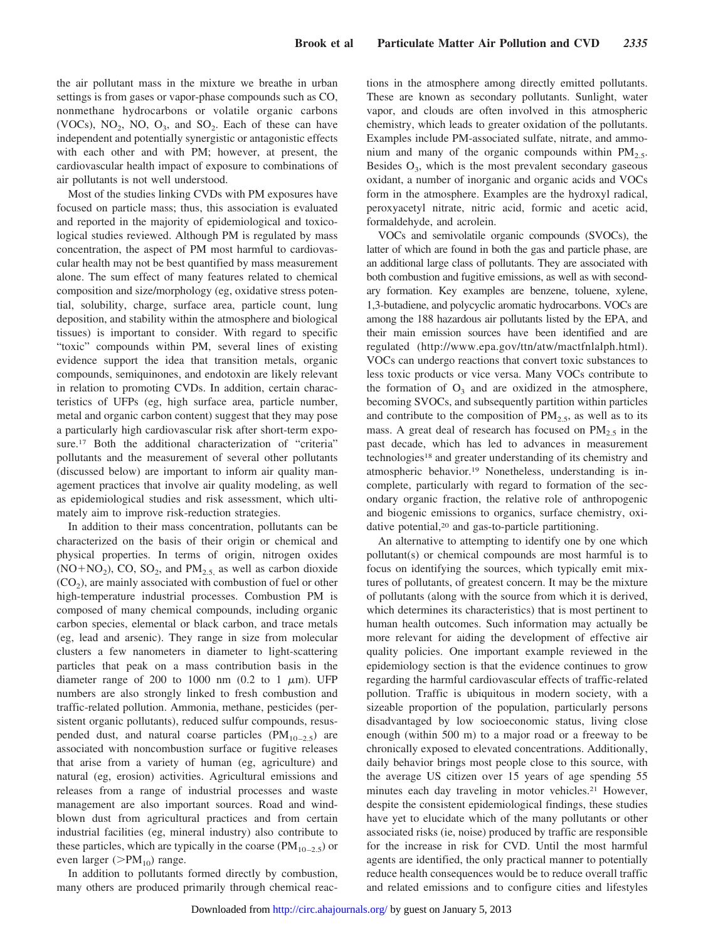the air pollutant mass in the mixture we breathe in urban settings is from gases or vapor-phase compounds such as CO, nonmethane hydrocarbons or volatile organic carbons (VOCs),  $NO_2$ ,  $NO_3$ ,  $O_3$ , and  $SO_2$ . Each of these can have independent and potentially synergistic or antagonistic effects with each other and with PM; however, at present, the cardiovascular health impact of exposure to combinations of air pollutants is not well understood.

Most of the studies linking CVDs with PM exposures have focused on particle mass; thus, this association is evaluated and reported in the majority of epidemiological and toxicological studies reviewed. Although PM is regulated by mass concentration, the aspect of PM most harmful to cardiovascular health may not be best quantified by mass measurement alone. The sum effect of many features related to chemical composition and size/morphology (eg, oxidative stress potential, solubility, charge, surface area, particle count, lung deposition, and stability within the atmosphere and biological tissues) is important to consider. With regard to specific "toxic" compounds within PM, several lines of existing evidence support the idea that transition metals, organic compounds, semiquinones, and endotoxin are likely relevant in relation to promoting CVDs. In addition, certain characteristics of UFPs (eg, high surface area, particle number, metal and organic carbon content) suggest that they may pose a particularly high cardiovascular risk after short-term exposure.<sup>17</sup> Both the additional characterization of "criteria" pollutants and the measurement of several other pollutants (discussed below) are important to inform air quality management practices that involve air quality modeling, as well as epidemiological studies and risk assessment, which ultimately aim to improve risk-reduction strategies.

In addition to their mass concentration, pollutants can be characterized on the basis of their origin or chemical and physical properties. In terms of origin, nitrogen oxides  $(NO + NO<sub>2</sub>), CO, SO<sub>2</sub>, and  $PM<sub>2.5</sub>$  as well as carbon dioxide$  $(CO<sub>2</sub>)$ , are mainly associated with combustion of fuel or other high-temperature industrial processes. Combustion PM is composed of many chemical compounds, including organic carbon species, elemental or black carbon, and trace metals (eg, lead and arsenic). They range in size from molecular clusters a few nanometers in diameter to light-scattering particles that peak on a mass contribution basis in the diameter range of 200 to 1000 nm (0.2 to 1  $\mu$ m). UFP numbers are also strongly linked to fresh combustion and traffic-related pollution. Ammonia, methane, pesticides (persistent organic pollutants), reduced sulfur compounds, resuspended dust, and natural coarse particles  $(PM_{10-2.5})$  are associated with noncombustion surface or fugitive releases that arise from a variety of human (eg, agriculture) and natural (eg, erosion) activities. Agricultural emissions and releases from a range of industrial processes and waste management are also important sources. Road and windblown dust from agricultural practices and from certain industrial facilities (eg, mineral industry) also contribute to these particles, which are typically in the coarse ( $PM_{10-2.5}$ ) or even larger ( $>PM_{10}$ ) range.

In addition to pollutants formed directly by combustion, many others are produced primarily through chemical reactions in the atmosphere among directly emitted pollutants. These are known as secondary pollutants. Sunlight, water vapor, and clouds are often involved in this atmospheric chemistry, which leads to greater oxidation of the pollutants. Examples include PM-associated sulfate, nitrate, and ammonium and many of the organic compounds within  $PM_{2.5}$ . Besides  $O_3$ , which is the most prevalent secondary gaseous oxidant, a number of inorganic and organic acids and VOCs form in the atmosphere. Examples are the hydroxyl radical, peroxyacetyl nitrate, nitric acid, formic and acetic acid, formaldehyde, and acrolein.

VOCs and semivolatile organic compounds (SVOCs), the latter of which are found in both the gas and particle phase, are an additional large class of pollutants. They are associated with both combustion and fugitive emissions, as well as with secondary formation. Key examples are benzene, toluene, xylene, 1,3-butadiene, and polycyclic aromatic hydrocarbons. VOCs are among the 188 hazardous air pollutants listed by the EPA, and their main emission sources have been identified and are regulated (http://www.epa.gov/ttn/atw/mactfnlalph.html). VOCs can undergo reactions that convert toxic substances to less toxic products or vice versa. Many VOCs contribute to the formation of  $O_3$  and are oxidized in the atmosphere, becoming SVOCs, and subsequently partition within particles and contribute to the composition of  $PM_{2.5}$ , as well as to its mass. A great deal of research has focused on  $PM_{2.5}$  in the past decade, which has led to advances in measurement technologies<sup>18</sup> and greater understanding of its chemistry and atmospheric behavior.19 Nonetheless, understanding is incomplete, particularly with regard to formation of the secondary organic fraction, the relative role of anthropogenic and biogenic emissions to organics, surface chemistry, oxidative potential,20 and gas-to-particle partitioning.

An alternative to attempting to identify one by one which pollutant(s) or chemical compounds are most harmful is to focus on identifying the sources, which typically emit mixtures of pollutants, of greatest concern. It may be the mixture of pollutants (along with the source from which it is derived, which determines its characteristics) that is most pertinent to human health outcomes. Such information may actually be more relevant for aiding the development of effective air quality policies. One important example reviewed in the epidemiology section is that the evidence continues to grow regarding the harmful cardiovascular effects of traffic-related pollution. Traffic is ubiquitous in modern society, with a sizeable proportion of the population, particularly persons disadvantaged by low socioeconomic status, living close enough (within 500 m) to a major road or a freeway to be chronically exposed to elevated concentrations. Additionally, daily behavior brings most people close to this source, with the average US citizen over 15 years of age spending 55 minutes each day traveling in motor vehicles.21 However, despite the consistent epidemiological findings, these studies have yet to elucidate which of the many pollutants or other associated risks (ie, noise) produced by traffic are responsible for the increase in risk for CVD. Until the most harmful agents are identified, the only practical manner to potentially reduce health consequences would be to reduce overall traffic and related emissions and to configure cities and lifestyles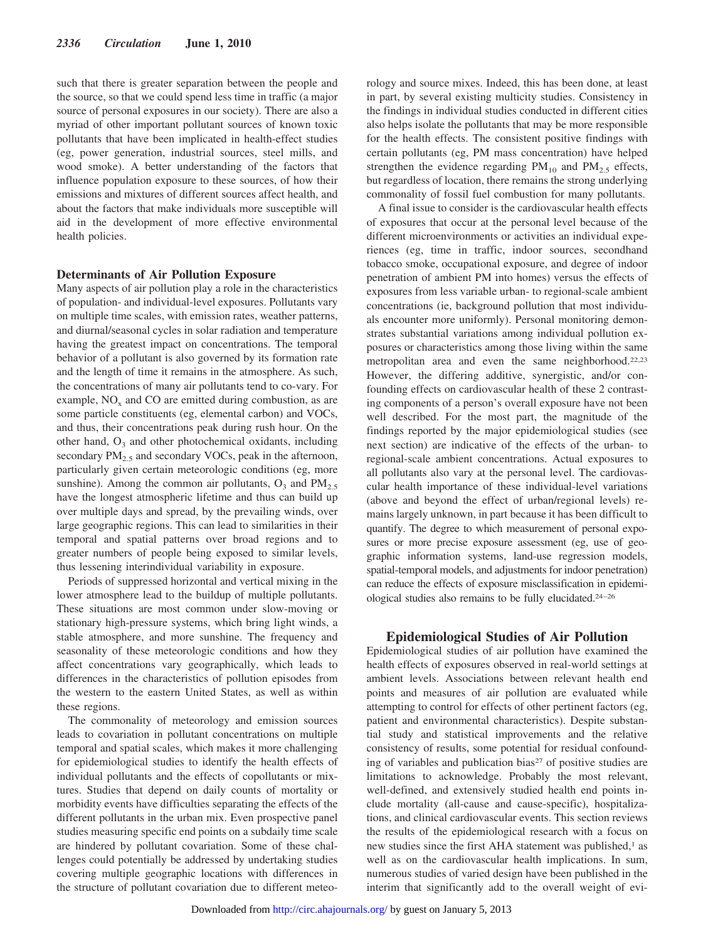such that there is greater separation between the people and the source, so that we could spend less time in traffic (a major source of personal exposures in our society). There are also a myriad of other important pollutant sources of known toxic pollutants that have been implicated in health-effect studies (eg, power generation, industrial sources, steel mills, and wood smoke). A better understanding of the factors that influence population exposure to these sources, of how their emissions and mixtures of different sources affect health, and about the factors that make individuals more susceptible will aid in the development of more effective environmental health policies.

#### **Determinants of Air Pollution Exposure**

Many aspects of air pollution play a role in the characteristics of population- and individual-level exposures. Pollutants vary on multiple time scales, with emission rates, weather patterns, and diurnal/seasonal cycles in solar radiation and temperature having the greatest impact on concentrations. The temporal behavior of a pollutant is also governed by its formation rate and the length of time it remains in the atmosphere. As such, the concentrations of many air pollutants tend to co-vary. For example,  $NO<sub>x</sub>$  and  $CO$  are emitted during combustion, as are some particle constituents (eg, elemental carbon) and VOCs, and thus, their concentrations peak during rush hour. On the other hand,  $O_3$  and other photochemical oxidants, including secondary  $PM_{2.5}$  and secondary VOCs, peak in the afternoon, particularly given certain meteorologic conditions (eg, more sunshine). Among the common air pollutants,  $O_3$  and  $PM_{2.5}$ have the longest atmospheric lifetime and thus can build up over multiple days and spread, by the prevailing winds, over large geographic regions. This can lead to similarities in their temporal and spatial patterns over broad regions and to greater numbers of people being exposed to similar levels, thus lessening interindividual variability in exposure.

Periods of suppressed horizontal and vertical mixing in the lower atmosphere lead to the buildup of multiple pollutants. These situations are most common under slow-moving or stationary high-pressure systems, which bring light winds, a stable atmosphere, and more sunshine. The frequency and seasonality of these meteorologic conditions and how they affect concentrations vary geographically, which leads to differences in the characteristics of pollution episodes from the western to the eastern United States, as well as within these regions.

The commonality of meteorology and emission sources leads to covariation in pollutant concentrations on multiple temporal and spatial scales, which makes it more challenging for epidemiological studies to identify the health effects of individual pollutants and the effects of copollutants or mixtures. Studies that depend on daily counts of mortality or morbidity events have difficulties separating the effects of the different pollutants in the urban mix. Even prospective panel studies measuring specific end points on a subdaily time scale are hindered by pollutant covariation. Some of these challenges could potentially be addressed by undertaking studies covering multiple geographic locations with differences in the structure of pollutant covariation due to different meteorology and source mixes. Indeed, this has been done, at least in part, by several existing multicity studies. Consistency in the findings in individual studies conducted in different cities also helps isolate the pollutants that may be more responsible for the health effects. The consistent positive findings with certain pollutants (eg, PM mass concentration) have helped strengthen the evidence regarding  $PM_{10}$  and  $PM_{2.5}$  effects, but regardless of location, there remains the strong underlying commonality of fossil fuel combustion for many pollutants.

A final issue to consider is the cardiovascular health effects of exposures that occur at the personal level because of the different microenvironments or activities an individual experiences (eg, time in traffic, indoor sources, secondhand tobacco smoke, occupational exposure, and degree of indoor penetration of ambient PM into homes) versus the effects of exposures from less variable urban- to regional-scale ambient concentrations (ie, background pollution that most individuals encounter more uniformly). Personal monitoring demonstrates substantial variations among individual pollution exposures or characteristics among those living within the same metropolitan area and even the same neighborhood.22,23 However, the differing additive, synergistic, and/or confounding effects on cardiovascular health of these 2 contrasting components of a person's overall exposure have not been well described. For the most part, the magnitude of the findings reported by the major epidemiological studies (see next section) are indicative of the effects of the urban- to regional-scale ambient concentrations. Actual exposures to all pollutants also vary at the personal level. The cardiovascular health importance of these individual-level variations (above and beyond the effect of urban/regional levels) remains largely unknown, in part because it has been difficult to quantify. The degree to which measurement of personal exposures or more precise exposure assessment (eg, use of geographic information systems, land-use regression models, spatial-temporal models, and adjustments for indoor penetration) can reduce the effects of exposure misclassification in epidemiological studies also remains to be fully elucidated.24–26

# **Epidemiological Studies of Air Pollution**

Epidemiological studies of air pollution have examined the health effects of exposures observed in real-world settings at ambient levels. Associations between relevant health end points and measures of air pollution are evaluated while attempting to control for effects of other pertinent factors (eg, patient and environmental characteristics). Despite substantial study and statistical improvements and the relative consistency of results, some potential for residual confounding of variables and publication bias<sup>27</sup> of positive studies are limitations to acknowledge. Probably the most relevant, well-defined, and extensively studied health end points include mortality (all-cause and cause-specific), hospitalizations, and clinical cardiovascular events. This section reviews the results of the epidemiological research with a focus on new studies since the first AHA statement was published,<sup>1</sup> as well as on the cardiovascular health implications. In sum, numerous studies of varied design have been published in the interim that significantly add to the overall weight of evi-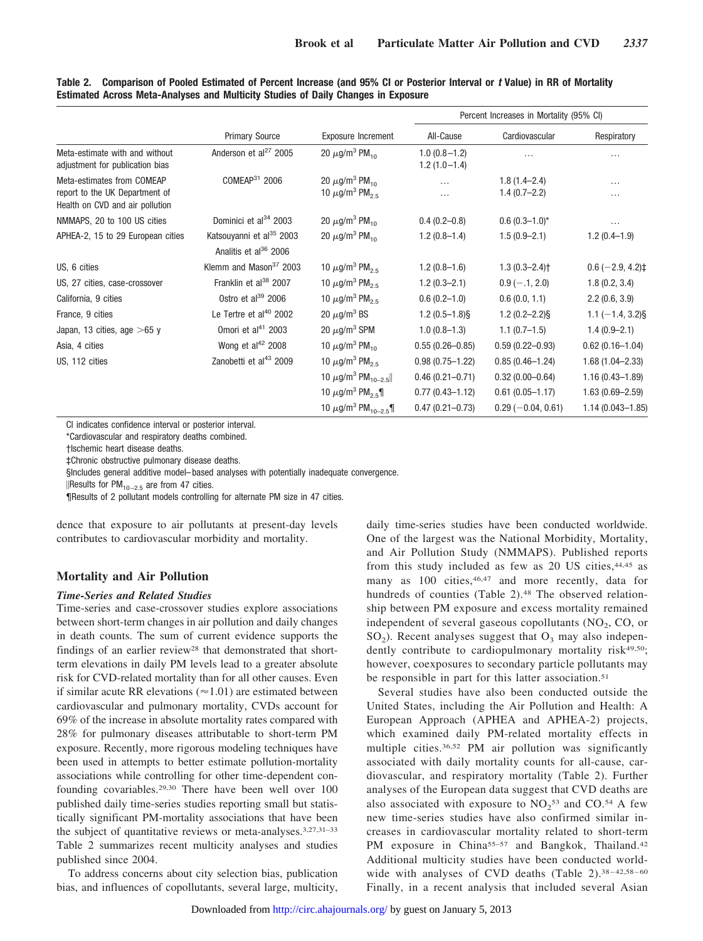|                                                                                                 |                                                                           |                                                                                           |                                    | Percent Increases in Mortality (95% CI) |                              |
|-------------------------------------------------------------------------------------------------|---------------------------------------------------------------------------|-------------------------------------------------------------------------------------------|------------------------------------|-----------------------------------------|------------------------------|
|                                                                                                 | <b>Primary Source</b>                                                     | <b>Exposure Increment</b>                                                                 | All-Cause                          | Cardiovascular                          | Respiratory                  |
| Meta-estimate with and without<br>adjustment for publication bias                               | Anderson et $al^{27}$ 2005                                                | 20 $\mu$ g/m <sup>3</sup> PM <sub>10</sub>                                                | $1.0(0.8 - 1.2)$<br>$1.2(1.0-1.4)$ | $\cdots$                                | .                            |
| Meta-estimates from COMEAP<br>report to the UK Department of<br>Health on CVD and air pollution | COMEAP <sup>31</sup> 2006                                                 | 20 $\mu$ g/m <sup>3</sup> PM <sub>10</sub><br>10 $\mu$ g/m <sup>3</sup> PM <sub>2.5</sub> | $\cdots$<br>$\cdots$               | $1.8(1.4 - 2.4)$<br>$1.4(0.7-2.2)$      | $\cdots$<br>.                |
| NMMAPS, 20 to 100 US cities                                                                     | Dominici et al <sup>34</sup> 2003                                         | 20 $\mu$ g/m <sup>3</sup> PM <sub>10</sub>                                                | $0.4(0.2-0.8)$                     | $0.6(0.3-1.0)$ *                        | $\cdots$                     |
| APHEA-2, 15 to 29 European cities                                                               | Katsouyanni et al <sup>35</sup> 2003<br>Analitis et al <sup>36</sup> 2006 | 20 $\mu$ g/m <sup>3</sup> PM <sub>10</sub>                                                | $1.2(0.8-1.4)$                     | $1.5(0.9-2.1)$                          | $1.2(0.4-1.9)$               |
| US, 6 cities                                                                                    | Klemm and Mason <sup>37</sup> 2003                                        | 10 $\mu$ g/m <sup>3</sup> PM <sub>2.5</sub>                                               | $1.2(0.8-1.6)$                     | $1.3(0.3 - 2.4)$                        | $0.6$ (-2.9, 4.2) $\ddagger$ |
| US, 27 cities, case-crossover                                                                   | Franklin et al <sup>38</sup> 2007                                         | 10 $\mu$ g/m <sup>3</sup> PM <sub>2.5</sub>                                               | $1.2(0.3 - 2.1)$                   | $0.9$ (-.1, 2.0)                        | 1.8(0.2, 3.4)                |
| California, 9 cities                                                                            | Ostro et al <sup>39</sup> 2006                                            | 10 $\mu$ g/m <sup>3</sup> PM <sub>2.5</sub>                                               | $0.6(0.2-1.0)$                     | 0.6(0.0, 1.1)                           | 2.2(0.6, 3.9)                |
| France, 9 cities                                                                                | Le Tertre et al <sup>40</sup> 2002                                        | 20 $\mu$ g/m <sup>3</sup> BS                                                              | $1.2(0.5-1.8)$ §                   | $1.2(0.2 - 2.2)$ §                      | $1.1 (-1.4, 3.2)$ §          |
| Japan, 13 cities, age $>65$ y                                                                   | Omori et al $41$ 2003                                                     | 20 $\mu$ g/m <sup>3</sup> SPM                                                             | $1.0(0.8-1.3)$                     | $1.1(0.7-1.5)$                          | $1.4(0.9-2.1)$               |
| Asia, 4 cities                                                                                  | Wong et al <sup>42</sup> 2008                                             | 10 $\mu$ g/m <sup>3</sup> PM <sub>10</sub>                                                | $0.55(0.26 - 0.85)$                | $0.59(0.22 - 0.93)$                     | $0.62(0.16 - 1.04)$          |
| US, 112 cities                                                                                  | Zanobetti et al <sup>43</sup> 2009                                        | 10 $\mu$ g/m <sup>3</sup> PM <sub>25</sub>                                                | $0.98(0.75 - 1.22)$                | $0.85(0.46 - 1.24)$                     | $1.68(1.04 - 2.33)$          |
|                                                                                                 |                                                                           | 10 $\mu$ g/m <sup>3</sup> PM <sub>10-2.5</sub>                                            | $0.46(0.21 - 0.71)$                | $0.32(0.00 - 0.64)$                     | $1.16(0.43 - 1.89)$          |
|                                                                                                 |                                                                           | 10 $\mu$ g/m <sup>3</sup> PM <sub>2.5</sub> ¶                                             | $0.77(0.43 - 1.12)$                | $0.61(0.05 - 1.17)$                     | $1.63(0.69 - 2.59)$          |
|                                                                                                 |                                                                           | 10 $\mu$ g/m <sup>3</sup> PM <sub>10-2.5</sub> ¶                                          | $0.47(0.21 - 0.73)$                | $0.29(-0.04, 0.61)$                     | $1.14(0.043 - 1.85)$         |

**Table 2. Comparison of Pooled Estimated of Percent Increase (and 95% CI or Posterior Interval or** *t* **Value) in RR of Mortality Estimated Across Meta-Analyses and Multicity Studies of Daily Changes in Exposure**

CI indicates confidence interval or posterior interval.

\*Cardiovascular and respiratory deaths combined.

†Ischemic heart disease deaths.

‡Chronic obstructive pulmonary disease deaths.

§Includes general additive model– based analyses with potentially inadequate convergence.

||Results for PM<sub>10-2.5</sub> are from 47 cities.

¶Results of 2 pollutant models controlling for alternate PM size in 47 cities.

dence that exposure to air pollutants at present-day levels contributes to cardiovascular morbidity and mortality.

# **Mortality and Air Pollution**

## *Time-Series and Related Studies*

Time-series and case-crossover studies explore associations between short-term changes in air pollution and daily changes in death counts. The sum of current evidence supports the findings of an earlier review<sup>28</sup> that demonstrated that shortterm elevations in daily PM levels lead to a greater absolute risk for CVD-related mortality than for all other causes. Even if similar acute RR elevations ( $\approx$  1.01) are estimated between cardiovascular and pulmonary mortality, CVDs account for 69% of the increase in absolute mortality rates compared with 28% for pulmonary diseases attributable to short-term PM exposure. Recently, more rigorous modeling techniques have been used in attempts to better estimate pollution-mortality associations while controlling for other time-dependent confounding covariables.29,30 There have been well over 100 published daily time-series studies reporting small but statistically significant PM-mortality associations that have been the subject of quantitative reviews or meta-analyses.3,27,31–33 Table 2 summarizes recent multicity analyses and studies published since 2004.

To address concerns about city selection bias, publication bias, and influences of copollutants, several large, multicity,

daily time-series studies have been conducted worldwide. One of the largest was the National Morbidity, Mortality, and Air Pollution Study (NMMAPS). Published reports from this study included as few as 20 US cities,44,45 as many as 100 cities, 46,47 and more recently, data for hundreds of counties (Table 2).<sup>48</sup> The observed relationship between PM exposure and excess mortality remained independent of several gaseous copollutants  $(NO<sub>2</sub>, CO, or$  $SO<sub>2</sub>$ ). Recent analyses suggest that  $O<sub>3</sub>$  may also independently contribute to cardiopulmonary mortality risk<sup>49,50</sup>; however, coexposures to secondary particle pollutants may be responsible in part for this latter association.<sup>51</sup>

Several studies have also been conducted outside the United States, including the Air Pollution and Health: A European Approach (APHEA and APHEA-2) projects, which examined daily PM-related mortality effects in multiple cities.36,52 PM air pollution was significantly associated with daily mortality counts for all-cause, cardiovascular, and respiratory mortality (Table 2). Further analyses of the European data suggest that CVD deaths are also associated with exposure to  $NO<sub>2</sub>$ <sup>53</sup> and CO.<sup>54</sup> A few new time-series studies have also confirmed similar increases in cardiovascular mortality related to short-term PM exposure in China<sup>55–57</sup> and Bangkok, Thailand.<sup>42</sup> Additional multicity studies have been conducted worldwide with analyses of CVD deaths (Table 2).<sup>38-42,58-60</sup> Finally, in a recent analysis that included several Asian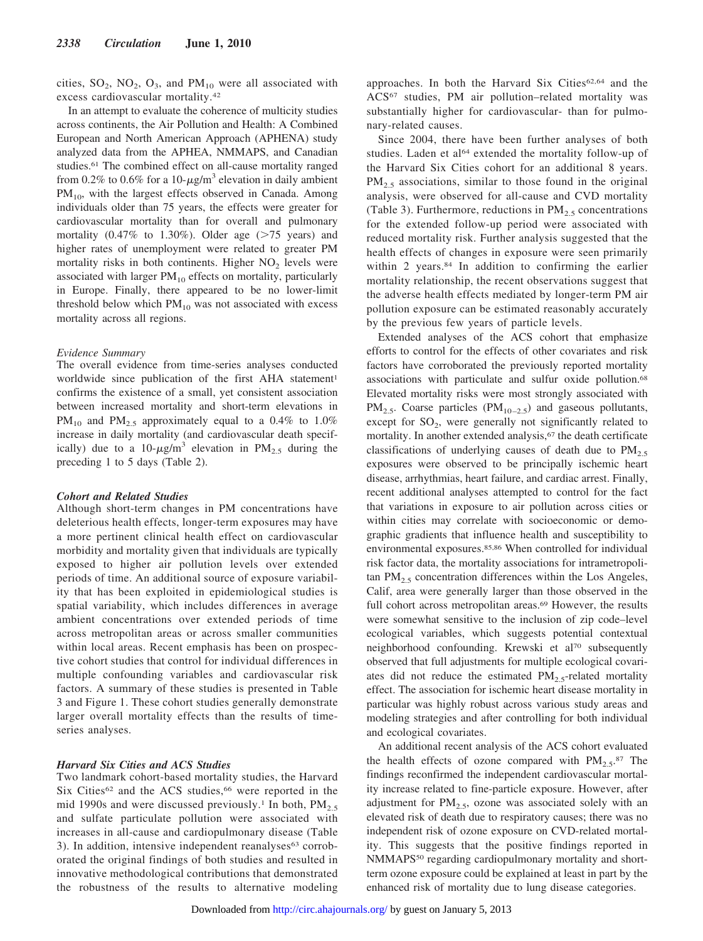cities,  $SO_2$ ,  $NO_2$ ,  $O_3$ , and  $PM_{10}$  were all associated with excess cardiovascular mortality.42

In an attempt to evaluate the coherence of multicity studies across continents, the Air Pollution and Health: A Combined European and North American Approach (APHENA) study analyzed data from the APHEA, NMMAPS, and Canadian studies.61 The combined effect on all-cause mortality ranged from 0.2% to 0.6% for a 10- $\mu$ g/m<sup>3</sup> elevation in daily ambient  $PM_{10}$ , with the largest effects observed in Canada. Among individuals older than 75 years, the effects were greater for cardiovascular mortality than for overall and pulmonary mortality  $(0.47\%$  to 1.30%). Older age  $($ >75 years) and higher rates of unemployment were related to greater PM mortality risks in both continents. Higher  $NO<sub>2</sub>$  levels were associated with larger  $PM_{10}$  effects on mortality, particularly in Europe. Finally, there appeared to be no lower-limit threshold below which  $PM_{10}$  was not associated with excess mortality across all regions.

#### *Evidence Summary*

The overall evidence from time-series analyses conducted worldwide since publication of the first AHA statement<sup>1</sup> confirms the existence of a small, yet consistent association between increased mortality and short-term elevations in  $PM_{10}$  and  $PM_{2.5}$  approximately equal to a 0.4% to 1.0% increase in daily mortality (and cardiovascular death specifically) due to a 10- $\mu$ g/m<sup>3</sup> elevation in PM<sub>2.5</sub> during the preceding 1 to 5 days (Table 2).

#### *Cohort and Related Studies*

Although short-term changes in PM concentrations have deleterious health effects, longer-term exposures may have a more pertinent clinical health effect on cardiovascular morbidity and mortality given that individuals are typically exposed to higher air pollution levels over extended periods of time. An additional source of exposure variability that has been exploited in epidemiological studies is spatial variability, which includes differences in average ambient concentrations over extended periods of time across metropolitan areas or across smaller communities within local areas. Recent emphasis has been on prospective cohort studies that control for individual differences in multiple confounding variables and cardiovascular risk factors. A summary of these studies is presented in Table 3 and Figure 1. These cohort studies generally demonstrate larger overall mortality effects than the results of timeseries analyses.

#### *Harvard Six Cities and ACS Studies*

Two landmark cohort-based mortality studies, the Harvard Six Cities<sup>62</sup> and the ACS studies,<sup>66</sup> were reported in the mid 1990s and were discussed previously.<sup>1</sup> In both,  $PM_{2.5}$ and sulfate particulate pollution were associated with increases in all-cause and cardiopulmonary disease (Table 3). In addition, intensive independent reanalyses<sup>63</sup> corroborated the original findings of both studies and resulted in innovative methodological contributions that demonstrated the robustness of the results to alternative modeling

approaches. In both the Harvard Six Cities<sup>62,64</sup> and the ACS67 studies, PM air pollution–related mortality was substantially higher for cardiovascular- than for pulmonary-related causes.

Since 2004, there have been further analyses of both studies. Laden et al<sup>64</sup> extended the mortality follow-up of the Harvard Six Cities cohort for an additional 8 years.  $PM_{2.5}$  associations, similar to those found in the original analysis, were observed for all-cause and CVD mortality (Table 3). Furthermore, reductions in  $PM_{2.5}$  concentrations for the extended follow-up period were associated with reduced mortality risk. Further analysis suggested that the health effects of changes in exposure were seen primarily within 2 years.<sup>84</sup> In addition to confirming the earlier mortality relationship, the recent observations suggest that the adverse health effects mediated by longer-term PM air pollution exposure can be estimated reasonably accurately by the previous few years of particle levels.

Extended analyses of the ACS cohort that emphasize efforts to control for the effects of other covariates and risk factors have corroborated the previously reported mortality associations with particulate and sulfur oxide pollution.68 Elevated mortality risks were most strongly associated with  $PM_{2.5}$ . Coarse particles ( $PM_{10-2.5}$ ) and gaseous pollutants, except for  $SO_2$ , were generally not significantly related to mortality. In another extended analysis,<sup>67</sup> the death certificate classifications of underlying causes of death due to  $PM<sub>2.5</sub>$ exposures were observed to be principally ischemic heart disease, arrhythmias, heart failure, and cardiac arrest. Finally, recent additional analyses attempted to control for the fact that variations in exposure to air pollution across cities or within cities may correlate with socioeconomic or demographic gradients that influence health and susceptibility to environmental exposures.85,86 When controlled for individual risk factor data, the mortality associations for intrametropolitan  $PM<sub>2.5</sub>$  concentration differences within the Los Angeles, Calif, area were generally larger than those observed in the full cohort across metropolitan areas.<sup>69</sup> However, the results were somewhat sensitive to the inclusion of zip code–level ecological variables, which suggests potential contextual neighborhood confounding. Krewski et al70 subsequently observed that full adjustments for multiple ecological covariates did not reduce the estimated  $PM_{2.5}$ -related mortality effect. The association for ischemic heart disease mortality in particular was highly robust across various study areas and modeling strategies and after controlling for both individual and ecological covariates.

An additional recent analysis of the ACS cohort evaluated the health effects of ozone compared with  $PM_{2.5}$ .<sup>87</sup> The findings reconfirmed the independent cardiovascular mortality increase related to fine-particle exposure. However, after adjustment for  $PM<sub>2.5</sub>$ , ozone was associated solely with an elevated risk of death due to respiratory causes; there was no independent risk of ozone exposure on CVD-related mortality. This suggests that the positive findings reported in NMMAPS<sup>50</sup> regarding cardiopulmonary mortality and shortterm ozone exposure could be explained at least in part by the enhanced risk of mortality due to lung disease categories.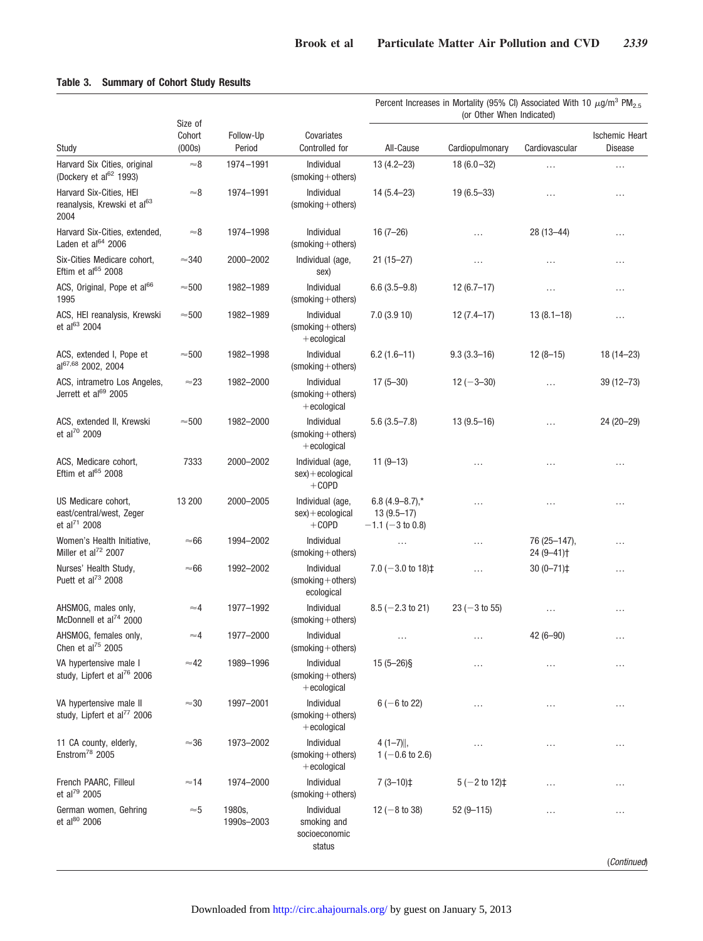# **Table 3. Summary of Cohort Study Results**

|                                                                             |                             |                      |                                                      | Percent Increases in Mortality (95% CI) Associated With 10 $\mu$ g/m <sup>3</sup> PM <sub>2.5</sub><br>(or Other When Indicated) |                          |                                        |                                         |  |
|-----------------------------------------------------------------------------|-----------------------------|----------------------|------------------------------------------------------|----------------------------------------------------------------------------------------------------------------------------------|--------------------------|----------------------------------------|-----------------------------------------|--|
| Study                                                                       | Size of<br>Cohort<br>(000s) | Follow-Up<br>Period  | Covariates<br>Controlled for                         | All-Cause                                                                                                                        | Cardiopulmonary          | Cardiovascular                         | <b>Ischemic Heart</b><br><b>Disease</b> |  |
| Harvard Six Cities, original<br>(Dockery et al <sup>62</sup> 1993)          | $\approx\!\!8$              | 1974-1991            | Individual<br>$(smoking + others)$                   | $13(4.2 - 23)$                                                                                                                   | $18(6.0 - 32)$           | $\cdots$                               | $\cdots$                                |  |
| Harvard Six-Cities, HEI<br>reanalysis, Krewski et al <sup>63</sup><br>2004  | $\approx$ 8                 | 1974-1991            | Individual<br>$(smoking + others)$                   | $14(5.4 - 23)$                                                                                                                   | $19(6.5 - 33)$           | $\cdots$                               | $\cdots$                                |  |
| Harvard Six-Cities, extended,<br>Laden et al <sup>64</sup> 2006             | $\approx$ 8                 | 1974-1998            | Individual<br>$(smoking + others)$                   | $16(7-26)$                                                                                                                       | .                        | 28 (13-44)                             | $\cdots$                                |  |
| Six-Cities Medicare cohort,<br>Eftim et al <sup>65</sup> 2008               | $\approx$ 340               | 2000-2002            | Individual (age,<br>sex)                             | $21(15 - 27)$                                                                                                                    |                          | .                                      | $\cdots$                                |  |
| ACS, Original, Pope et al <sup>66</sup><br>1995                             | $\approx\!\!500$            | 1982-1989            | Individual<br>$(smoking + others)$                   | $6.6(3.5-9.8)$                                                                                                                   | $12(6.7-17)$             | .                                      | $\cdots$                                |  |
| ACS, HEI reanalysis, Krewski<br>et al <sup>63</sup> 2004                    | $\approx\!\!500$            | 1982-1989            | Individual<br>$(smoking + others)$<br>$+$ ecological | 7.0(3.910)                                                                                                                       | $12(7.4-17)$             | $13(8.1 - 18)$                         | $\cdots$                                |  |
| ACS, extended I, Pope et<br>al <sup>67,68</sup> 2002, 2004                  | $\approx\!\!500$            | 1982-1998            | Individual<br>$(smoking + others)$                   | $6.2(1.6-11)$                                                                                                                    | $9.3(3.3 - 16)$          | $12(8-15)$                             | $18(14 - 23)$                           |  |
| ACS, intrametro Los Angeles,<br>Jerrett et al <sup>69</sup> 2005            | $\approx$ 23                | 1982-2000            | Individual<br>$(smoking + others)$<br>$+$ ecological | $17(5-30)$                                                                                                                       | $12 (-3 - 30)$           | $\cdots$                               | $39(12 - 73)$                           |  |
| ACS, extended II, Krewski<br>et al <sup>70</sup> 2009                       | $\approx$ 500               | 1982-2000            | Individual<br>$(smoking + others)$<br>$+$ ecological | $5.6(3.5 - 7.8)$                                                                                                                 | $13(9.5 - 16)$           | $\cdots$                               | $24(20-29)$                             |  |
| ACS, Medicare cohort,<br>Eftim et al <sup>65</sup> 2008                     | 7333                        | 2000-2002            | Individual (age,<br>$sex$ + ecological<br>$+$ COPD   | $11(9-13)$                                                                                                                       | .                        | .                                      | $\cdots$                                |  |
| US Medicare cohort,<br>east/central/west, Zeger<br>et al <sup>71</sup> 2008 | 13 200                      | 2000-2005            | Individual (age,<br>$sex$ + ecological<br>$+$ COPD   | $6.8(4.9 - 8.7),$ *<br>$13(9.5-17)$<br>$-1.1$ ( $-3$ to 0.8)                                                                     | .                        | $\cdots$                               | $\cdots$                                |  |
| Women's Health Initiative,<br>Miller et al <sup>72</sup> 2007               | $\approx$ 66                | 1994-2002            | Individual<br>$(smoking + others)$                   | $\cdots$                                                                                                                         | .                        | 76 (25–147),<br>24 (9-41) <sup>+</sup> | $\cdots$                                |  |
| Nurses' Health Study,<br>Puett et al <sup>73</sup> 2008                     | $\approx 66$                | 1992-2002            | Individual<br>$(smoking + others)$<br>ecological     | 7.0 $(-3.0 \text{ to } 18)$ ‡                                                                                                    | .                        | $30(0 - 71)$ ‡                         | $\cdots$                                |  |
| AHSMOG, males only,<br>McDonnell et al <sup>74</sup> 2000                   | $\approx$ 4                 | 1977-1992            | Individual<br>$(smoking + others)$                   | $8.5$ (-2.3 to 21)                                                                                                               | $23 (-3 to 55)$          | .                                      | $\cdots$                                |  |
| AHSMOG, females only,<br>Chen et al <sup>75</sup> 2005                      | $\approx$ 4                 | 1977-2000            | Individual<br>(smoking+others)                       |                                                                                                                                  |                          | $42(6 - 90)$                           | $\cdots$                                |  |
| VA hypertensive male I<br>study, Lipfert et al <sup>76</sup> 2006           | $\approx$ 42                | 1989-1996            | Individual<br>$(smoking + others)$<br>$+$ ecological | $15(5-26)$ §                                                                                                                     |                          | $\cdots$                               | $\cdots$                                |  |
| VA hypertensive male II<br>study, Lipfert et al <sup>77</sup> 2006          | $\approx$ 30                | 1997-2001            | Individual<br>$(smoking + others)$<br>$+$ ecological | $6(-6 to 22)$                                                                                                                    | .                        | $\cdots$                               | $\cdots$                                |  |
| 11 CA county, elderly,<br>Enstrom <sup>78</sup> 2005                        | $\approx$ 36                | 1973-2002            | Individual<br>$(smoking + others)$<br>$+$ ecological | $4(1-7)$ ,<br>$1(-0.6 \text{ to } 2.6)$                                                                                          | .                        | $\cdots$                               | $\cdots$                                |  |
| French PAARC, Filleul<br>et al <sup>79</sup> 2005                           | $\approx$ 14                | 1974-2000            | Individual<br>$(smoking + others)$                   | $7(3-10)$                                                                                                                        | $5(-2 \text{ to } 12)$ ‡ | .                                      | $\cdots$                                |  |
| German women, Gehring<br>et al <sup>80</sup> 2006                           | $\approx\!\!5$              | 1980s,<br>1990s-2003 | Individual<br>smoking and<br>socioeconomic<br>status | 12 ( $-8$ to 38)                                                                                                                 | $52(9 - 115)$            | .                                      | $\cdots$                                |  |
|                                                                             |                             |                      |                                                      |                                                                                                                                  |                          |                                        | (Continued)                             |  |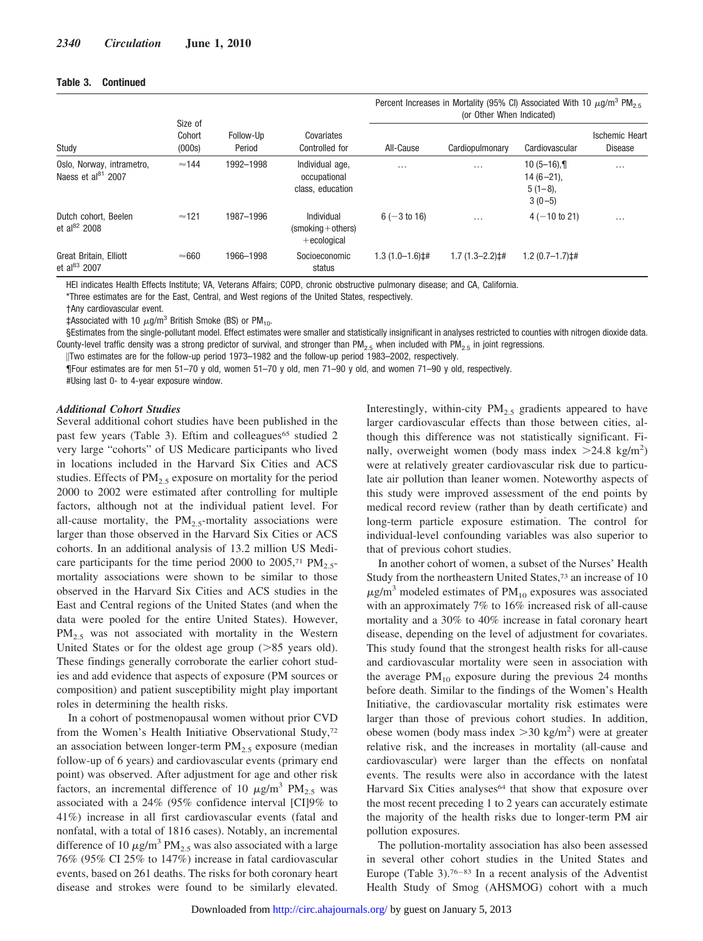## **Table 3. Continued**

|                                                             |                             |                     |                                                      | Percent Increases in Mortality (95% CI) Associated With 10 $\mu$ g/m <sup>3</sup> PM <sub>2.5</sub><br>(or Other When Indicated) |                    |                                                          |                                         |  |
|-------------------------------------------------------------|-----------------------------|---------------------|------------------------------------------------------|----------------------------------------------------------------------------------------------------------------------------------|--------------------|----------------------------------------------------------|-----------------------------------------|--|
| Study                                                       | Size of<br>Cohort<br>(000s) | Follow-Up<br>Period | Covariates<br>Controlled for                         | All-Cause                                                                                                                        | Cardiopulmonary    | Cardiovascular                                           | <b>Ischemic Heart</b><br><b>Disease</b> |  |
| Oslo, Norway, intrametro,<br>Naess et al <sup>81</sup> 2007 | $\approx$ 144               | 1992-1998           | Individual age,<br>occupational<br>class, education  | $\cdots$                                                                                                                         | $\cdots$           | $10(5-16)$ , 1<br>$14(6-21)$ ,<br>$5(1-8)$ ,<br>$3(0-5)$ | $\cdots$                                |  |
| Dutch cohort. Beelen<br>et al <sup>82</sup> 2008            | $\approx$ 121               | 1987-1996           | Individual<br>$(smoking + others)$<br>$+$ ecological | $6(-3 to 16)$                                                                                                                    | $\cdots$           | $4(-10 \text{ to } 21)$                                  | $\cdots$                                |  |
| Great Britain, Elliott<br>et al <sup>83</sup> 2007          | $\approx 660$               | 1966-1998           | Socioeconomic<br>status                              | $1.3(1.0-1.6)$ ##                                                                                                                | $1.7(1.3 - 2.2)$ : | $1.2(0.7-1.7)$ ##                                        |                                         |  |

HEI indicates Health Effects Institute; VA, Veterans Affairs; COPD, chronic obstructive pulmonary disease; and CA, California.

\*Three estimates are for the East, Central, and West regions of the United States, respectively.

†Any cardiovascular event.

‡Associated with 10  $\mu$ g/m<sup>3</sup> British Smoke (BS) or PM<sub>10</sub>.

§Estimates from the single-pollutant model. Effect estimates were smaller and statistically insignificant in analyses restricted to counties with nitrogen dioxide data. County-level traffic density was a strong predictor of survival, and stronger than PM<sub>2.5</sub> when included with PM<sub>2.5</sub> in joint regressions.

-Two estimates are for the follow-up period 1973–1982 and the follow-up period 1983–2002, respectively.

¶Four estimates are for men 51–70 y old, women 51–70 y old, men 71–90 y old, and women 71–90 y old, respectively. #Using last 0- to 4-year exposure window.

#### *Additional Cohort Studies*

Several additional cohort studies have been published in the past few years (Table 3). Eftim and colleagues<sup>65</sup> studied 2 very large "cohorts" of US Medicare participants who lived in locations included in the Harvard Six Cities and ACS studies. Effects of  $PM<sub>2.5</sub>$  exposure on mortality for the period 2000 to 2002 were estimated after controlling for multiple factors, although not at the individual patient level. For all-cause mortality, the  $PM_2$ <sub>5</sub>-mortality associations were larger than those observed in the Harvard Six Cities or ACS cohorts. In an additional analysis of 13.2 million US Medicare participants for the time period 2000 to 2005,<sup>71</sup> PM<sub>2.5</sub>mortality associations were shown to be similar to those observed in the Harvard Six Cities and ACS studies in the East and Central regions of the United States (and when the data were pooled for the entire United States). However,  $PM_{2.5}$  was not associated with mortality in the Western United States or for the oldest age group  $(85 \text{ years old}).$ These findings generally corroborate the earlier cohort studies and add evidence that aspects of exposure (PM sources or composition) and patient susceptibility might play important roles in determining the health risks.

In a cohort of postmenopausal women without prior CVD from the Women's Health Initiative Observational Study,72 an association between longer-term  $PM_{2.5}$  exposure (median follow-up of 6 years) and cardiovascular events (primary end point) was observed. After adjustment for age and other risk factors, an incremental difference of 10  $\mu$ g/m<sup>3</sup> PM<sub>2.5</sub> was associated with a 24% (95% confidence interval [CI]9% to 41%) increase in all first cardiovascular events (fatal and nonfatal, with a total of 1816 cases). Notably, an incremental difference of 10  $\mu$ g/m<sup>3</sup> PM<sub>2.5</sub> was also associated with a large 76% (95% CI 25% to 147%) increase in fatal cardiovascular events, based on 261 deaths. The risks for both coronary heart disease and strokes were found to be similarly elevated.

Interestingly, within-city  $PM_{2.5}$  gradients appeared to have larger cardiovascular effects than those between cities, although this difference was not statistically significant. Finally, overweight women (body mass index  $>24.8 \text{ kg/m}^2$ ) were at relatively greater cardiovascular risk due to particulate air pollution than leaner women. Noteworthy aspects of this study were improved assessment of the end points by medical record review (rather than by death certificate) and long-term particle exposure estimation. The control for individual-level confounding variables was also superior to that of previous cohort studies.

In another cohort of women, a subset of the Nurses' Health Study from the northeastern United States,73 an increase of 10  $\mu$ g/m<sup>3</sup> modeled estimates of PM<sub>10</sub> exposures was associated with an approximately 7% to 16% increased risk of all-cause mortality and a 30% to 40% increase in fatal coronary heart disease, depending on the level of adjustment for covariates. This study found that the strongest health risks for all-cause and cardiovascular mortality were seen in association with the average  $PM_{10}$  exposure during the previous 24 months before death. Similar to the findings of the Women's Health Initiative, the cardiovascular mortality risk estimates were larger than those of previous cohort studies. In addition, obese women (body mass index  $>$  30 kg/m<sup>2</sup>) were at greater relative risk, and the increases in mortality (all-cause and cardiovascular) were larger than the effects on nonfatal events. The results were also in accordance with the latest Harvard Six Cities analyses<sup>64</sup> that show that exposure over the most recent preceding 1 to 2 years can accurately estimate the majority of the health risks due to longer-term PM air pollution exposures.

The pollution-mortality association has also been assessed in several other cohort studies in the United States and Europe (Table 3).76–83 In a recent analysis of the Adventist Health Study of Smog (AHSMOG) cohort with a much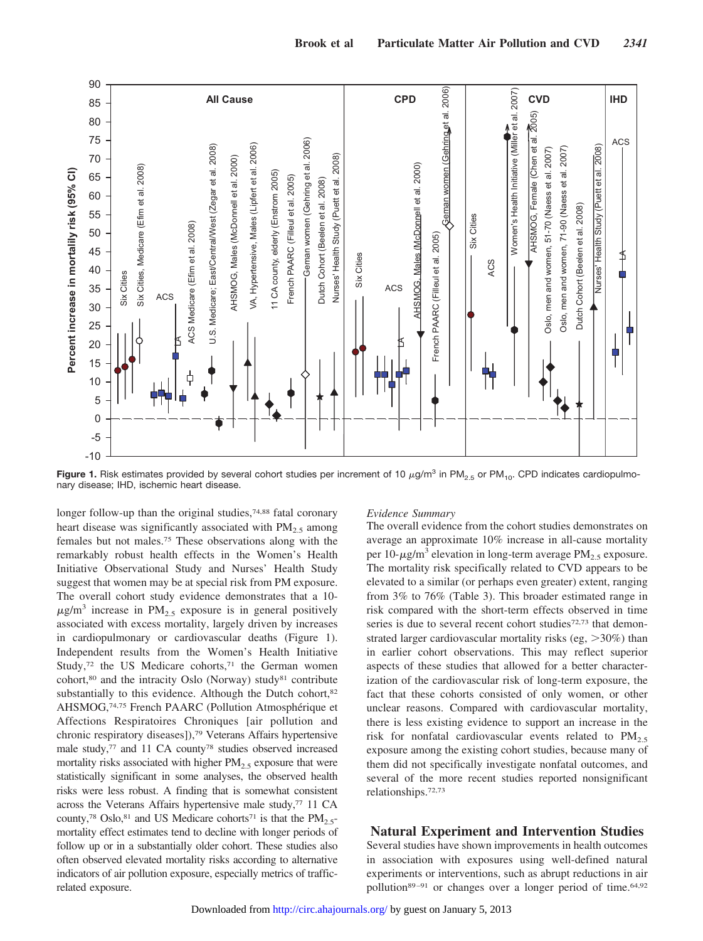

**Figure 1.** Risk estimates provided by several cohort studies per increment of 10  $\mu$ g/m<sup>3</sup> in PM<sub>2.5</sub> or PM<sub>10</sub>. CPD indicates cardiopulmonary disease; IHD, ischemic heart disease.

longer follow-up than the original studies,<sup>74,88</sup> fatal coronary heart disease was significantly associated with  $PM_{2.5}$  among females but not males.75 These observations along with the remarkably robust health effects in the Women's Health Initiative Observational Study and Nurses' Health Study suggest that women may be at special risk from PM exposure. The overall cohort study evidence demonstrates that a 10-  $\mu$ g/m<sup>3</sup> increase in PM<sub>2.5</sub> exposure is in general positively associated with excess mortality, largely driven by increases in cardiopulmonary or cardiovascular deaths (Figure 1). Independent results from the Women's Health Initiative Study,<sup>72</sup> the US Medicare cohorts,<sup>71</sup> the German women cohort,80 and the intracity Oslo (Norway) study81 contribute substantially to this evidence. Although the Dutch cohort,<sup>82</sup> AHSMOG,<sup>74,75</sup> French PAARC (Pollution Atmosphérique et Affections Respiratoires Chroniques [air pollution and chronic respiratory diseases]),79 Veterans Affairs hypertensive male study,77 and 11 CA county78 studies observed increased mortality risks associated with higher  $PM<sub>2.5</sub>$  exposure that were statistically significant in some analyses, the observed health risks were less robust. A finding that is somewhat consistent across the Veterans Affairs hypertensive male study,<sup>77</sup> 11 CA county,<sup>78</sup> Oslo,<sup>81</sup> and US Medicare cohorts<sup>71</sup> is that the  $PM_{2.5}$ mortality effect estimates tend to decline with longer periods of follow up or in a substantially older cohort. These studies also often observed elevated mortality risks according to alternative indicators of air pollution exposure, especially metrics of trafficrelated exposure.

#### *Evidence Summary*

The overall evidence from the cohort studies demonstrates on average an approximate 10% increase in all-cause mortality per 10- $\mu$ g/m<sup>3</sup> elevation in long-term average PM<sub>2.5</sub> exposure. The mortality risk specifically related to CVD appears to be elevated to a similar (or perhaps even greater) extent, ranging from 3% to 76% (Table 3). This broader estimated range in risk compared with the short-term effects observed in time series is due to several recent cohort studies<sup>72,73</sup> that demonstrated larger cardiovascular mortality risks (eg,  $>30\%$ ) than in earlier cohort observations. This may reflect superior aspects of these studies that allowed for a better characterization of the cardiovascular risk of long-term exposure, the fact that these cohorts consisted of only women, or other unclear reasons. Compared with cardiovascular mortality, there is less existing evidence to support an increase in the risk for nonfatal cardiovascular events related to  $PM_{2.5}$ exposure among the existing cohort studies, because many of them did not specifically investigate nonfatal outcomes, and several of the more recent studies reported nonsignificant relationships.72,73

# **Natural Experiment and Intervention Studies**

Several studies have shown improvements in health outcomes in association with exposures using well-defined natural experiments or interventions, such as abrupt reductions in air pollution<sup>89–91</sup> or changes over a longer period of time.<sup>64,92</sup>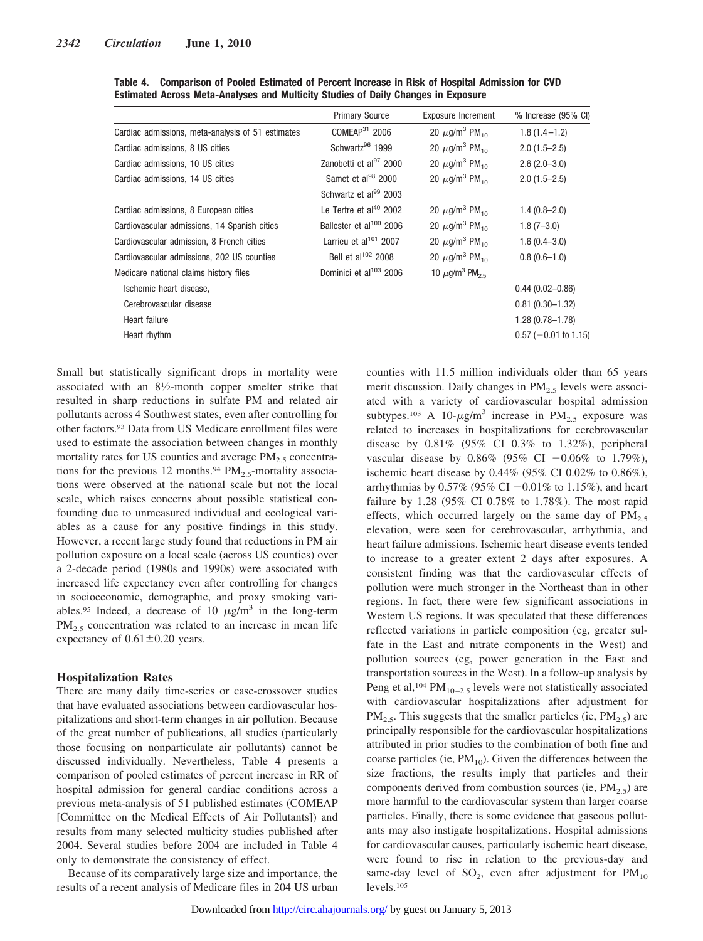|                                                   | <b>Primary Source</b>               | <b>Exposure Increment</b>                  | % Increase (95% CI)    |
|---------------------------------------------------|-------------------------------------|--------------------------------------------|------------------------|
| Cardiac admissions, meta-analysis of 51 estimates | COMEAP <sup>31</sup> 2006           | 20 $\mu$ g/m <sup>3</sup> PM <sub>10</sub> | $1.8(1.4-1.2)$         |
| Cardiac admissions, 8 US cities                   | Schwartz <sup>96</sup> 1999         | 20 $\mu$ g/m <sup>3</sup> PM <sub>10</sub> | $2.0(1.5 - 2.5)$       |
| Cardiac admissions, 10 US cities                  | Zanobetti et al <sup>97</sup> 2000  | 20 $\mu$ g/m <sup>3</sup> PM <sub>10</sub> | $2.6(2.0-3.0)$         |
| Cardiac admissions, 14 US cities                  | Samet et al <sup>98</sup> 2000      | 20 $\mu$ g/m <sup>3</sup> PM <sub>10</sub> | $2.0(1.5 - 2.5)$       |
|                                                   | Schwartz et al <sup>99</sup> 2003   |                                            |                        |
| Cardiac admissions, 8 European cities             | Le Tertre et al <sup>40</sup> 2002  | 20 $\mu$ g/m <sup>3</sup> PM <sub>10</sub> | $1.4(0.8-2.0)$         |
| Cardiovascular admissions, 14 Spanish cities      | Ballester et al <sup>100</sup> 2006 | 20 $\mu$ g/m <sup>3</sup> PM <sub>10</sub> | $1.8(7 - 3.0)$         |
| Cardiovascular admission, 8 French cities         | Larrieu et al <sup>101</sup> 2007   | 20 $\mu$ g/m <sup>3</sup> PM <sub>10</sub> | $1.6(0.4 - 3.0)$       |
| Cardiovascular admissions, 202 US counties        | Bell et al <sup>102</sup> 2008      | 20 $\mu$ g/m <sup>3</sup> PM <sub>10</sub> | $0.8(0.6-1.0)$         |
| Medicare national claims history files            | Dominici et al <sup>103</sup> 2006  | 10 $\mu$ g/m <sup>3</sup> PM <sub>25</sub> |                        |
| Ischemic heart disease,                           |                                     |                                            | $0.44(0.02 - 0.86)$    |
| Cerebrovascular disease                           |                                     |                                            | $0.81(0.30 - 1.32)$    |
| Heart failure                                     |                                     |                                            | $1.28(0.78 - 1.78)$    |
| Heart rhythm                                      |                                     |                                            | $0.57$ (-0.01 to 1.15) |

**Table 4. Comparison of Pooled Estimated of Percent Increase in Risk of Hospital Admission for CVD Estimated Across Meta-Analyses and Multicity Studies of Daily Changes in Exposure**

Small but statistically significant drops in mortality were associated with an 81⁄2-month copper smelter strike that resulted in sharp reductions in sulfate PM and related air pollutants across 4 Southwest states, even after controlling for other factors.93 Data from US Medicare enrollment files were used to estimate the association between changes in monthly mortality rates for US counties and average  $PM_{2.5}$  concentrations for the previous 12 months.<sup>94</sup> PM<sub>2.5</sub>-mortality associations were observed at the national scale but not the local scale, which raises concerns about possible statistical confounding due to unmeasured individual and ecological variables as a cause for any positive findings in this study. However, a recent large study found that reductions in PM air pollution exposure on a local scale (across US counties) over a 2-decade period (1980s and 1990s) were associated with increased life expectancy even after controlling for changes in socioeconomic, demographic, and proxy smoking variables.<sup>95</sup> Indeed, a decrease of 10  $\mu$ g/m<sup>3</sup> in the long-term  $PM_{2.5}$  concentration was related to an increase in mean life expectancy of  $0.61 \pm 0.20$  years.

# **Hospitalization Rates**

There are many daily time-series or case-crossover studies that have evaluated associations between cardiovascular hospitalizations and short-term changes in air pollution. Because of the great number of publications, all studies (particularly those focusing on nonparticulate air pollutants) cannot be discussed individually. Nevertheless, Table 4 presents a comparison of pooled estimates of percent increase in RR of hospital admission for general cardiac conditions across a previous meta-analysis of 51 published estimates (COMEAP [Committee on the Medical Effects of Air Pollutants]) and results from many selected multicity studies published after 2004. Several studies before 2004 are included in Table 4 only to demonstrate the consistency of effect.

Because of its comparatively large size and importance, the results of a recent analysis of Medicare files in 204 US urban

counties with 11.5 million individuals older than 65 years merit discussion. Daily changes in  $PM<sub>2.5</sub>$  levels were associ-ated with a variety of cardiovascular hospital admission subtypes.<sup>103</sup> A 10- $\mu$ g/m<sup>3</sup> increase in PM<sub>2.5</sub> exposure was related to increases in hospitalizations for cerebrovascular disease by  $0.81\%$  (95% CI 0.3% to 1.32%), peripheral vascular disease by 0.86% (95% CI  $-0.06%$  to 1.79%), ischemic heart disease by 0.44% (95% CI 0.02% to 0.86%), arrhythmias by  $0.57\%$  (95% CI  $-0.01\%$  to 1.15%), and heart failure by 1.28 (95% CI 0.78% to 1.78%). The most rapid effects, which occurred largely on the same day of  $PM<sub>2.5</sub>$ elevation, were seen for cerebrovascular, arrhythmia, and heart failure admissions. Ischemic heart disease events tended to increase to a greater extent 2 days after exposures. A consistent finding was that the cardiovascular effects of pollution were much stronger in the Northeast than in other regions. In fact, there were few significant associations in Western US regions. It was speculated that these differences reflected variations in particle composition (eg, greater sulfate in the East and nitrate components in the West) and pollution sources (eg, power generation in the East and transportation sources in the West). In a follow-up analysis by Peng et al,<sup>104</sup> PM<sub>10–2.5</sub> levels were not statistically associated with cardiovascular hospitalizations after adjustment for  $PM_{2.5}$ . This suggests that the smaller particles (ie,  $PM_{2.5}$ ) are principally responsible for the cardiovascular hospitalizations attributed in prior studies to the combination of both fine and coarse particles (ie,  $PM_{10}$ ). Given the differences between the size fractions, the results imply that particles and their components derived from combustion sources (ie,  $PM_{2.5}$ ) are more harmful to the cardiovascular system than larger coarse particles. Finally, there is some evidence that gaseous pollutants may also instigate hospitalizations. Hospital admissions for cardiovascular causes, particularly ischemic heart disease, were found to rise in relation to the previous-day and same-day level of  $SO_2$ , even after adjustment for  $PM_{10}$ levels.105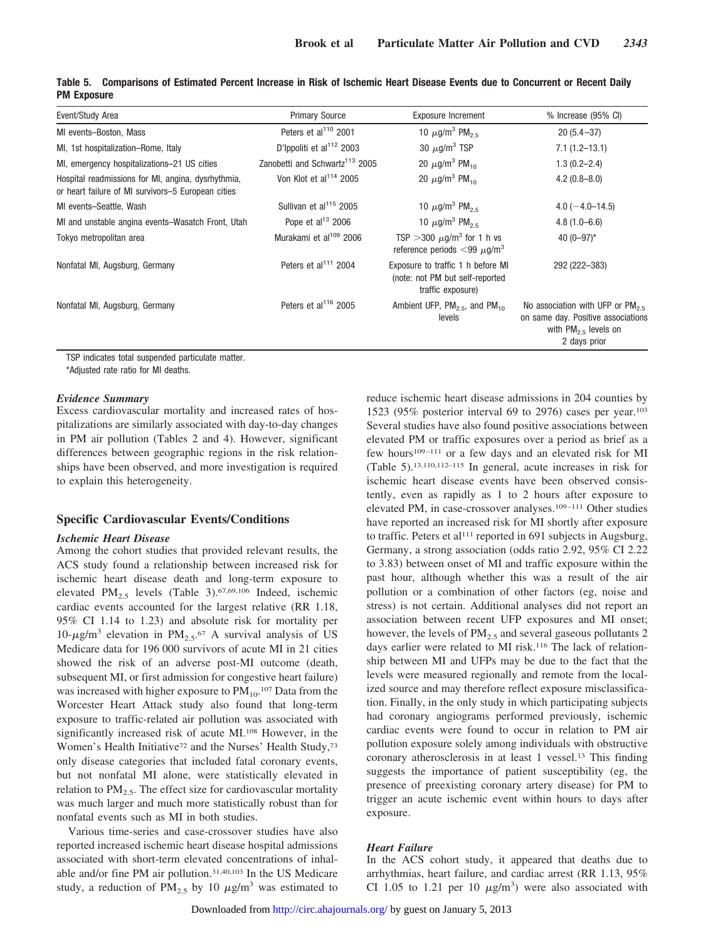| Event/Study Area                                                                                         | <b>Primary Source</b>                      | <b>Exposure Increment</b>                                                                      | % Increase (95% CI)                                                                                                      |
|----------------------------------------------------------------------------------------------------------|--------------------------------------------|------------------------------------------------------------------------------------------------|--------------------------------------------------------------------------------------------------------------------------|
| MI events-Boston, Mass                                                                                   | Peters et al <sup>110</sup> 2001           | 10 $\mu$ g/m <sup>3</sup> PM <sub>2.5</sub>                                                    | $20(5.4 - 37)$                                                                                                           |
| MI, 1st hospitalization-Rome, Italy                                                                      | D'Ippoliti et al <sup>112</sup> 2003       | 30 $\mu$ g/m <sup>3</sup> TSP                                                                  | $7.1(1.2 - 13.1)$                                                                                                        |
| MI, emergency hospitalizations-21 US cities                                                              | Zanobetti and Schwartz <sup>113</sup> 2005 | 20 $\mu$ g/m <sup>3</sup> PM <sub>10</sub>                                                     | $1.3(0.2 - 2.4)$                                                                                                         |
| Hospital readmissions for MI, angina, dysrhythmia,<br>or heart failure of MI survivors-5 European cities | Von Klot et al <sup>114</sup> 2005         | 20 $\mu$ g/m <sup>3</sup> PM <sub>10</sub>                                                     | $4.2(0.8 - 8.0)$                                                                                                         |
| MI events-Seattle, Wash                                                                                  | Sullivan et al <sup>115</sup> 2005         | 10 $\mu$ g/m <sup>3</sup> PM <sub>25</sub>                                                     | $4.0(-4.0-14.5)$                                                                                                         |
| MI and unstable angina events–Wasatch Front, Utah                                                        | Pope et al <sup>13</sup> 2006              | 10 $\mu$ g/m <sup>3</sup> PM <sub>2.5</sub>                                                    | $4.8(1.0 - 6.6)$                                                                                                         |
| Tokyo metropolitan area                                                                                  | Murakami et al <sup>109</sup> 2006         | TSP > 300 $\mu$ g/m <sup>3</sup> for 1 h vs<br>reference periods $<$ 99 $\mu$ g/m <sup>3</sup> | 40 $(0-97)$ *                                                                                                            |
| Nonfatal MI, Augsburg, Germany                                                                           | Peters et al <sup>111</sup> 2004           | Exposure to traffic 1 h before MI<br>(note: not PM but self-reported<br>traffic exposure)      | 292 (222-383)                                                                                                            |
| Nonfatal MI, Augsburg, Germany                                                                           | Peters et al <sup>116</sup> 2005           | Ambient UFP, $PM_{2.5}$ , and $PM_{10}$<br>levels                                              | No association with UFP or $PM_{2.5}$<br>on same day. Positive associations<br>with $PM_{2.5}$ levels on<br>2 days prior |

**Table 5. Comparisons of Estimated Percent Increase in Risk of Ischemic Heart Disease Events due to Concurrent or Recent Daily PM Exposure**

TSP indicates total suspended particulate matter.

\*Adjusted rate ratio for MI deaths.

#### *Evidence Summary*

Excess cardiovascular mortality and increased rates of hospitalizations are similarly associated with day-to-day changes in PM air pollution (Tables 2 and 4). However, significant differences between geographic regions in the risk relationships have been observed, and more investigation is required to explain this heterogeneity.

## **Specific Cardiovascular Events/Conditions**

#### *Ischemic Heart Disease*

Among the cohort studies that provided relevant results, the ACS study found a relationship between increased risk for ischemic heart disease death and long-term exposure to elevated PM<sub>2.5</sub> levels (Table 3).<sup>67,69,106</sup> Indeed, ischemic cardiac events accounted for the largest relative (RR 1.18, 95% CI 1.14 to 1.23) and absolute risk for mortality per 10- $\mu$ g/m<sup>3</sup> elevation in PM<sub>2.5</sub>.<sup>67</sup> A survival analysis of US Medicare data for 196 000 survivors of acute MI in 21 cities showed the risk of an adverse post-MI outcome (death, subsequent MI, or first admission for congestive heart failure) was increased with higher exposure to  $PM_{10}$ .<sup>107</sup> Data from the Worcester Heart Attack study also found that long-term exposure to traffic-related air pollution was associated with significantly increased risk of acute MI.108 However, in the Women's Health Initiative<sup>72</sup> and the Nurses' Health Study,<sup>73</sup> only disease categories that included fatal coronary events, but not nonfatal MI alone, were statistically elevated in relation to  $PM_{2.5}$ . The effect size for cardiovascular mortality was much larger and much more statistically robust than for nonfatal events such as MI in both studies.

Various time-series and case-crossover studies have also reported increased ischemic heart disease hospital admissions associated with short-term elevated concentrations of inhalable and/or fine PM air pollution.31,40,103 In the US Medicare study, a reduction of PM<sub>2.5</sub> by 10  $\mu$ g/m<sup>3</sup> was estimated to reduce ischemic heart disease admissions in 204 counties by 1523 (95% posterior interval 69 to 2976) cases per year.103 Several studies have also found positive associations between elevated PM or traffic exposures over a period as brief as a few hours<sup>109–111</sup> or a few days and an elevated risk for MI (Table 5).13,110,112–115 In general, acute increases in risk for ischemic heart disease events have been observed consistently, even as rapidly as 1 to 2 hours after exposure to elevated PM, in case-crossover analyses.109–111 Other studies have reported an increased risk for MI shortly after exposure to traffic. Peters et al<sup>111</sup> reported in 691 subjects in Augsburg, Germany, a strong association (odds ratio 2.92, 95% CI 2.22 to 3.83) between onset of MI and traffic exposure within the past hour, although whether this was a result of the air pollution or a combination of other factors (eg, noise and stress) is not certain. Additional analyses did not report an association between recent UFP exposures and MI onset; however, the levels of  $PM_{2.5}$  and several gaseous pollutants 2 days earlier were related to MI risk.116 The lack of relationship between MI and UFPs may be due to the fact that the levels were measured regionally and remote from the localized source and may therefore reflect exposure misclassification. Finally, in the only study in which participating subjects had coronary angiograms performed previously, ischemic cardiac events were found to occur in relation to PM air pollution exposure solely among individuals with obstructive coronary atherosclerosis in at least 1 vessel.13 This finding suggests the importance of patient susceptibility (eg, the presence of preexisting coronary artery disease) for PM to trigger an acute ischemic event within hours to days after exposure.

#### *Heart Failure*

In the ACS cohort study, it appeared that deaths due to arrhythmias, heart failure, and cardiac arrest (RR 1.13, 95% CI 1.05 to 1.21 per 10  $\mu$ g/m<sup>3</sup>) were also associated with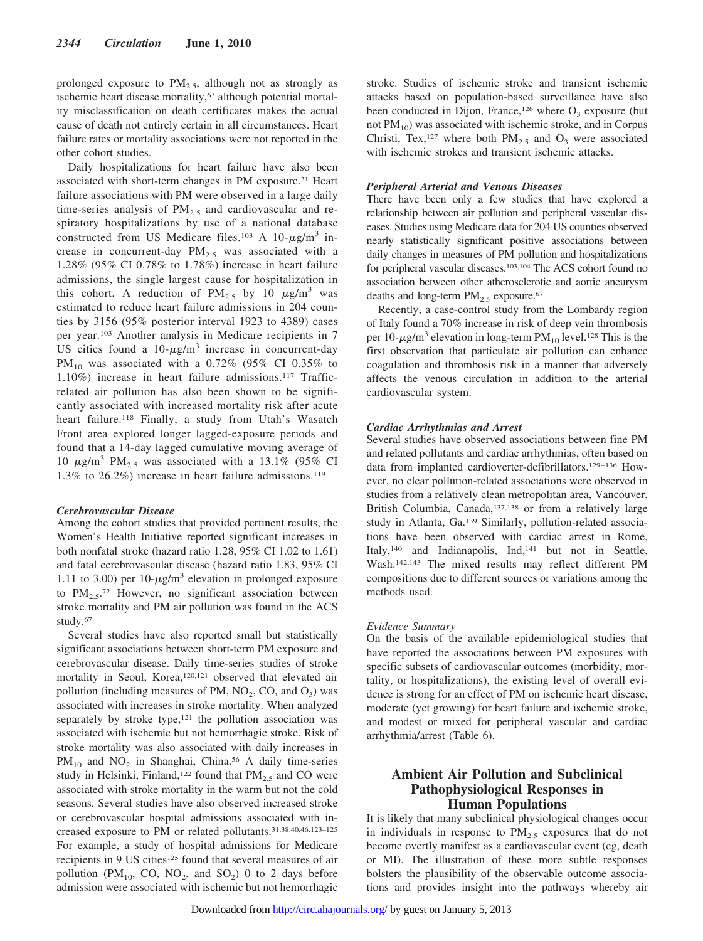prolonged exposure to  $PM_{2.5}$ , although not as strongly as ischemic heart disease mortality,<sup>67</sup> although potential mortality misclassification on death certificates makes the actual cause of death not entirely certain in all circumstances. Heart failure rates or mortality associations were not reported in the other cohort studies.

Daily hospitalizations for heart failure have also been associated with short-term changes in PM exposure.31 Heart failure associations with PM were observed in a large daily time-series analysis of  $PM<sub>2.5</sub>$  and cardiovascular and respiratory hospitalizations by use of a national database constructed from US Medicare files.<sup>103</sup> A 10- $\mu$ g/m<sup>3</sup> increase in concurrent-day  $PM_{2.5}$  was associated with a 1.28% (95% CI 0.78% to 1.78%) increase in heart failure admissions, the single largest cause for hospitalization in this cohort. A reduction of  $PM_{2.5}$  by 10  $\mu$ g/m<sup>3</sup> was estimated to reduce heart failure admissions in 204 counties by 3156 (95% posterior interval 1923 to 4389) cases per year.103 Another analysis in Medicare recipients in 7 US cities found a  $10-\mu g/m^3$  increase in concurrent-day PM<sub>10</sub> was associated with a 0.72% (95% CI 0.35% to 1.10%) increase in heart failure admissions.117 Trafficrelated air pollution has also been shown to be significantly associated with increased mortality risk after acute heart failure.<sup>118</sup> Finally, a study from Utah's Wasatch Front area explored longer lagged-exposure periods and found that a 14-day lagged cumulative moving average of 10  $\mu$ g/m<sup>3</sup> PM<sub>2.5</sub> was associated with a 13.1% (95% CI 1.3% to 26.2%) increase in heart failure admissions.119

#### *Cerebrovascular Disease*

Among the cohort studies that provided pertinent results, the Women's Health Initiative reported significant increases in both nonfatal stroke (hazard ratio 1.28, 95% CI 1.02 to 1.61) and fatal cerebrovascular disease (hazard ratio 1.83, 95% CI 1.11 to 3.00) per 10- $\mu$ g/m<sup>3</sup> elevation in prolonged exposure to  $PM_{2.5}$ <sup>72</sup> However, no significant association between stroke mortality and PM air pollution was found in the ACS study.67

Several studies have also reported small but statistically significant associations between short-term PM exposure and cerebrovascular disease. Daily time-series studies of stroke mortality in Seoul, Korea,<sup>120,121</sup> observed that elevated air pollution (including measures of PM,  $NO<sub>2</sub>$ , CO, and  $O<sub>3</sub>$ ) was associated with increases in stroke mortality. When analyzed separately by stroke type,<sup>121</sup> the pollution association was associated with ischemic but not hemorrhagic stroke. Risk of stroke mortality was also associated with daily increases in  $PM_{10}$  and  $NO_2$  in Shanghai, China.<sup>56</sup> A daily time-series study in Helsinki, Finland,<sup>122</sup> found that  $PM_{2.5}$  and CO were associated with stroke mortality in the warm but not the cold seasons. Several studies have also observed increased stroke or cerebrovascular hospital admissions associated with increased exposure to PM or related pollutants.31,38,40,46,123–125 For example, a study of hospital admissions for Medicare recipients in 9 US cities<sup>125</sup> found that several measures of air pollution (PM<sub>10</sub>, CO, NO<sub>2</sub>, and SO<sub>2</sub>) 0 to 2 days before admission were associated with ischemic but not hemorrhagic

stroke. Studies of ischemic stroke and transient ischemic attacks based on population-based surveillance have also been conducted in Dijon, France,<sup>126</sup> where  $O_3$  exposure (but not  $PM_{10}$ ) was associated with ischemic stroke, and in Corpus Christi, Tex,<sup>127</sup> where both  $PM_{2.5}$  and  $O_3$  were associated with ischemic strokes and transient ischemic attacks.

#### *Peripheral Arterial and Venous Diseases*

There have been only a few studies that have explored a relationship between air pollution and peripheral vascular diseases. Studies using Medicare data for 204 US counties observed nearly statistically significant positive associations between daily changes in measures of PM pollution and hospitalizations for peripheral vascular diseases.103,104 The ACS cohort found no association between other atherosclerotic and aortic aneurysm deaths and long-term  $PM<sub>2.5</sub>$  exposure.<sup>67</sup>

Recently, a case-control study from the Lombardy region of Italy found a 70% increase in risk of deep vein thrombosis per 10- $\mu$ g/m<sup>3</sup> elevation in long-term PM<sub>10</sub> level.<sup>128</sup> This is the first observation that particulate air pollution can enhance coagulation and thrombosis risk in a manner that adversely affects the venous circulation in addition to the arterial cardiovascular system.

#### *Cardiac Arrhythmias and Arrest*

Several studies have observed associations between fine PM and related pollutants and cardiac arrhythmias, often based on data from implanted cardioverter-defibrillators.129–136 However, no clear pollution-related associations were observed in studies from a relatively clean metropolitan area, Vancouver, British Columbia, Canada,137,138 or from a relatively large study in Atlanta, Ga.139 Similarly, pollution-related associations have been observed with cardiac arrest in Rome, Italy,140 and Indianapolis, Ind,141 but not in Seattle, Wash.142,143 The mixed results may reflect different PM compositions due to different sources or variations among the methods used.

#### *Evidence Summary*

On the basis of the available epidemiological studies that have reported the associations between PM exposures with specific subsets of cardiovascular outcomes (morbidity, mortality, or hospitalizations), the existing level of overall evidence is strong for an effect of PM on ischemic heart disease, moderate (yet growing) for heart failure and ischemic stroke, and modest or mixed for peripheral vascular and cardiac arrhythmia/arrest (Table 6).

# **Ambient Air Pollution and Subclinical Pathophysiological Responses in Human Populations**

It is likely that many subclinical physiological changes occur in individuals in response to  $PM<sub>2.5</sub>$  exposures that do not become overtly manifest as a cardiovascular event (eg, death or MI). The illustration of these more subtle responses bolsters the plausibility of the observable outcome associations and provides insight into the pathways whereby air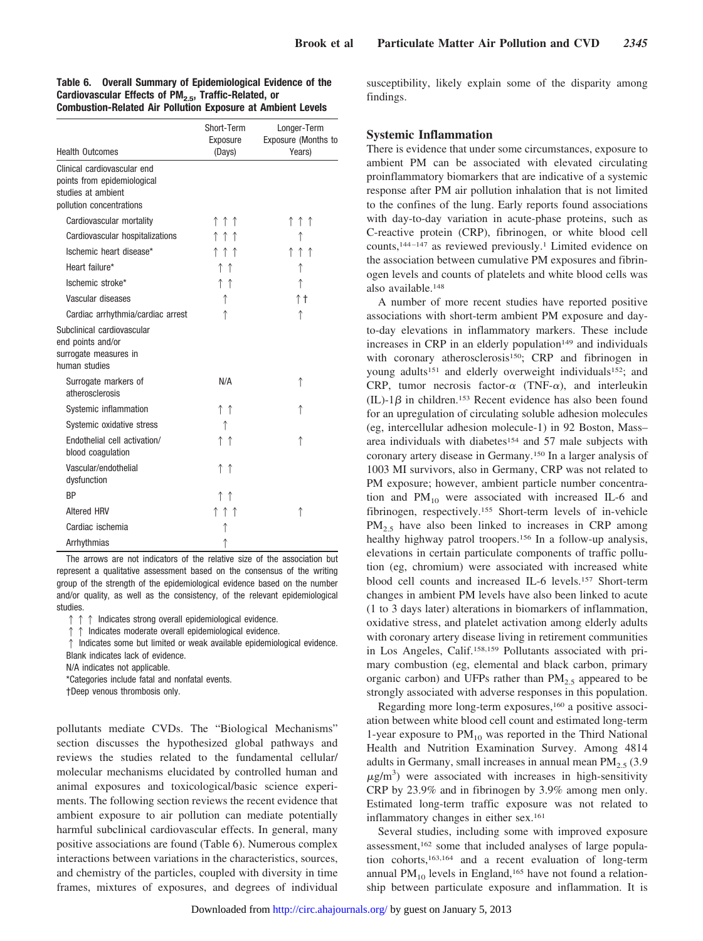| <b>Health Outcomes</b>                                                                                       | Short-Term<br>Exposure<br>(Days) | Longer-Term<br>Exposure (Months to<br>Years) |
|--------------------------------------------------------------------------------------------------------------|----------------------------------|----------------------------------------------|
| Clinical cardiovascular end<br>points from epidemiological<br>studies at ambient<br>pollution concentrations |                                  |                                              |
| Cardiovascular mortality                                                                                     | ↑↑↑                              | ↑↑↑                                          |
| Cardiovascular hospitalizations                                                                              | ↑↑↑                              | ↑                                            |
| Ischemic heart disease*                                                                                      | ↑↑↑                              | ↑↑↑                                          |
| Heart failure*                                                                                               | ↑↑                               | ↑                                            |
| Ischemic stroke*                                                                                             | ↑↑                               | ↑                                            |
| Vascular diseases                                                                                            | ↑                                | ↑↑                                           |
| Cardiac arrhythmia/cardiac arrest                                                                            | ↑                                | ↑                                            |
| Subclinical cardiovascular<br>end points and/or<br>surrogate measures in<br>human studies                    |                                  |                                              |
| Surrogate markers of<br>atherosclerosis                                                                      | N/A                              | ↑                                            |
| Systemic inflammation                                                                                        | ↑↑                               | ↑                                            |
| Systemic oxidative stress                                                                                    | ↑                                |                                              |
| Endothelial cell activation/<br>blood coagulation                                                            | $\uparrow \uparrow$              |                                              |
| Vascular/endothelial<br>dysfunction                                                                          | ↑↑                               |                                              |
| <b>BP</b>                                                                                                    | ↑↑                               |                                              |
| <b>Altered HRV</b>                                                                                           | ↑↑↑                              | ↑                                            |
| Cardiac ischemia                                                                                             |                                  |                                              |
| Arrhythmias                                                                                                  | ↑                                |                                              |

**Table 6. Overall Summary of Epidemiological Evidence of the** Cardiovascular Effects of PM<sub>2.5</sub>, Traffic-Related, or **Combustion-Related Air Pollution Exposure at Ambient Levels**

The arrows are not indicators of the relative size of the association but represent a qualitative assessment based on the consensus of the writing group of the strength of the epidemiological evidence based on the number and/or quality, as well as the consistency, of the relevant epidemiological studies.

 $\uparrow \uparrow \uparrow$  Indicates strong overall epidemiological evidence.

 $\uparrow$  Indicates moderate overall epidemiological evidence.

 $\uparrow$  Indicates some but limited or weak available epidemiological evidence. Blank indicates lack of evidence.

N/A indicates not applicable.

\*Categories include fatal and nonfatal events.

†Deep venous thrombosis only.

pollutants mediate CVDs. The "Biological Mechanisms" section discusses the hypothesized global pathways and reviews the studies related to the fundamental cellular/ molecular mechanisms elucidated by controlled human and animal exposures and toxicological/basic science experiments. The following section reviews the recent evidence that ambient exposure to air pollution can mediate potentially harmful subclinical cardiovascular effects. In general, many positive associations are found (Table 6). Numerous complex interactions between variations in the characteristics, sources, and chemistry of the particles, coupled with diversity in time frames, mixtures of exposures, and degrees of individual susceptibility, likely explain some of the disparity among findings.

# **Systemic Inflammation**

There is evidence that under some circumstances, exposure to ambient PM can be associated with elevated circulating proinflammatory biomarkers that are indicative of a systemic response after PM air pollution inhalation that is not limited to the confines of the lung. Early reports found associations with day-to-day variation in acute-phase proteins, such as C-reactive protein (CRP), fibrinogen, or white blood cell counts,144–147 as reviewed previously.1 Limited evidence on the association between cumulative PM exposures and fibrinogen levels and counts of platelets and white blood cells was also available.148

A number of more recent studies have reported positive associations with short-term ambient PM exposure and dayto-day elevations in inflammatory markers. These include increases in CRP in an elderly population<sup>149</sup> and individuals with coronary atherosclerosis<sup>150</sup>; CRP and fibrinogen in young adults<sup>151</sup> and elderly overweight individuals<sup>152</sup>; and CRP, tumor necrosis factor- $\alpha$  (TNF- $\alpha$ ), and interleukin (IL)-1 $\beta$  in children.<sup>153</sup> Recent evidence has also been found for an upregulation of circulating soluble adhesion molecules (eg, intercellular adhesion molecule-1) in 92 Boston, Mass– area individuals with diabetes<sup>154</sup> and 57 male subjects with coronary artery disease in Germany.150 In a larger analysis of 1003 MI survivors, also in Germany, CRP was not related to PM exposure; however, ambient particle number concentration and  $PM_{10}$  were associated with increased IL-6 and fibrinogen, respectively.155 Short-term levels of in-vehicle PM<sub>2.5</sub> have also been linked to increases in CRP among healthy highway patrol troopers.<sup>156</sup> In a follow-up analysis, elevations in certain particulate components of traffic pollution (eg, chromium) were associated with increased white blood cell counts and increased IL-6 levels.157 Short-term changes in ambient PM levels have also been linked to acute (1 to 3 days later) alterations in biomarkers of inflammation, oxidative stress, and platelet activation among elderly adults with coronary artery disease living in retirement communities in Los Angeles, Calif.158,159 Pollutants associated with primary combustion (eg, elemental and black carbon, primary organic carbon) and UFPs rather than  $PM_{2.5}$  appeared to be strongly associated with adverse responses in this population.

Regarding more long-term exposures,160 a positive association between white blood cell count and estimated long-term 1-year exposure to  $PM_{10}$  was reported in the Third National Health and Nutrition Examination Survey. Among 4814 adults in Germany, small increases in annual mean  $PM_{2,5}$  (3.9)  $\mu$ g/m<sup>3</sup>) were associated with increases in high-sensitivity CRP by 23.9% and in fibrinogen by 3.9% among men only. Estimated long-term traffic exposure was not related to inflammatory changes in either sex.161

Several studies, including some with improved exposure assessment,162 some that included analyses of large population cohorts,163,164 and a recent evaluation of long-term annual  $PM_{10}$  levels in England,<sup>165</sup> have not found a relationship between particulate exposure and inflammation. It is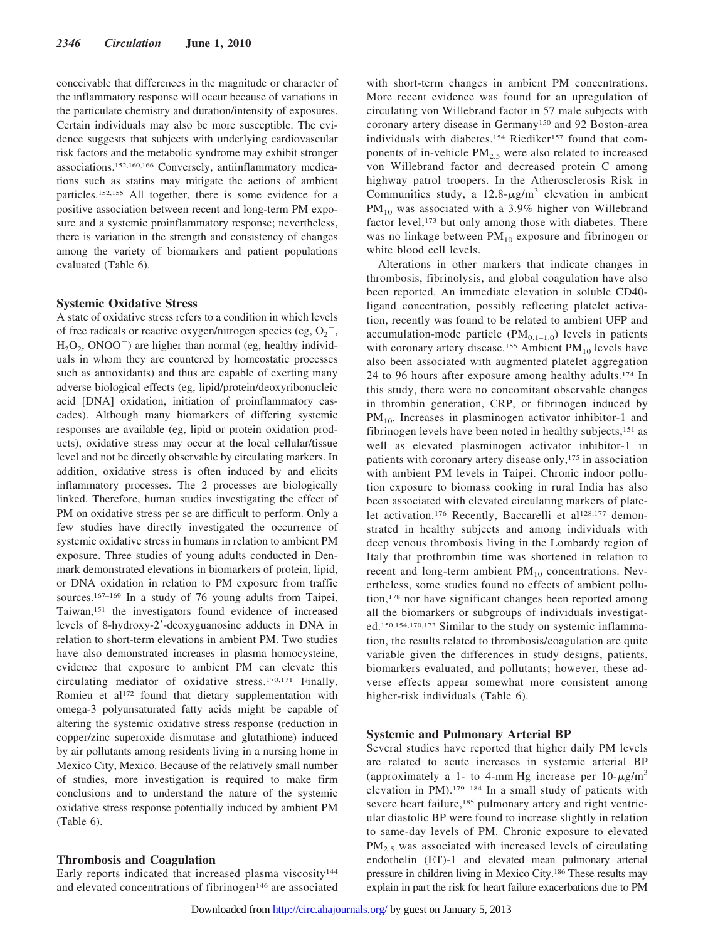conceivable that differences in the magnitude or character of the inflammatory response will occur because of variations in the particulate chemistry and duration/intensity of exposures. Certain individuals may also be more susceptible. The evidence suggests that subjects with underlying cardiovascular risk factors and the metabolic syndrome may exhibit stronger associations.152,160,166 Conversely, antiinflammatory medications such as statins may mitigate the actions of ambient particles.152,155 All together, there is some evidence for a positive association between recent and long-term PM exposure and a systemic proinflammatory response; nevertheless, there is variation in the strength and consistency of changes among the variety of biomarkers and patient populations evaluated (Table 6).

#### **Systemic Oxidative Stress**

A state of oxidative stress refers to a condition in which levels of free radicals or reactive oxygen/nitrogen species (eg,  $O_2$ <sup>-</sup>,  $H<sub>2</sub>O<sub>2</sub>$ , ONOO<sup>-</sup>) are higher than normal (eg, healthy individuals in whom they are countered by homeostatic processes such as antioxidants) and thus are capable of exerting many adverse biological effects (eg, lipid/protein/deoxyribonucleic acid [DNA] oxidation, initiation of proinflammatory cascades). Although many biomarkers of differing systemic responses are available (eg, lipid or protein oxidation products), oxidative stress may occur at the local cellular/tissue level and not be directly observable by circulating markers. In addition, oxidative stress is often induced by and elicits inflammatory processes. The 2 processes are biologically linked. Therefore, human studies investigating the effect of PM on oxidative stress per se are difficult to perform. Only a few studies have directly investigated the occurrence of systemic oxidative stress in humans in relation to ambient PM exposure. Three studies of young adults conducted in Denmark demonstrated elevations in biomarkers of protein, lipid, or DNA oxidation in relation to PM exposure from traffic sources.<sup>167–169</sup> In a study of 76 young adults from Taipei, Taiwan,151 the investigators found evidence of increased levels of 8-hydroxy-2-deoxyguanosine adducts in DNA in relation to short-term elevations in ambient PM. Two studies have also demonstrated increases in plasma homocysteine, evidence that exposure to ambient PM can elevate this circulating mediator of oxidative stress.170,171 Finally, Romieu et al<sup>172</sup> found that dietary supplementation with omega-3 polyunsaturated fatty acids might be capable of altering the systemic oxidative stress response (reduction in copper/zinc superoxide dismutase and glutathione) induced by air pollutants among residents living in a nursing home in Mexico City, Mexico. Because of the relatively small number of studies, more investigation is required to make firm conclusions and to understand the nature of the systemic oxidative stress response potentially induced by ambient PM (Table 6).

#### **Thrombosis and Coagulation**

Early reports indicated that increased plasma viscosity<sup>144</sup> and elevated concentrations of fibrinogen<sup>146</sup> are associated

with short-term changes in ambient PM concentrations. More recent evidence was found for an upregulation of circulating von Willebrand factor in 57 male subjects with coronary artery disease in Germany150 and 92 Boston-area individuals with diabetes.<sup>154</sup> Riediker<sup>157</sup> found that components of in-vehicle  $PM<sub>2.5</sub>$  were also related to increased von Willebrand factor and decreased protein C among highway patrol troopers. In the Atherosclerosis Risk in Communities study, a  $12.8-\mu g/m^3$  elevation in ambient PM<sub>10</sub> was associated with a 3.9% higher von Willebrand factor level,<sup>173</sup> but only among those with diabetes. There was no linkage between  $PM_{10}$  exposure and fibrinogen or white blood cell levels.

Alterations in other markers that indicate changes in thrombosis, fibrinolysis, and global coagulation have also been reported. An immediate elevation in soluble CD40 ligand concentration, possibly reflecting platelet activation, recently was found to be related to ambient UFP and accumulation-mode particle  $(PM_{0.1-1.0})$  levels in patients with coronary artery disease.<sup>155</sup> Ambient  $PM_{10}$  levels have also been associated with augmented platelet aggregation 24 to 96 hours after exposure among healthy adults.174 In this study, there were no concomitant observable changes in thrombin generation, CRP, or fibrinogen induced by  $PM_{10}$ . Increases in plasminogen activator inhibitor-1 and fibrinogen levels have been noted in healthy subjects,151 as well as elevated plasminogen activator inhibitor-1 in patients with coronary artery disease only,<sup>175</sup> in association with ambient PM levels in Taipei. Chronic indoor pollution exposure to biomass cooking in rural India has also been associated with elevated circulating markers of platelet activation.<sup>176</sup> Recently, Baccarelli et al<sup>128,177</sup> demonstrated in healthy subjects and among individuals with deep venous thrombosis living in the Lombardy region of Italy that prothrombin time was shortened in relation to recent and long-term ambient  $PM_{10}$  concentrations. Nevertheless, some studies found no effects of ambient pollution,178 nor have significant changes been reported among all the biomarkers or subgroups of individuals investigated.150,154,170,173 Similar to the study on systemic inflammation, the results related to thrombosis/coagulation are quite variable given the differences in study designs, patients, biomarkers evaluated, and pollutants; however, these adverse effects appear somewhat more consistent among higher-risk individuals (Table 6).

## **Systemic and Pulmonary Arterial BP**

Several studies have reported that higher daily PM levels are related to acute increases in systemic arterial BP (approximately a 1- to 4-mm Hg increase per  $10-\mu g/m^3$ elevation in PM).179–184 In a small study of patients with severe heart failure,<sup>185</sup> pulmonary artery and right ventricular diastolic BP were found to increase slightly in relation to same-day levels of PM. Chronic exposure to elevated  $PM<sub>2.5</sub>$  was associated with increased levels of circulating endothelin (ET)-1 and elevated mean pulmonary arterial pressure in children living in Mexico City.186 These results may explain in part the risk for heart failure exacerbations due to PM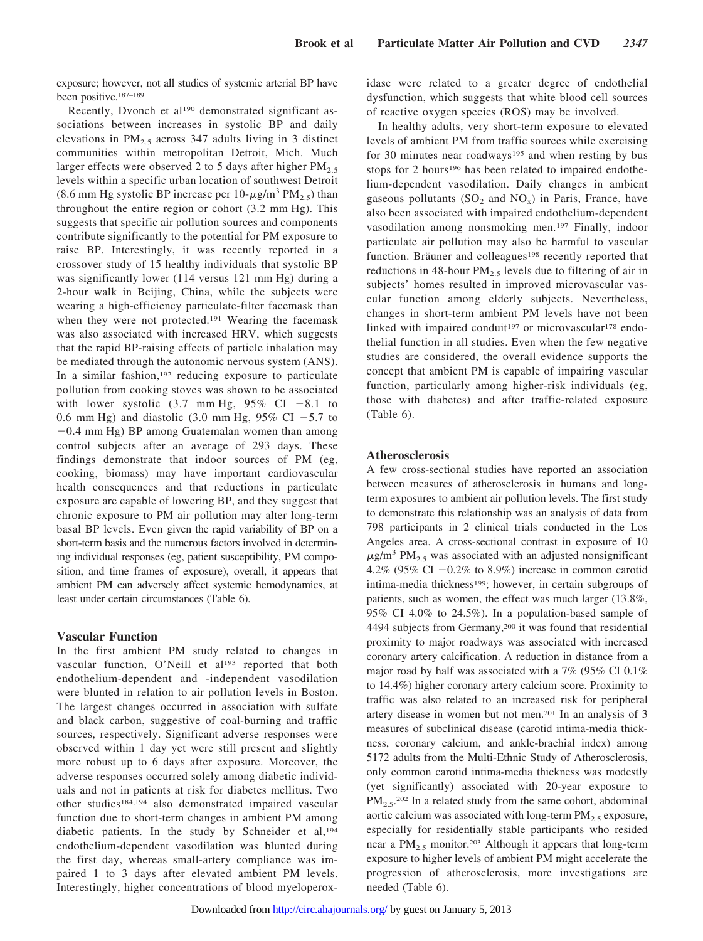exposure; however, not all studies of systemic arterial BP have been positive.187–189

Recently, Dvonch et al<sup>190</sup> demonstrated significant associations between increases in systolic BP and daily elevations in  $PM_{2.5}$  across 347 adults living in 3 distinct communities within metropolitan Detroit, Mich. Much larger effects were observed 2 to 5 days after higher  $PM_{2.5}$ levels within a specific urban location of southwest Detroit (8.6 mm Hg systolic BP increase per  $10$ - $\mu$ g/m<sup>3</sup> PM<sub>2.5</sub>) than throughout the entire region or cohort (3.2 mm Hg). This suggests that specific air pollution sources and components contribute significantly to the potential for PM exposure to raise BP. Interestingly, it was recently reported in a crossover study of 15 healthy individuals that systolic BP was significantly lower (114 versus 121 mm Hg) during a 2-hour walk in Beijing, China, while the subjects were wearing a high-efficiency particulate-filter facemask than when they were not protected.<sup>191</sup> Wearing the facemask was also associated with increased HRV, which suggests that the rapid BP-raising effects of particle inhalation may be mediated through the autonomic nervous system (ANS). In a similar fashion,  $192$  reducing exposure to particulate pollution from cooking stoves was shown to be associated with lower systolic  $(3.7 \text{ mm Hg}, 95\% \text{ CI} -8.1 \text{ to}$ 0.6 mm Hg) and diastolic (3.0 mm Hg, 95% CI  $-5.7$  to  $-0.4$  mm Hg) BP among Guatemalan women than among control subjects after an average of 293 days. These findings demonstrate that indoor sources of PM (eg, cooking, biomass) may have important cardiovascular health consequences and that reductions in particulate exposure are capable of lowering BP, and they suggest that chronic exposure to PM air pollution may alter long-term basal BP levels. Even given the rapid variability of BP on a short-term basis and the numerous factors involved in determining individual responses (eg, patient susceptibility, PM composition, and time frames of exposure), overall, it appears that ambient PM can adversely affect systemic hemodynamics, at least under certain circumstances (Table 6).

#### **Vascular Function**

In the first ambient PM study related to changes in vascular function, O'Neill et al<sup>193</sup> reported that both endothelium-dependent and -independent vasodilation were blunted in relation to air pollution levels in Boston. The largest changes occurred in association with sulfate and black carbon, suggestive of coal-burning and traffic sources, respectively. Significant adverse responses were observed within 1 day yet were still present and slightly more robust up to 6 days after exposure. Moreover, the adverse responses occurred solely among diabetic individuals and not in patients at risk for diabetes mellitus. Two other studies184,194 also demonstrated impaired vascular function due to short-term changes in ambient PM among diabetic patients. In the study by Schneider et al,194 endothelium-dependent vasodilation was blunted during the first day, whereas small-artery compliance was impaired 1 to 3 days after elevated ambient PM levels. Interestingly, higher concentrations of blood myeloperoxidase were related to a greater degree of endothelial dysfunction, which suggests that white blood cell sources of reactive oxygen species (ROS) may be involved.

In healthy adults, very short-term exposure to elevated levels of ambient PM from traffic sources while exercising for 30 minutes near roadways<sup>195</sup> and when resting by bus stops for 2 hours<sup>196</sup> has been related to impaired endothelium-dependent vasodilation. Daily changes in ambient gaseous pollutants  $(SO_2$  and  $NO_x)$  in Paris, France, have also been associated with impaired endothelium-dependent vasodilation among nonsmoking men.197 Finally, indoor particulate air pollution may also be harmful to vascular function. Bräuner and colleagues<sup>198</sup> recently reported that reductions in 48-hour  $PM_{2.5}$  levels due to filtering of air in subjects' homes resulted in improved microvascular vascular function among elderly subjects. Nevertheless, changes in short-term ambient PM levels have not been linked with impaired conduit<sup>197</sup> or microvascular<sup>178</sup> endothelial function in all studies. Even when the few negative studies are considered, the overall evidence supports the concept that ambient PM is capable of impairing vascular function, particularly among higher-risk individuals (eg, those with diabetes) and after traffic-related exposure (Table 6).

## **Atherosclerosis**

A few cross-sectional studies have reported an association between measures of atherosclerosis in humans and longterm exposures to ambient air pollution levels. The first study to demonstrate this relationship was an analysis of data from 798 participants in 2 clinical trials conducted in the Los Angeles area. A cross-sectional contrast in exposure of 10  $\mu$ g/m<sup>3</sup> PM<sub>2.5</sub> was associated with an adjusted nonsignificant 4.2% (95% CI  $-0.2%$  to 8.9%) increase in common carotid intima-media thickness<sup>199</sup>; however, in certain subgroups of patients, such as women, the effect was much larger (13.8%, 95% CI 4.0% to 24.5%). In a population-based sample of 4494 subjects from Germany,200 it was found that residential proximity to major roadways was associated with increased coronary artery calcification. A reduction in distance from a major road by half was associated with a 7% (95% CI 0.1% to 14.4%) higher coronary artery calcium score. Proximity to traffic was also related to an increased risk for peripheral artery disease in women but not men.201 In an analysis of 3 measures of subclinical disease (carotid intima-media thickness, coronary calcium, and ankle-brachial index) among 5172 adults from the Multi-Ethnic Study of Atherosclerosis, only common carotid intima-media thickness was modestly (yet significantly) associated with 20-year exposure to  $PM_{2.5}$ <sup>202</sup> In a related study from the same cohort, abdominal aortic calcium was associated with long-term  $PM<sub>2.5</sub>$  exposure, especially for residentially stable participants who resided near a  $PM_{2.5}$  monitor.<sup>203</sup> Although it appears that long-term exposure to higher levels of ambient PM might accelerate the progression of atherosclerosis, more investigations are needed (Table 6).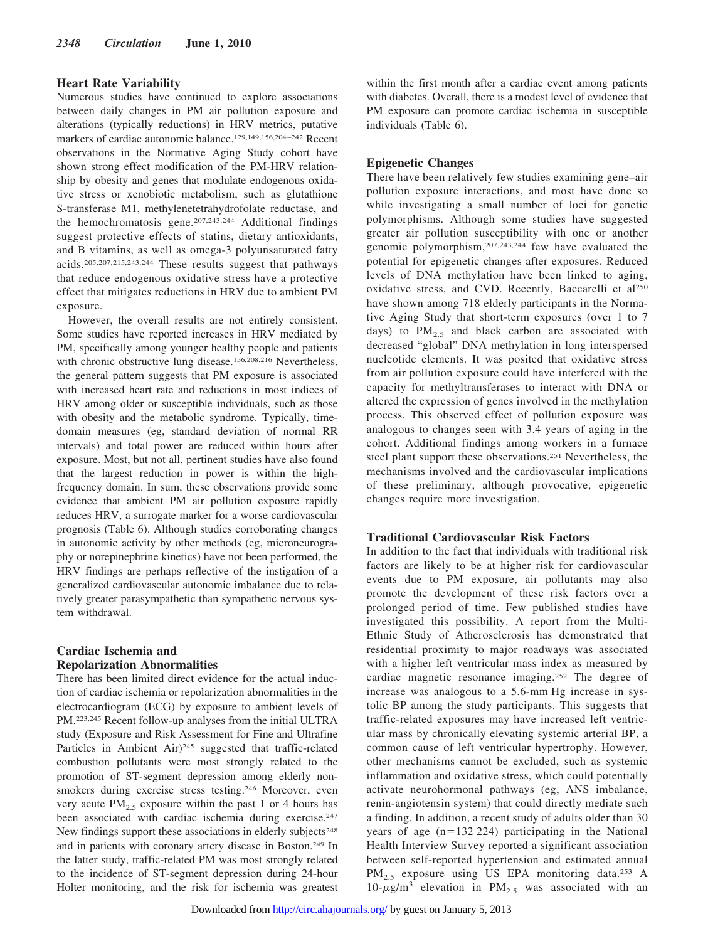## **Heart Rate Variability**

Numerous studies have continued to explore associations between daily changes in PM air pollution exposure and alterations (typically reductions) in HRV metrics, putative markers of cardiac autonomic balance.129,149,156,204–242 Recent observations in the Normative Aging Study cohort have shown strong effect modification of the PM-HRV relationship by obesity and genes that modulate endogenous oxidative stress or xenobiotic metabolism, such as glutathione S-transferase M1, methylenetetrahydrofolate reductase, and the hemochromatosis gene.207,243,244 Additional findings suggest protective effects of statins, dietary antioxidants, and B vitamins, as well as omega-3 polyunsaturated fatty acids.205,207,215,243,244 These results suggest that pathways that reduce endogenous oxidative stress have a protective effect that mitigates reductions in HRV due to ambient PM exposure.

However, the overall results are not entirely consistent. Some studies have reported increases in HRV mediated by PM, specifically among younger healthy people and patients with chronic obstructive lung disease.156,208,216 Nevertheless, the general pattern suggests that PM exposure is associated with increased heart rate and reductions in most indices of HRV among older or susceptible individuals, such as those with obesity and the metabolic syndrome. Typically, timedomain measures (eg, standard deviation of normal RR intervals) and total power are reduced within hours after exposure. Most, but not all, pertinent studies have also found that the largest reduction in power is within the highfrequency domain. In sum, these observations provide some evidence that ambient PM air pollution exposure rapidly reduces HRV, a surrogate marker for a worse cardiovascular prognosis (Table 6). Although studies corroborating changes in autonomic activity by other methods (eg, microneurography or norepinephrine kinetics) have not been performed, the HRV findings are perhaps reflective of the instigation of a generalized cardiovascular autonomic imbalance due to relatively greater parasympathetic than sympathetic nervous system withdrawal.

# **Cardiac Ischemia and Repolarization Abnormalities**

There has been limited direct evidence for the actual induction of cardiac ischemia or repolarization abnormalities in the electrocardiogram (ECG) by exposure to ambient levels of PM.223,245 Recent follow-up analyses from the initial ULTRA study (Exposure and Risk Assessment for Fine and Ultrafine Particles in Ambient Air)<sup>245</sup> suggested that traffic-related combustion pollutants were most strongly related to the promotion of ST-segment depression among elderly nonsmokers during exercise stress testing.246 Moreover, even very acute  $PM_{2.5}$  exposure within the past 1 or 4 hours has been associated with cardiac ischemia during exercise.<sup>247</sup> New findings support these associations in elderly subjects<sup>248</sup> and in patients with coronary artery disease in Boston.249 In the latter study, traffic-related PM was most strongly related to the incidence of ST-segment depression during 24-hour Holter monitoring, and the risk for ischemia was greatest

within the first month after a cardiac event among patients with diabetes. Overall, there is a modest level of evidence that PM exposure can promote cardiac ischemia in susceptible individuals (Table 6).

# **Epigenetic Changes**

There have been relatively few studies examining gene–air pollution exposure interactions, and most have done so while investigating a small number of loci for genetic polymorphisms. Although some studies have suggested greater air pollution susceptibility with one or another genomic polymorphism,207,243,244 few have evaluated the potential for epigenetic changes after exposures. Reduced levels of DNA methylation have been linked to aging, oxidative stress, and CVD. Recently, Baccarelli et al<sup>250</sup> have shown among 718 elderly participants in the Normative Aging Study that short-term exposures (over 1 to 7 days) to  $PM_{2.5}$  and black carbon are associated with decreased "global" DNA methylation in long interspersed nucleotide elements. It was posited that oxidative stress from air pollution exposure could have interfered with the capacity for methyltransferases to interact with DNA or altered the expression of genes involved in the methylation process. This observed effect of pollution exposure was analogous to changes seen with 3.4 years of aging in the cohort. Additional findings among workers in a furnace steel plant support these observations.251 Nevertheless, the mechanisms involved and the cardiovascular implications of these preliminary, although provocative, epigenetic changes require more investigation.

# **Traditional Cardiovascular Risk Factors**

In addition to the fact that individuals with traditional risk factors are likely to be at higher risk for cardiovascular events due to PM exposure, air pollutants may also promote the development of these risk factors over a prolonged period of time. Few published studies have investigated this possibility. A report from the Multi-Ethnic Study of Atherosclerosis has demonstrated that residential proximity to major roadways was associated with a higher left ventricular mass index as measured by cardiac magnetic resonance imaging.252 The degree of increase was analogous to a 5.6-mm Hg increase in systolic BP among the study participants. This suggests that traffic-related exposures may have increased left ventricular mass by chronically elevating systemic arterial BP, a common cause of left ventricular hypertrophy. However, other mechanisms cannot be excluded, such as systemic inflammation and oxidative stress, which could potentially activate neurohormonal pathways (eg, ANS imbalance, renin-angiotensin system) that could directly mediate such a finding. In addition, a recent study of adults older than 30 years of age (n=132 224) participating in the National Health Interview Survey reported a significant association between self-reported hypertension and estimated annual PM<sub>2.5</sub> exposure using US EPA monitoring data.<sup>253</sup> A  $10-\mu g/m^3$  elevation in PM<sub>2.5</sub> was associated with an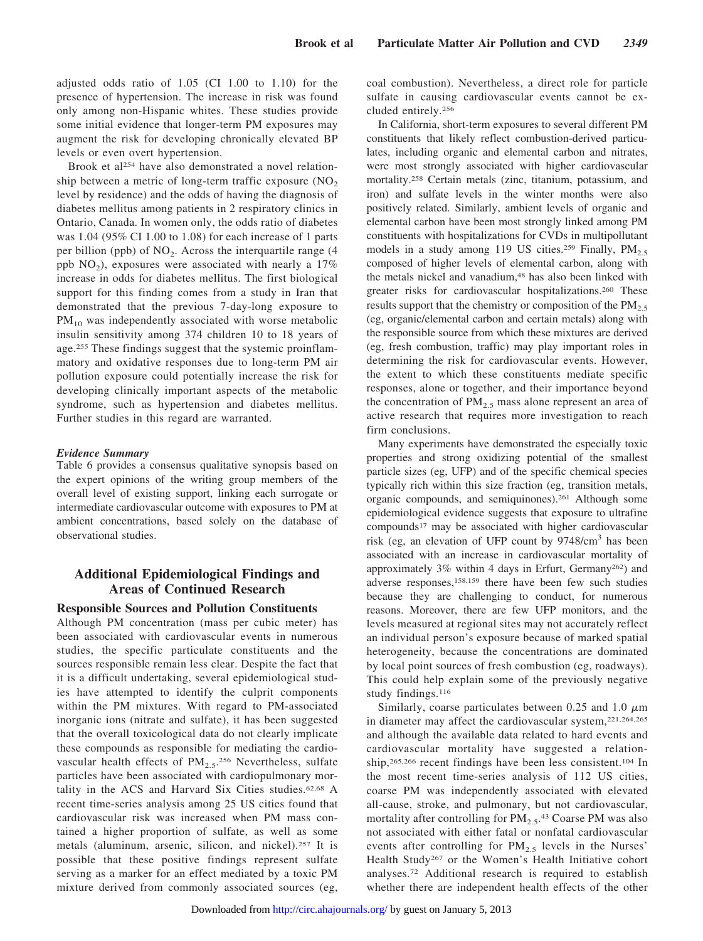adjusted odds ratio of 1.05 (CI 1.00 to 1.10) for the presence of hypertension. The increase in risk was found only among non-Hispanic whites. These studies provide some initial evidence that longer-term PM exposures may augment the risk for developing chronically elevated BP levels or even overt hypertension.

Brook et al<sup>254</sup> have also demonstrated a novel relationship between a metric of long-term traffic exposure  $(NO<sub>2</sub>)$ level by residence) and the odds of having the diagnosis of diabetes mellitus among patients in 2 respiratory clinics in Ontario, Canada. In women only, the odds ratio of diabetes was 1.04 (95% CI 1.00 to 1.08) for each increase of 1 parts per billion (ppb) of  $NO<sub>2</sub>$ . Across the interquartile range (4) ppb  $NO<sub>2</sub>$ ), exposures were associated with nearly a 17% increase in odds for diabetes mellitus. The first biological support for this finding comes from a study in Iran that demonstrated that the previous 7-day-long exposure to  $PM_{10}$  was independently associated with worse metabolic insulin sensitivity among 374 children 10 to 18 years of age.255 These findings suggest that the systemic proinflammatory and oxidative responses due to long-term PM air pollution exposure could potentially increase the risk for developing clinically important aspects of the metabolic syndrome, such as hypertension and diabetes mellitus. Further studies in this regard are warranted.

#### *Evidence Summary*

Table 6 provides a consensus qualitative synopsis based on the expert opinions of the writing group members of the overall level of existing support, linking each surrogate or intermediate cardiovascular outcome with exposures to PM at ambient concentrations, based solely on the database of observational studies.

# **Additional Epidemiological Findings and Areas of Continued Research**

# **Responsible Sources and Pollution Constituents**

Although PM concentration (mass per cubic meter) has been associated with cardiovascular events in numerous studies, the specific particulate constituents and the sources responsible remain less clear. Despite the fact that it is a difficult undertaking, several epidemiological studies have attempted to identify the culprit components within the PM mixtures. With regard to PM-associated inorganic ions (nitrate and sulfate), it has been suggested that the overall toxicological data do not clearly implicate these compounds as responsible for mediating the cardiovascular health effects of  $PM<sub>2.5</sub>^{256}$  Nevertheless, sulfate particles have been associated with cardiopulmonary mortality in the ACS and Harvard Six Cities studies.62,68 A recent time-series analysis among 25 US cities found that cardiovascular risk was increased when PM mass contained a higher proportion of sulfate, as well as some metals (aluminum, arsenic, silicon, and nickel).257 It is possible that these positive findings represent sulfate serving as a marker for an effect mediated by a toxic PM mixture derived from commonly associated sources (eg, coal combustion). Nevertheless, a direct role for particle sulfate in causing cardiovascular events cannot be excluded entirely.256

In California, short-term exposures to several different PM constituents that likely reflect combustion-derived particulates, including organic and elemental carbon and nitrates, were most strongly associated with higher cardiovascular mortality.258 Certain metals (zinc, titanium, potassium, and iron) and sulfate levels in the winter months were also positively related. Similarly, ambient levels of organic and elemental carbon have been most strongly linked among PM constituents with hospitalizations for CVDs in multipollutant models in a study among 119 US cities.<sup>259</sup> Finally,  $PM_{2.5}$ composed of higher levels of elemental carbon, along with the metals nickel and vanadium,<sup>48</sup> has also been linked with greater risks for cardiovascular hospitalizations.260 These results support that the chemistry or composition of the  $PM_{2.5}$ (eg, organic/elemental carbon and certain metals) along with the responsible source from which these mixtures are derived (eg, fresh combustion, traffic) may play important roles in determining the risk for cardiovascular events. However, the extent to which these constituents mediate specific responses, alone or together, and their importance beyond the concentration of  $PM_{2.5}$  mass alone represent an area of active research that requires more investigation to reach firm conclusions.

Many experiments have demonstrated the especially toxic properties and strong oxidizing potential of the smallest particle sizes (eg, UFP) and of the specific chemical species typically rich within this size fraction (eg, transition metals, organic compounds, and semiquinones).261 Although some epidemiological evidence suggests that exposure to ultrafine compounds17 may be associated with higher cardiovascular risk (eg, an elevation of UFP count by 9748/cm3 has been associated with an increase in cardiovascular mortality of approximately 3% within 4 days in Erfurt, Germany262) and adverse responses,158,159 there have been few such studies because they are challenging to conduct, for numerous reasons. Moreover, there are few UFP monitors, and the levels measured at regional sites may not accurately reflect an individual person's exposure because of marked spatial heterogeneity, because the concentrations are dominated by local point sources of fresh combustion (eg, roadways). This could help explain some of the previously negative study findings.<sup>116</sup>

Similarly, coarse particulates between 0.25 and 1.0  $\mu$ m in diameter may affect the cardiovascular system,221,264,265 and although the available data related to hard events and cardiovascular mortality have suggested a relationship,<sup>265,266</sup> recent findings have been less consistent.<sup>104</sup> In the most recent time-series analysis of 112 US cities, coarse PM was independently associated with elevated all-cause, stroke, and pulmonary, but not cardiovascular, mortality after controlling for  $PM_{2.5}$ .<sup>43</sup> Coarse PM was also not associated with either fatal or nonfatal cardiovascular events after controlling for  $PM<sub>2.5</sub>$  levels in the Nurses' Health Study267 or the Women's Health Initiative cohort analyses.72 Additional research is required to establish whether there are independent health effects of the other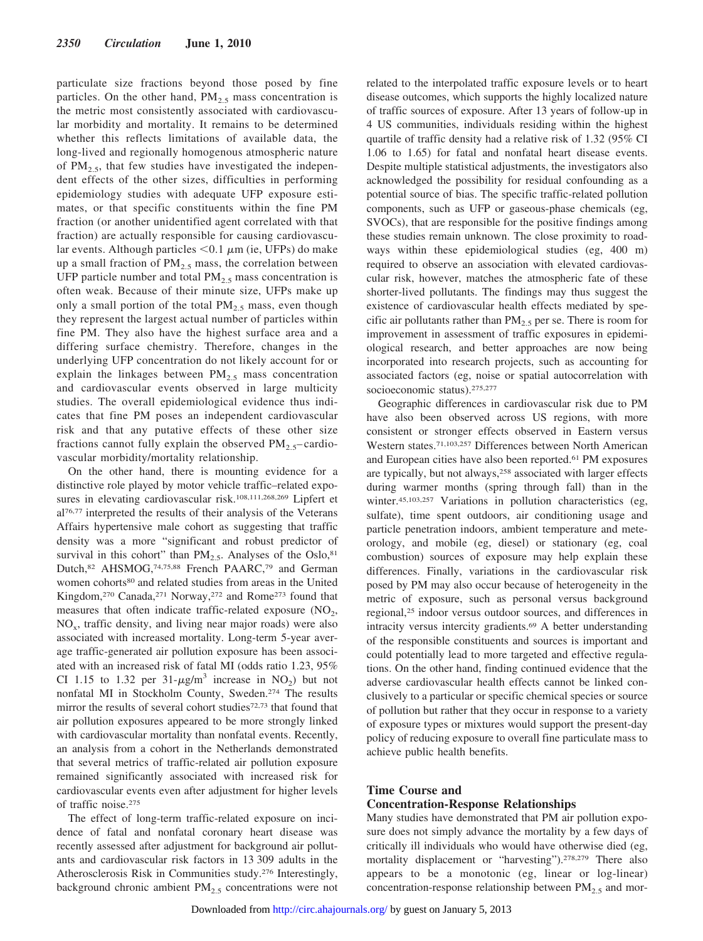particulate size fractions beyond those posed by fine particles. On the other hand,  $PM<sub>2.5</sub>$  mass concentration is the metric most consistently associated with cardiovascular morbidity and mortality. It remains to be determined whether this reflects limitations of available data, the long-lived and regionally homogenous atmospheric nature of  $PM_{2.5}$ , that few studies have investigated the independent effects of the other sizes, difficulties in performing epidemiology studies with adequate UFP exposure estimates, or that specific constituents within the fine PM fraction (or another unidentified agent correlated with that fraction) are actually responsible for causing cardiovascular events. Although particles  $< 0.1 \mu m$  (ie, UFPs) do make up a small fraction of  $PM_{2.5}$  mass, the correlation between UFP particle number and total  $PM<sub>2.5</sub>$  mass concentration is often weak. Because of their minute size, UFPs make up only a small portion of the total  $PM_{2.5}$  mass, even though they represent the largest actual number of particles within fine PM. They also have the highest surface area and a differing surface chemistry. Therefore, changes in the underlying UFP concentration do not likely account for or explain the linkages between  $PM<sub>2.5</sub>$  mass concentration and cardiovascular events observed in large multicity studies. The overall epidemiological evidence thus indicates that fine PM poses an independent cardiovascular risk and that any putative effects of these other size fractions cannot fully explain the observed  $PM_2$ ,  $\epsilon$ –cardiovascular morbidity/mortality relationship.

On the other hand, there is mounting evidence for a distinctive role played by motor vehicle traffic–related exposures in elevating cardiovascular risk.<sup>108,111,268,269</sup> Lipfert et al76,77 interpreted the results of their analysis of the Veterans Affairs hypertensive male cohort as suggesting that traffic density was a more "significant and robust predictor of survival in this cohort" than  $PM_{2.5}$ . Analyses of the Oslo,<sup>81</sup> Dutch,82 AHSMOG,74,75,88 French PAARC,79 and German women cohorts<sup>80</sup> and related studies from areas in the United Kingdom,270 Canada,271 Norway,272 and Rome273 found that measures that often indicate traffic-related exposure  $(NO<sub>2</sub>)$ ,  $NO<sub>x</sub>$ , traffic density, and living near major roads) were also associated with increased mortality. Long-term 5-year average traffic-generated air pollution exposure has been associated with an increased risk of fatal MI (odds ratio 1.23, 95% CI 1.15 to 1.32 per  $31-\mu g/m^3$  increase in NO<sub>2</sub>) but not nonfatal MI in Stockholm County, Sweden.274 The results mirror the results of several cohort studies<sup>72,73</sup> that found that air pollution exposures appeared to be more strongly linked with cardiovascular mortality than nonfatal events. Recently, an analysis from a cohort in the Netherlands demonstrated that several metrics of traffic-related air pollution exposure remained significantly associated with increased risk for cardiovascular events even after adjustment for higher levels of traffic noise.275

The effect of long-term traffic-related exposure on incidence of fatal and nonfatal coronary heart disease was recently assessed after adjustment for background air pollutants and cardiovascular risk factors in 13 309 adults in the Atherosclerosis Risk in Communities study.276 Interestingly, background chronic ambient  $PM<sub>2.5</sub>$  concentrations were not related to the interpolated traffic exposure levels or to heart disease outcomes, which supports the highly localized nature of traffic sources of exposure. After 13 years of follow-up in 4 US communities, individuals residing within the highest quartile of traffic density had a relative risk of 1.32 (95% CI 1.06 to 1.65) for fatal and nonfatal heart disease events. Despite multiple statistical adjustments, the investigators also acknowledged the possibility for residual confounding as a potential source of bias. The specific traffic-related pollution components, such as UFP or gaseous-phase chemicals (eg, SVOCs), that are responsible for the positive findings among these studies remain unknown. The close proximity to roadways within these epidemiological studies (eg, 400 m) required to observe an association with elevated cardiovascular risk, however, matches the atmospheric fate of these shorter-lived pollutants. The findings may thus suggest the existence of cardiovascular health effects mediated by specific air pollutants rather than  $PM<sub>2.5</sub>$  per se. There is room for improvement in assessment of traffic exposures in epidemiological research, and better approaches are now being incorporated into research projects, such as accounting for associated factors (eg, noise or spatial autocorrelation with socioeconomic status).275,277

Geographic differences in cardiovascular risk due to PM have also been observed across US regions, with more consistent or stronger effects observed in Eastern versus Western states.71,103,257 Differences between North American and European cities have also been reported.61 PM exposures are typically, but not always,<sup>258</sup> associated with larger effects during warmer months (spring through fall) than in the winter.45,103,257 Variations in pollution characteristics (eg, sulfate), time spent outdoors, air conditioning usage and particle penetration indoors, ambient temperature and meteorology, and mobile (eg, diesel) or stationary (eg, coal combustion) sources of exposure may help explain these differences. Finally, variations in the cardiovascular risk posed by PM may also occur because of heterogeneity in the metric of exposure, such as personal versus background regional,25 indoor versus outdoor sources, and differences in intracity versus intercity gradients.69 A better understanding of the responsible constituents and sources is important and could potentially lead to more targeted and effective regulations. On the other hand, finding continued evidence that the adverse cardiovascular health effects cannot be linked conclusively to a particular or specific chemical species or source of pollution but rather that they occur in response to a variety of exposure types or mixtures would support the present-day policy of reducing exposure to overall fine particulate mass to achieve public health benefits.

# **Time Course and**

#### **Concentration-Response Relationships**

Many studies have demonstrated that PM air pollution exposure does not simply advance the mortality by a few days of critically ill individuals who would have otherwise died (eg, mortality displacement or "harvesting").278,279 There also appears to be a monotonic (eg, linear or log-linear) concentration-response relationship between  $PM<sub>2.5</sub>$  and mor-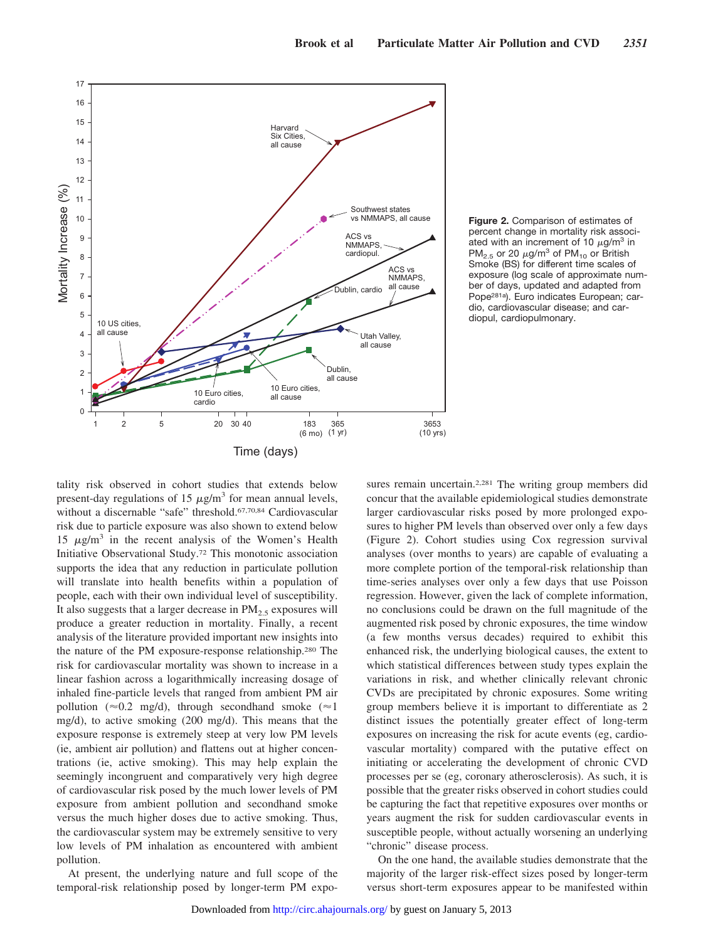

**Figure 2.** Comparison of estimates of percent change in mortality risk associated with an increment of 10  $\mu$ g/m<sup>3</sup> in PM<sub>2.5</sub> or 20  $\mu$ g/m<sup>3</sup> of PM<sub>10</sub> or British Smoke (BS) for different time scales of exposure (log scale of approximate number of days, updated and adapted from Pope281a). Euro indicates European; cardio, cardiovascular disease; and cardiopul, cardiopulmonary.

tality risk observed in cohort studies that extends below present-day regulations of 15  $\mu$ g/m<sup>3</sup> for mean annual levels, without a discernable "safe" threshold.<sup>67,70,84</sup> Cardiovascular risk due to particle exposure was also shown to extend below 15  $\mu$ g/m<sup>3</sup> in the recent analysis of the Women's Health Initiative Observational Study.72 This monotonic association supports the idea that any reduction in particulate pollution will translate into health benefits within a population of people, each with their own individual level of susceptibility. It also suggests that a larger decrease in  $PM<sub>2.5</sub>$  exposures will produce a greater reduction in mortality. Finally, a recent analysis of the literature provided important new insights into the nature of the PM exposure-response relationship.280 The risk for cardiovascular mortality was shown to increase in a linear fashion across a logarithmically increasing dosage of inhaled fine-particle levels that ranged from ambient PM air pollution ( $\approx$ 0.2 mg/d), through secondhand smoke ( $\approx$ 1 mg/d), to active smoking (200 mg/d). This means that the exposure response is extremely steep at very low PM levels (ie, ambient air pollution) and flattens out at higher concentrations (ie, active smoking). This may help explain the seemingly incongruent and comparatively very high degree of cardiovascular risk posed by the much lower levels of PM exposure from ambient pollution and secondhand smoke versus the much higher doses due to active smoking. Thus, the cardiovascular system may be extremely sensitive to very low levels of PM inhalation as encountered with ambient pollution.

At present, the underlying nature and full scope of the temporal-risk relationship posed by longer-term PM exposures remain uncertain.<sup>2,281</sup> The writing group members did concur that the available epidemiological studies demonstrate larger cardiovascular risks posed by more prolonged exposures to higher PM levels than observed over only a few days (Figure 2). Cohort studies using Cox regression survival analyses (over months to years) are capable of evaluating a more complete portion of the temporal-risk relationship than time-series analyses over only a few days that use Poisson regression. However, given the lack of complete information, no conclusions could be drawn on the full magnitude of the augmented risk posed by chronic exposures, the time window (a few months versus decades) required to exhibit this enhanced risk, the underlying biological causes, the extent to which statistical differences between study types explain the variations in risk, and whether clinically relevant chronic CVDs are precipitated by chronic exposures. Some writing group members believe it is important to differentiate as 2 distinct issues the potentially greater effect of long-term exposures on increasing the risk for acute events (eg, cardiovascular mortality) compared with the putative effect on initiating or accelerating the development of chronic CVD processes per se (eg, coronary atherosclerosis). As such, it is possible that the greater risks observed in cohort studies could be capturing the fact that repetitive exposures over months or years augment the risk for sudden cardiovascular events in susceptible people, without actually worsening an underlying "chronic" disease process.

On the one hand, the available studies demonstrate that the majority of the larger risk-effect sizes posed by longer-term versus short-term exposures appear to be manifested within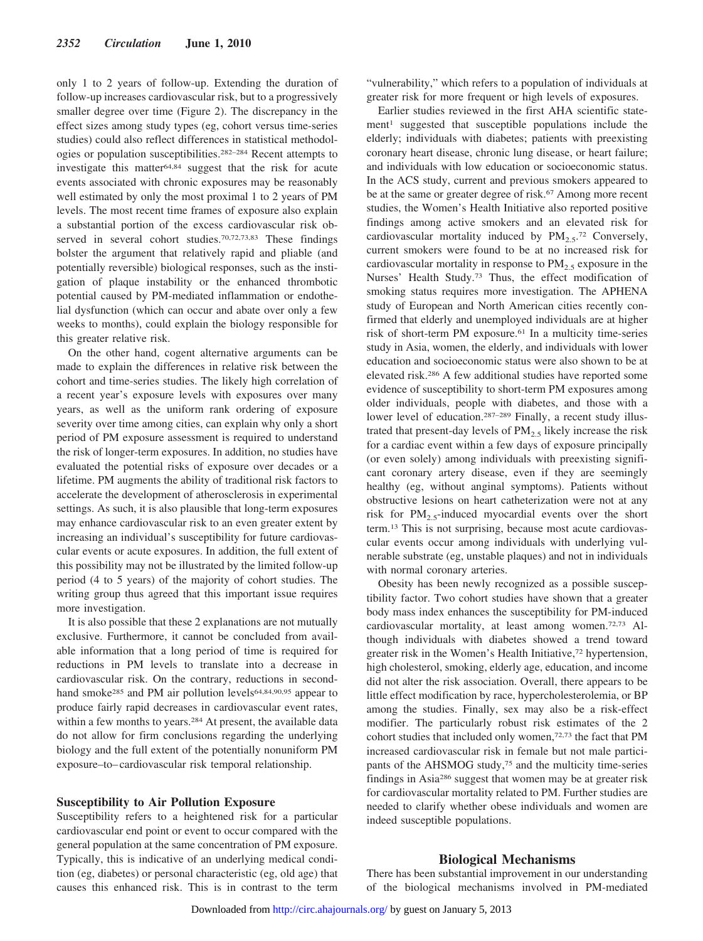only 1 to 2 years of follow-up. Extending the duration of follow-up increases cardiovascular risk, but to a progressively smaller degree over time (Figure 2). The discrepancy in the effect sizes among study types (eg, cohort versus time-series studies) could also reflect differences in statistical methodologies or population susceptibilities.282–284 Recent attempts to investigate this matter64,84 suggest that the risk for acute events associated with chronic exposures may be reasonably well estimated by only the most proximal 1 to 2 years of PM levels. The most recent time frames of exposure also explain a substantial portion of the excess cardiovascular risk observed in several cohort studies.70,72,73,83 These findings bolster the argument that relatively rapid and pliable (and potentially reversible) biological responses, such as the instigation of plaque instability or the enhanced thrombotic potential caused by PM-mediated inflammation or endothelial dysfunction (which can occur and abate over only a few weeks to months), could explain the biology responsible for this greater relative risk.

On the other hand, cogent alternative arguments can be made to explain the differences in relative risk between the cohort and time-series studies. The likely high correlation of a recent year's exposure levels with exposures over many years, as well as the uniform rank ordering of exposure severity over time among cities, can explain why only a short period of PM exposure assessment is required to understand the risk of longer-term exposures. In addition, no studies have evaluated the potential risks of exposure over decades or a lifetime. PM augments the ability of traditional risk factors to accelerate the development of atherosclerosis in experimental settings. As such, it is also plausible that long-term exposures may enhance cardiovascular risk to an even greater extent by increasing an individual's susceptibility for future cardiovascular events or acute exposures. In addition, the full extent of this possibility may not be illustrated by the limited follow-up period (4 to 5 years) of the majority of cohort studies. The writing group thus agreed that this important issue requires more investigation.

It is also possible that these 2 explanations are not mutually exclusive. Furthermore, it cannot be concluded from available information that a long period of time is required for reductions in PM levels to translate into a decrease in cardiovascular risk. On the contrary, reductions in secondhand smoke<sup>285</sup> and PM air pollution levels<sup>64,84,90,95</sup> appear to produce fairly rapid decreases in cardiovascular event rates, within a few months to years.284 At present, the available data do not allow for firm conclusions regarding the underlying biology and the full extent of the potentially nonuniform PM exposure–to–cardiovascular risk temporal relationship.

# **Susceptibility to Air Pollution Exposure**

Susceptibility refers to a heightened risk for a particular cardiovascular end point or event to occur compared with the general population at the same concentration of PM exposure. Typically, this is indicative of an underlying medical condition (eg, diabetes) or personal characteristic (eg, old age) that causes this enhanced risk. This is in contrast to the term "vulnerability," which refers to a population of individuals at greater risk for more frequent or high levels of exposures.

Earlier studies reviewed in the first AHA scientific statement<sup>1</sup> suggested that susceptible populations include the elderly; individuals with diabetes; patients with preexisting coronary heart disease, chronic lung disease, or heart failure; and individuals with low education or socioeconomic status. In the ACS study, current and previous smokers appeared to be at the same or greater degree of risk.<sup>67</sup> Among more recent studies, the Women's Health Initiative also reported positive findings among active smokers and an elevated risk for cardiovascular mortality induced by  $PM_{2.5}$ .<sup>72</sup> Conversely, current smokers were found to be at no increased risk for cardiovascular mortality in response to  $PM_{2.5}$  exposure in the Nurses' Health Study.73 Thus, the effect modification of smoking status requires more investigation. The APHENA study of European and North American cities recently confirmed that elderly and unemployed individuals are at higher risk of short-term PM exposure.61 In a multicity time-series study in Asia, women, the elderly, and individuals with lower education and socioeconomic status were also shown to be at elevated risk.286 A few additional studies have reported some evidence of susceptibility to short-term PM exposures among older individuals, people with diabetes, and those with a lower level of education.<sup>287–289</sup> Finally, a recent study illustrated that present-day levels of  $PM<sub>2.5</sub>$  likely increase the risk for a cardiac event within a few days of exposure principally (or even solely) among individuals with preexisting significant coronary artery disease, even if they are seemingly healthy (eg, without anginal symptoms). Patients without obstructive lesions on heart catheterization were not at any risk for  $PM_2$ -induced myocardial events over the short term.13 This is not surprising, because most acute cardiovascular events occur among individuals with underlying vulnerable substrate (eg, unstable plaques) and not in individuals with normal coronary arteries.

Obesity has been newly recognized as a possible susceptibility factor. Two cohort studies have shown that a greater body mass index enhances the susceptibility for PM-induced cardiovascular mortality, at least among women.72,73 Although individuals with diabetes showed a trend toward greater risk in the Women's Health Initiative,<sup>72</sup> hypertension, high cholesterol, smoking, elderly age, education, and income did not alter the risk association. Overall, there appears to be little effect modification by race, hypercholesterolemia, or BP among the studies. Finally, sex may also be a risk-effect modifier. The particularly robust risk estimates of the 2 cohort studies that included only women,72,73 the fact that PM increased cardiovascular risk in female but not male participants of the AHSMOG study,75 and the multicity time-series findings in Asia286 suggest that women may be at greater risk for cardiovascular mortality related to PM. Further studies are needed to clarify whether obese individuals and women are indeed susceptible populations.

#### **Biological Mechanisms**

There has been substantial improvement in our understanding of the biological mechanisms involved in PM-mediated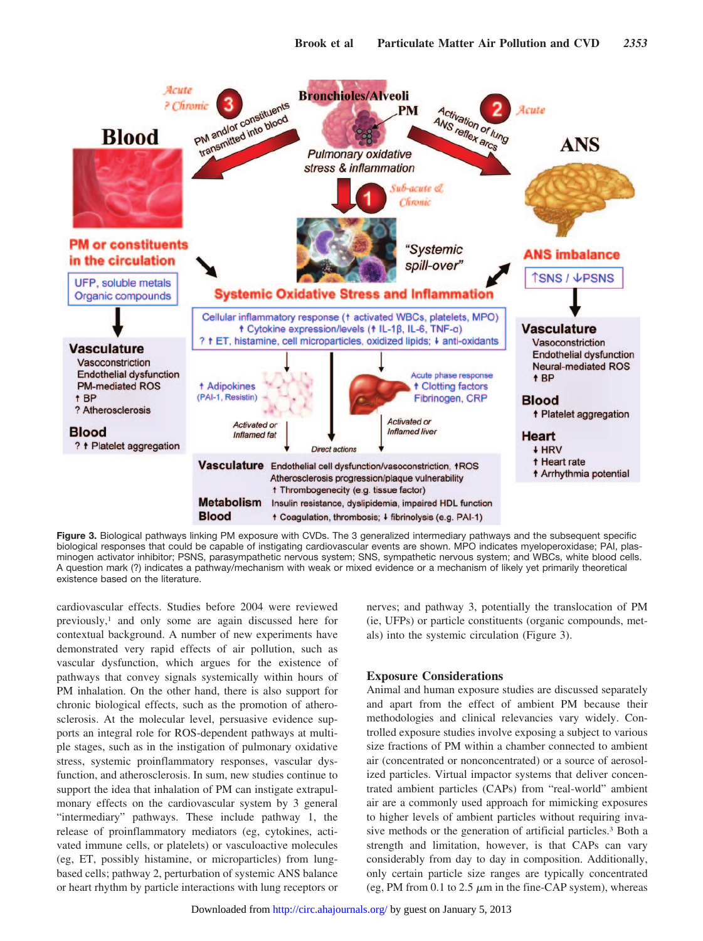

**Figure 3.** Biological pathways linking PM exposure with CVDs. The 3 generalized intermediary pathways and the subsequent specific biological responses that could be capable of instigating cardiovascular events are shown. MPO indicates myeloperoxidase; PAI, plasminogen activator inhibitor; PSNS, parasympathetic nervous system; SNS, sympathetic nervous system; and WBCs, white blood cells. A question mark (?) indicates a pathway/mechanism with weak or mixed evidence or a mechanism of likely yet primarily theoretical existence based on the literature.

cardiovascular effects. Studies before 2004 were reviewed previously,1 and only some are again discussed here for contextual background. A number of new experiments have demonstrated very rapid effects of air pollution, such as vascular dysfunction, which argues for the existence of pathways that convey signals systemically within hours of PM inhalation. On the other hand, there is also support for chronic biological effects, such as the promotion of atherosclerosis. At the molecular level, persuasive evidence supports an integral role for ROS-dependent pathways at multiple stages, such as in the instigation of pulmonary oxidative stress, systemic proinflammatory responses, vascular dysfunction, and atherosclerosis. In sum, new studies continue to support the idea that inhalation of PM can instigate extrapulmonary effects on the cardiovascular system by 3 general "intermediary" pathways. These include pathway 1, the release of proinflammatory mediators (eg, cytokines, activated immune cells, or platelets) or vasculoactive molecules (eg, ET, possibly histamine, or microparticles) from lungbased cells; pathway 2, perturbation of systemic ANS balance or heart rhythm by particle interactions with lung receptors or

nerves; and pathway 3, potentially the translocation of PM (ie, UFPs) or particle constituents (organic compounds, metals) into the systemic circulation (Figure 3).

# **Exposure Considerations**

Animal and human exposure studies are discussed separately and apart from the effect of ambient PM because their methodologies and clinical relevancies vary widely. Controlled exposure studies involve exposing a subject to various size fractions of PM within a chamber connected to ambient air (concentrated or nonconcentrated) or a source of aerosolized particles. Virtual impactor systems that deliver concentrated ambient particles (CAPs) from "real-world" ambient air are a commonly used approach for mimicking exposures to higher levels of ambient particles without requiring invasive methods or the generation of artificial particles.3 Both a strength and limitation, however, is that CAPs can vary considerably from day to day in composition. Additionally, only certain particle size ranges are typically concentrated (eg, PM from 0.1 to 2.5  $\mu$ m in the fine-CAP system), whereas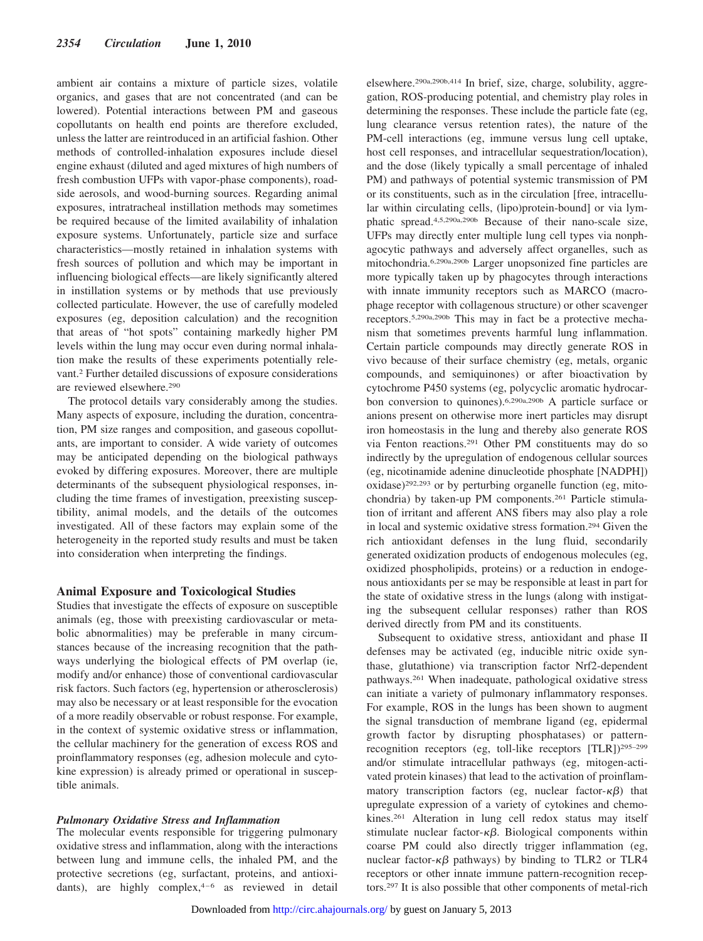ambient air contains a mixture of particle sizes, volatile organics, and gases that are not concentrated (and can be lowered). Potential interactions between PM and gaseous copollutants on health end points are therefore excluded, unless the latter are reintroduced in an artificial fashion. Other methods of controlled-inhalation exposures include diesel engine exhaust (diluted and aged mixtures of high numbers of fresh combustion UFPs with vapor-phase components), roadside aerosols, and wood-burning sources. Regarding animal exposures, intratracheal instillation methods may sometimes be required because of the limited availability of inhalation exposure systems. Unfortunately, particle size and surface characteristics—mostly retained in inhalation systems with fresh sources of pollution and which may be important in influencing biological effects—are likely significantly altered in instillation systems or by methods that use previously collected particulate. However, the use of carefully modeled exposures (eg, deposition calculation) and the recognition that areas of "hot spots" containing markedly higher PM levels within the lung may occur even during normal inhalation make the results of these experiments potentially relevant.2 Further detailed discussions of exposure considerations are reviewed elsewhere.290

The protocol details vary considerably among the studies. Many aspects of exposure, including the duration, concentration, PM size ranges and composition, and gaseous copollutants, are important to consider. A wide variety of outcomes may be anticipated depending on the biological pathways evoked by differing exposures. Moreover, there are multiple determinants of the subsequent physiological responses, including the time frames of investigation, preexisting susceptibility, animal models, and the details of the outcomes investigated. All of these factors may explain some of the heterogeneity in the reported study results and must be taken into consideration when interpreting the findings.

#### **Animal Exposure and Toxicological Studies**

Studies that investigate the effects of exposure on susceptible animals (eg, those with preexisting cardiovascular or metabolic abnormalities) may be preferable in many circumstances because of the increasing recognition that the pathways underlying the biological effects of PM overlap (ie, modify and/or enhance) those of conventional cardiovascular risk factors. Such factors (eg, hypertension or atherosclerosis) may also be necessary or at least responsible for the evocation of a more readily observable or robust response. For example, in the context of systemic oxidative stress or inflammation, the cellular machinery for the generation of excess ROS and proinflammatory responses (eg, adhesion molecule and cytokine expression) is already primed or operational in susceptible animals.

### *Pulmonary Oxidative Stress and Inflammation*

The molecular events responsible for triggering pulmonary oxidative stress and inflammation, along with the interactions between lung and immune cells, the inhaled PM, and the protective secretions (eg, surfactant, proteins, and antioxidants), are highly complex, $4-6$  as reviewed in detail elsewhere.290a,290b,414 In brief, size, charge, solubility, aggregation, ROS-producing potential, and chemistry play roles in determining the responses. These include the particle fate (eg, lung clearance versus retention rates), the nature of the PM-cell interactions (eg, immune versus lung cell uptake, host cell responses, and intracellular sequestration/location), and the dose (likely typically a small percentage of inhaled PM) and pathways of potential systemic transmission of PM or its constituents, such as in the circulation [free, intracellular within circulating cells, (lipo)protein-bound] or via lymphatic spread.4,5,290a,290b Because of their nano-scale size, UFPs may directly enter multiple lung cell types via nonphagocytic pathways and adversely affect organelles, such as mitochondria.6,290a,290b Larger unopsonized fine particles are more typically taken up by phagocytes through interactions with innate immunity receptors such as MARCO (macrophage receptor with collagenous structure) or other scavenger receptors.5,290a,290b This may in fact be a protective mechanism that sometimes prevents harmful lung inflammation. Certain particle compounds may directly generate ROS in vivo because of their surface chemistry (eg, metals, organic compounds, and semiquinones) or after bioactivation by cytochrome P450 systems (eg, polycyclic aromatic hydrocarbon conversion to quinones).6,290a,290b A particle surface or anions present on otherwise more inert particles may disrupt iron homeostasis in the lung and thereby also generate ROS via Fenton reactions.291 Other PM constituents may do so indirectly by the upregulation of endogenous cellular sources (eg, nicotinamide adenine dinucleotide phosphate [NADPH]) oxidase)292,293 or by perturbing organelle function (eg, mitochondria) by taken-up PM components.261 Particle stimulation of irritant and afferent ANS fibers may also play a role in local and systemic oxidative stress formation.294 Given the rich antioxidant defenses in the lung fluid, secondarily generated oxidization products of endogenous molecules (eg, oxidized phospholipids, proteins) or a reduction in endogenous antioxidants per se may be responsible at least in part for the state of oxidative stress in the lungs (along with instigating the subsequent cellular responses) rather than ROS derived directly from PM and its constituents.

Subsequent to oxidative stress, antioxidant and phase II defenses may be activated (eg, inducible nitric oxide synthase, glutathione) via transcription factor Nrf2-dependent pathways.261 When inadequate, pathological oxidative stress can initiate a variety of pulmonary inflammatory responses. For example, ROS in the lungs has been shown to augment the signal transduction of membrane ligand (eg, epidermal growth factor by disrupting phosphatases) or patternrecognition receptors (eg, toll-like receptors [TLR])295–299 and/or stimulate intracellular pathways (eg, mitogen-activated protein kinases) that lead to the activation of proinflammatory transcription factors (eg, nuclear factor- $\kappa\beta$ ) that upregulate expression of a variety of cytokines and chemokines.261 Alteration in lung cell redox status may itself stimulate nuclear factor- $\kappa\beta$ . Biological components within coarse PM could also directly trigger inflammation (eg, nuclear factor- $\kappa\beta$  pathways) by binding to TLR2 or TLR4 receptors or other innate immune pattern-recognition receptors.297 It is also possible that other components of metal-rich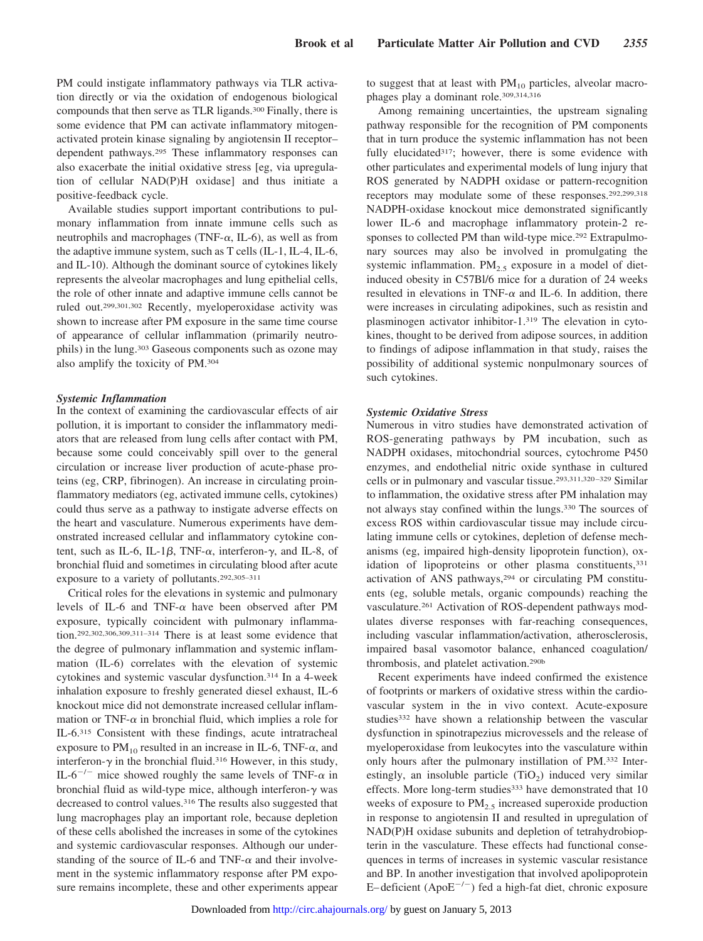PM could instigate inflammatory pathways via TLR activation directly or via the oxidation of endogenous biological compounds that then serve as TLR ligands.300 Finally, there is some evidence that PM can activate inflammatory mitogenactivated protein kinase signaling by angiotensin II receptor– dependent pathways.295 These inflammatory responses can also exacerbate the initial oxidative stress [eg, via upregulation of cellular NAD(P)H oxidase] and thus initiate a positive-feedback cycle.

Available studies support important contributions to pulmonary inflammation from innate immune cells such as neutrophils and macrophages (TNF- $\alpha$ , IL-6), as well as from the adaptive immune system, such as T cells (IL-1, IL-4, IL-6, and IL-10). Although the dominant source of cytokines likely represents the alveolar macrophages and lung epithelial cells, the role of other innate and adaptive immune cells cannot be ruled out.299,301,302 Recently, myeloperoxidase activity was shown to increase after PM exposure in the same time course of appearance of cellular inflammation (primarily neutrophils) in the lung.303 Gaseous components such as ozone may also amplify the toxicity of PM.304

#### *Systemic Inflammation*

In the context of examining the cardiovascular effects of air pollution, it is important to consider the inflammatory mediators that are released from lung cells after contact with PM, because some could conceivably spill over to the general circulation or increase liver production of acute-phase proteins (eg, CRP, fibrinogen). An increase in circulating proinflammatory mediators (eg, activated immune cells, cytokines) could thus serve as a pathway to instigate adverse effects on the heart and vasculature. Numerous experiments have demonstrated increased cellular and inflammatory cytokine content, such as IL-6, IL-1 $\beta$ , TNF- $\alpha$ , interferon- $\gamma$ , and IL-8, of bronchial fluid and sometimes in circulating blood after acute exposure to a variety of pollutants.292,305–311

Critical roles for the elevations in systemic and pulmonary levels of IL-6 and TNF- $\alpha$  have been observed after PM exposure, typically coincident with pulmonary inflammation.292,302,306,309,311–314 There is at least some evidence that the degree of pulmonary inflammation and systemic inflammation (IL-6) correlates with the elevation of systemic cytokines and systemic vascular dysfunction.314 In a 4-week inhalation exposure to freshly generated diesel exhaust, IL-6 knockout mice did not demonstrate increased cellular inflammation or TNF- $\alpha$  in bronchial fluid, which implies a role for IL-6.315 Consistent with these findings, acute intratracheal exposure to  $PM_{10}$  resulted in an increase in IL-6, TNF- $\alpha$ , and interferon- $\gamma$  in the bronchial fluid.<sup>316</sup> However, in this study, IL-6<sup>-/-</sup> mice showed roughly the same levels of TNF- $\alpha$  in bronchial fluid as wild-type mice, although interferon- $\gamma$  was decreased to control values.316 The results also suggested that lung macrophages play an important role, because depletion of these cells abolished the increases in some of the cytokines and systemic cardiovascular responses. Although our understanding of the source of IL-6 and TNF- $\alpha$  and their involvement in the systemic inflammatory response after PM exposure remains incomplete, these and other experiments appear to suggest that at least with  $PM_{10}$  particles, alveolar macrophages play a dominant role.309,314,316

Among remaining uncertainties, the upstream signaling pathway responsible for the recognition of PM components that in turn produce the systemic inflammation has not been fully elucidated<sup>317</sup>; however, there is some evidence with other particulates and experimental models of lung injury that ROS generated by NADPH oxidase or pattern-recognition receptors may modulate some of these responses.292,299,318 NADPH-oxidase knockout mice demonstrated significantly lower IL-6 and macrophage inflammatory protein-2 responses to collected PM than wild-type mice.<sup>292</sup> Extrapulmonary sources may also be involved in promulgating the systemic inflammation.  $PM_{2.5}$  exposure in a model of dietinduced obesity in C57Bl/6 mice for a duration of 24 weeks resulted in elevations in TNF- $\alpha$  and IL-6. In addition, there were increases in circulating adipokines, such as resistin and plasminogen activator inhibitor-1.319 The elevation in cytokines, thought to be derived from adipose sources, in addition to findings of adipose inflammation in that study, raises the possibility of additional systemic nonpulmonary sources of such cytokines.

#### *Systemic Oxidative Stress*

Numerous in vitro studies have demonstrated activation of ROS-generating pathways by PM incubation, such as NADPH oxidases, mitochondrial sources, cytochrome P450 enzymes, and endothelial nitric oxide synthase in cultured cells or in pulmonary and vascular tissue.293,311,320–329 Similar to inflammation, the oxidative stress after PM inhalation may not always stay confined within the lungs.330 The sources of excess ROS within cardiovascular tissue may include circulating immune cells or cytokines, depletion of defense mechanisms (eg, impaired high-density lipoprotein function), oxidation of lipoproteins or other plasma constituents, 331 activation of ANS pathways,294 or circulating PM constituents (eg, soluble metals, organic compounds) reaching the vasculature.261 Activation of ROS-dependent pathways modulates diverse responses with far-reaching consequences, including vascular inflammation/activation, atherosclerosis, impaired basal vasomotor balance, enhanced coagulation/ thrombosis, and platelet activation.290b

Recent experiments have indeed confirmed the existence of footprints or markers of oxidative stress within the cardiovascular system in the in vivo context. Acute-exposure studies332 have shown a relationship between the vascular dysfunction in spinotrapezius microvessels and the release of myeloperoxidase from leukocytes into the vasculature within only hours after the pulmonary instillation of PM.332 Interestingly, an insoluble particle  $(TiO<sub>2</sub>)$  induced very similar effects. More long-term studies<sup>333</sup> have demonstrated that 10 weeks of exposure to  $PM_{2.5}$  increased superoxide production in response to angiotensin II and resulted in upregulation of NAD(P)H oxidase subunits and depletion of tetrahydrobiopterin in the vasculature. These effects had functional consequences in terms of increases in systemic vascular resistance and BP. In another investigation that involved apolipoprotein E–deficient (Apo $E^{-/-}$ ) fed a high-fat diet, chronic exposure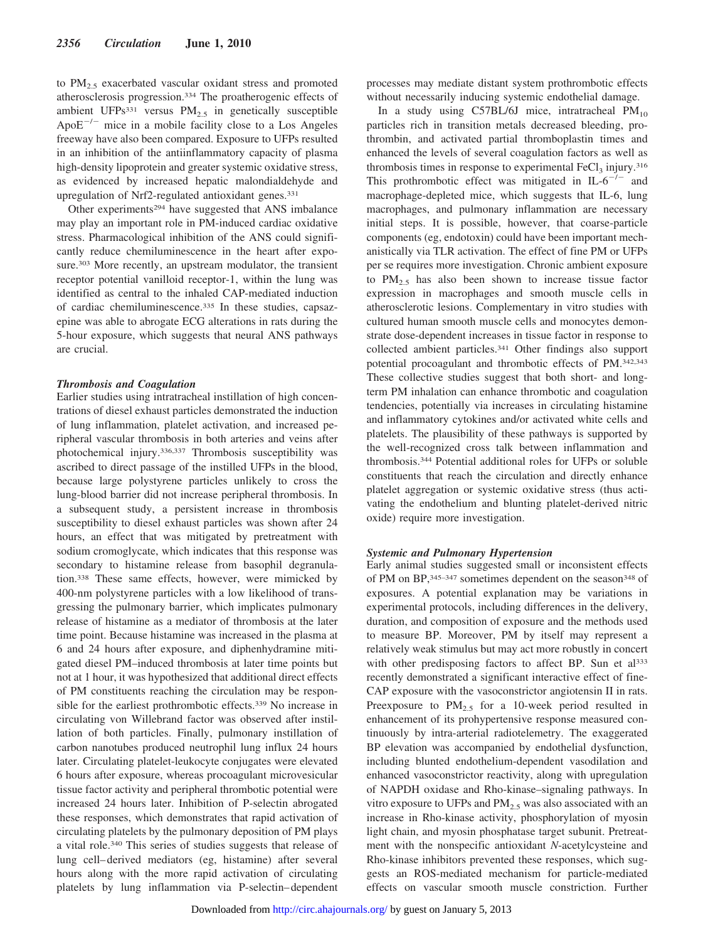to  $PM_{2.5}$  exacerbated vascular oxidant stress and promoted atherosclerosis progression.334 The proatherogenic effects of ambient UFPs<sup>331</sup> versus PM<sub>2.5</sub> in genetically susceptible Apo $E^{-/-}$  mice in a mobile facility close to a Los Angeles freeway have also been compared. Exposure to UFPs resulted in an inhibition of the antiinflammatory capacity of plasma high-density lipoprotein and greater systemic oxidative stress, as evidenced by increased hepatic malondialdehyde and upregulation of Nrf2-regulated antioxidant genes.331

Other experiments294 have suggested that ANS imbalance may play an important role in PM-induced cardiac oxidative stress. Pharmacological inhibition of the ANS could significantly reduce chemiluminescence in the heart after exposure.<sup>303</sup> More recently, an upstream modulator, the transient receptor potential vanilloid receptor-1, within the lung was identified as central to the inhaled CAP-mediated induction of cardiac chemiluminescence.335 In these studies, capsazepine was able to abrogate ECG alterations in rats during the 5-hour exposure, which suggests that neural ANS pathways are crucial.

## *Thrombosis and Coagulation*

Earlier studies using intratracheal instillation of high concentrations of diesel exhaust particles demonstrated the induction of lung inflammation, platelet activation, and increased peripheral vascular thrombosis in both arteries and veins after photochemical injury.336,337 Thrombosis susceptibility was ascribed to direct passage of the instilled UFPs in the blood, because large polystyrene particles unlikely to cross the lung-blood barrier did not increase peripheral thrombosis. In a subsequent study, a persistent increase in thrombosis susceptibility to diesel exhaust particles was shown after 24 hours, an effect that was mitigated by pretreatment with sodium cromoglycate, which indicates that this response was secondary to histamine release from basophil degranulation.338 These same effects, however, were mimicked by 400-nm polystyrene particles with a low likelihood of transgressing the pulmonary barrier, which implicates pulmonary release of histamine as a mediator of thrombosis at the later time point. Because histamine was increased in the plasma at 6 and 24 hours after exposure, and diphenhydramine mitigated diesel PM–induced thrombosis at later time points but not at 1 hour, it was hypothesized that additional direct effects of PM constituents reaching the circulation may be responsible for the earliest prothrombotic effects.<sup>339</sup> No increase in circulating von Willebrand factor was observed after instillation of both particles. Finally, pulmonary instillation of carbon nanotubes produced neutrophil lung influx 24 hours later. Circulating platelet-leukocyte conjugates were elevated 6 hours after exposure, whereas procoagulant microvesicular tissue factor activity and peripheral thrombotic potential were increased 24 hours later. Inhibition of P-selectin abrogated these responses, which demonstrates that rapid activation of circulating platelets by the pulmonary deposition of PM plays a vital role.340 This series of studies suggests that release of lung cell–derived mediators (eg, histamine) after several hours along with the more rapid activation of circulating platelets by lung inflammation via P-selectin–dependent processes may mediate distant system prothrombotic effects without necessarily inducing systemic endothelial damage.

In a study using C57BL/6J mice, intratracheal  $PM_{10}$ particles rich in transition metals decreased bleeding, prothrombin, and activated partial thromboplastin times and enhanced the levels of several coagulation factors as well as thrombosis times in response to experimental  $FeCl<sub>3</sub>$  injury.<sup>316</sup> This prothrombotic effect was mitigated in  $IL-6^{-/-}$  and macrophage-depleted mice, which suggests that IL-6, lung macrophages, and pulmonary inflammation are necessary initial steps. It is possible, however, that coarse-particle components (eg, endotoxin) could have been important mechanistically via TLR activation. The effect of fine PM or UFPs per se requires more investigation. Chronic ambient exposure to  $PM_{2.5}$  has also been shown to increase tissue factor expression in macrophages and smooth muscle cells in atherosclerotic lesions. Complementary in vitro studies with cultured human smooth muscle cells and monocytes demonstrate dose-dependent increases in tissue factor in response to collected ambient particles.341 Other findings also support potential procoagulant and thrombotic effects of PM.342,343 These collective studies suggest that both short- and longterm PM inhalation can enhance thrombotic and coagulation tendencies, potentially via increases in circulating histamine and inflammatory cytokines and/or activated white cells and platelets. The plausibility of these pathways is supported by the well-recognized cross talk between inflammation and thrombosis.344 Potential additional roles for UFPs or soluble constituents that reach the circulation and directly enhance platelet aggregation or systemic oxidative stress (thus activating the endothelium and blunting platelet-derived nitric oxide) require more investigation.

#### *Systemic and Pulmonary Hypertension*

Early animal studies suggested small or inconsistent effects of PM on BP, 345-347 sometimes dependent on the season<sup>348</sup> of exposures. A potential explanation may be variations in experimental protocols, including differences in the delivery, duration, and composition of exposure and the methods used to measure BP. Moreover, PM by itself may represent a relatively weak stimulus but may act more robustly in concert with other predisposing factors to affect BP. Sun et al<sup>333</sup> recently demonstrated a significant interactive effect of fine-CAP exposure with the vasoconstrictor angiotensin II in rats. Preexposure to  $PM_{2.5}$  for a 10-week period resulted in enhancement of its prohypertensive response measured continuously by intra-arterial radiotelemetry. The exaggerated BP elevation was accompanied by endothelial dysfunction, including blunted endothelium-dependent vasodilation and enhanced vasoconstrictor reactivity, along with upregulation of NAPDH oxidase and Rho-kinase–signaling pathways. In vitro exposure to UFPs and  $PM_{2.5}$  was also associated with an increase in Rho-kinase activity, phosphorylation of myosin light chain, and myosin phosphatase target subunit. Pretreatment with the nonspecific antioxidant *N*-acetylcysteine and Rho-kinase inhibitors prevented these responses, which suggests an ROS-mediated mechanism for particle-mediated effects on vascular smooth muscle constriction. Further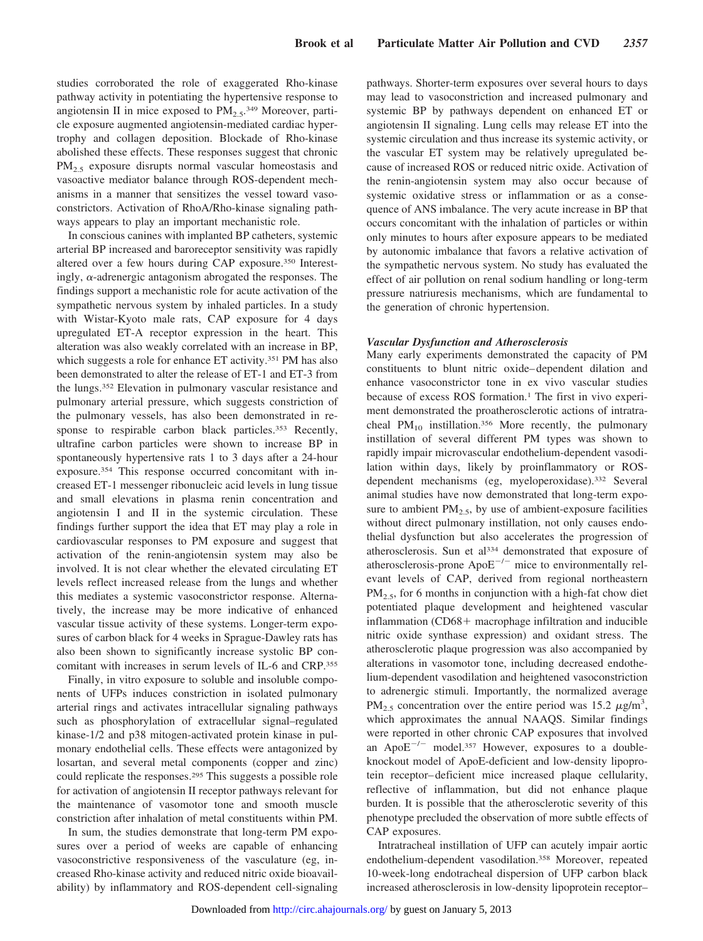studies corroborated the role of exaggerated Rho-kinase pathway activity in potentiating the hypertensive response to angiotensin II in mice exposed to  $PM_{2.5}$ .<sup>349</sup> Moreover, particle exposure augmented angiotensin-mediated cardiac hypertrophy and collagen deposition. Blockade of Rho-kinase abolished these effects. These responses suggest that chronic  $PM_{2.5}$  exposure disrupts normal vascular homeostasis and vasoactive mediator balance through ROS-dependent mechanisms in a manner that sensitizes the vessel toward vasoconstrictors. Activation of RhoA/Rho-kinase signaling pathways appears to play an important mechanistic role.

In conscious canines with implanted BP catheters, systemic arterial BP increased and baroreceptor sensitivity was rapidly altered over a few hours during CAP exposure.350 Interestingly,  $\alpha$ -adrenergic antagonism abrogated the responses. The findings support a mechanistic role for acute activation of the sympathetic nervous system by inhaled particles. In a study with Wistar-Kyoto male rats, CAP exposure for 4 days upregulated ET-A receptor expression in the heart. This alteration was also weakly correlated with an increase in BP, which suggests a role for enhance ET activity.<sup>351</sup> PM has also been demonstrated to alter the release of ET-1 and ET-3 from the lungs.352 Elevation in pulmonary vascular resistance and pulmonary arterial pressure, which suggests constriction of the pulmonary vessels, has also been demonstrated in response to respirable carbon black particles.<sup>353</sup> Recently, ultrafine carbon particles were shown to increase BP in spontaneously hypertensive rats 1 to 3 days after a 24-hour exposure.354 This response occurred concomitant with increased ET-1 messenger ribonucleic acid levels in lung tissue and small elevations in plasma renin concentration and angiotensin I and II in the systemic circulation. These findings further support the idea that ET may play a role in cardiovascular responses to PM exposure and suggest that activation of the renin-angiotensin system may also be involved. It is not clear whether the elevated circulating ET levels reflect increased release from the lungs and whether this mediates a systemic vasoconstrictor response. Alternatively, the increase may be more indicative of enhanced vascular tissue activity of these systems. Longer-term exposures of carbon black for 4 weeks in Sprague-Dawley rats has also been shown to significantly increase systolic BP concomitant with increases in serum levels of IL-6 and CRP.355

Finally, in vitro exposure to soluble and insoluble components of UFPs induces constriction in isolated pulmonary arterial rings and activates intracellular signaling pathways such as phosphorylation of extracellular signal–regulated kinase-1/2 and p38 mitogen-activated protein kinase in pulmonary endothelial cells. These effects were antagonized by losartan, and several metal components (copper and zinc) could replicate the responses.295 This suggests a possible role for activation of angiotensin II receptor pathways relevant for the maintenance of vasomotor tone and smooth muscle constriction after inhalation of metal constituents within PM.

In sum, the studies demonstrate that long-term PM exposures over a period of weeks are capable of enhancing vasoconstrictive responsiveness of the vasculature (eg, increased Rho-kinase activity and reduced nitric oxide bioavailability) by inflammatory and ROS-dependent cell-signaling

pathways. Shorter-term exposures over several hours to days may lead to vasoconstriction and increased pulmonary and systemic BP by pathways dependent on enhanced ET or angiotensin II signaling. Lung cells may release ET into the systemic circulation and thus increase its systemic activity, or the vascular ET system may be relatively upregulated because of increased ROS or reduced nitric oxide. Activation of the renin-angiotensin system may also occur because of systemic oxidative stress or inflammation or as a consequence of ANS imbalance. The very acute increase in BP that occurs concomitant with the inhalation of particles or within only minutes to hours after exposure appears to be mediated by autonomic imbalance that favors a relative activation of the sympathetic nervous system. No study has evaluated the effect of air pollution on renal sodium handling or long-term pressure natriuresis mechanisms, which are fundamental to the generation of chronic hypertension.

#### *Vascular Dysfunction and Atherosclerosis*

Many early experiments demonstrated the capacity of PM constituents to blunt nitric oxide–dependent dilation and enhance vasoconstrictor tone in ex vivo vascular studies because of excess ROS formation.1 The first in vivo experiment demonstrated the proatherosclerotic actions of intratracheal  $PM_{10}$  instillation.<sup>356</sup> More recently, the pulmonary instillation of several different PM types was shown to rapidly impair microvascular endothelium-dependent vasodilation within days, likely by proinflammatory or ROSdependent mechanisms (eg, myeloperoxidase).332 Several animal studies have now demonstrated that long-term exposure to ambient  $PM_{2.5}$ , by use of ambient-exposure facilities without direct pulmonary instillation, not only causes endothelial dysfunction but also accelerates the progression of atherosclerosis. Sun et al334 demonstrated that exposure of atherosclerosis-prone  $ApoE^{-/-}$  mice to environmentally relevant levels of CAP, derived from regional northeastern  $PM<sub>2.5</sub>$ , for 6 months in conjunction with a high-fat chow diet potentiated plaque development and heightened vascular inflammation  $(CD68 +$  macrophage infiltration and inducible nitric oxide synthase expression) and oxidant stress. The atherosclerotic plaque progression was also accompanied by alterations in vasomotor tone, including decreased endothelium-dependent vasodilation and heightened vasoconstriction to adrenergic stimuli. Importantly, the normalized average PM<sub>2.5</sub> concentration over the entire period was 15.2  $\mu$ g/m<sup>3</sup>, which approximates the annual NAAQS. Similar findings were reported in other chronic CAP exposures that involved an Apo $E^{-/-}$  model.<sup>357</sup> However, exposures to a doubleknockout model of ApoE-deficient and low-density lipoprotein receptor–deficient mice increased plaque cellularity, reflective of inflammation, but did not enhance plaque burden. It is possible that the atherosclerotic severity of this phenotype precluded the observation of more subtle effects of CAP exposures.

Intratracheal instillation of UFP can acutely impair aortic endothelium-dependent vasodilation.358 Moreover, repeated 10-week-long endotracheal dispersion of UFP carbon black increased atherosclerosis in low-density lipoprotein receptor–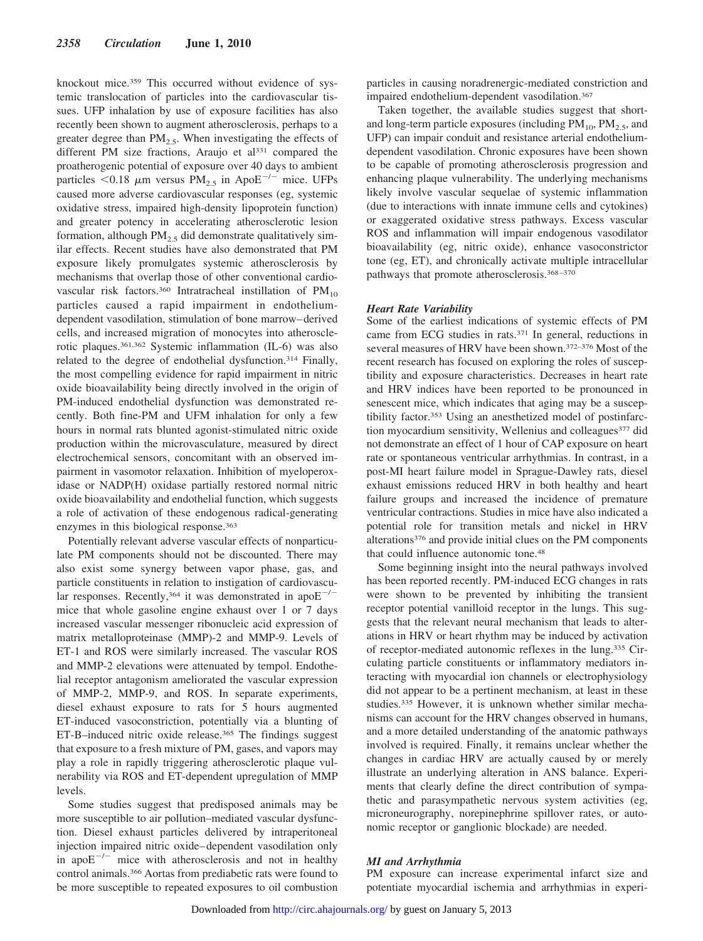knockout mice.359 This occurred without evidence of systemic translocation of particles into the cardiovascular tissues. UFP inhalation by use of exposure facilities has also recently been shown to augment atherosclerosis, perhaps to a greater degree than  $PM_{2.5}$ . When investigating the effects of different PM size fractions, Araujo et al<sup>331</sup> compared the proatherogenic potential of exposure over 40 days to ambient particles  $< 0.18$  µm versus PM<sub>2.5</sub> in ApoE<sup>-/-</sup> mice. UFPs caused more adverse cardiovascular responses (eg, systemic oxidative stress, impaired high-density lipoprotein function) and greater potency in accelerating atherosclerotic lesion formation, although  $PM<sub>2.5</sub>$  did demonstrate qualitatively similar effects. Recent studies have also demonstrated that PM exposure likely promulgates systemic atherosclerosis by mechanisms that overlap those of other conventional cardiovascular risk factors.<sup>360</sup> Intratracheal instillation of  $PM_{10}$ particles caused a rapid impairment in endotheliumdependent vasodilation, stimulation of bone marrow–derived cells, and increased migration of monocytes into atherosclerotic plaques.361,362 Systemic inflammation (IL-6) was also related to the degree of endothelial dysfunction.<sup>314</sup> Finally, the most compelling evidence for rapid impairment in nitric oxide bioavailability being directly involved in the origin of PM-induced endothelial dysfunction was demonstrated recently. Both fine-PM and UFM inhalation for only a few hours in normal rats blunted agonist-stimulated nitric oxide production within the microvasculature, measured by direct electrochemical sensors, concomitant with an observed impairment in vasomotor relaxation. Inhibition of myeloperoxidase or NADP(H) oxidase partially restored normal nitric oxide bioavailability and endothelial function, which suggests a role of activation of these endogenous radical-generating enzymes in this biological response.363

Potentially relevant adverse vascular effects of nonparticulate PM components should not be discounted. There may also exist some synergy between vapor phase, gas, and particle constituents in relation to instigation of cardiovascular responses. Recently,<sup>364</sup> it was demonstrated in apo $E^{-/-}$ mice that whole gasoline engine exhaust over 1 or 7 days increased vascular messenger ribonucleic acid expression of matrix metalloproteinase (MMP)-2 and MMP-9. Levels of ET-1 and ROS were similarly increased. The vascular ROS and MMP-2 elevations were attenuated by tempol. Endothelial receptor antagonism ameliorated the vascular expression of MMP-2, MMP-9, and ROS. In separate experiments, diesel exhaust exposure to rats for 5 hours augmented ET-induced vasoconstriction, potentially via a blunting of ET-B–induced nitric oxide release.365 The findings suggest that exposure to a fresh mixture of PM, gases, and vapors may play a role in rapidly triggering atherosclerotic plaque vulnerability via ROS and ET-dependent upregulation of MMP levels.

Some studies suggest that predisposed animals may be more susceptible to air pollution–mediated vascular dysfunction. Diesel exhaust particles delivered by intraperitoneal injection impaired nitric oxide–dependent vasodilation only in apo $E^{-/-}$  mice with atherosclerosis and not in healthy control animals.366 Aortas from prediabetic rats were found to be more susceptible to repeated exposures to oil combustion particles in causing noradrenergic-mediated constriction and impaired endothelium-dependent vasodilation.367

Taken together, the available studies suggest that shortand long-term particle exposures (including  $PM_{10}$ ,  $PM_{2.5}$ , and UFP) can impair conduit and resistance arterial endotheliumdependent vasodilation. Chronic exposures have been shown to be capable of promoting atherosclerosis progression and enhancing plaque vulnerability. The underlying mechanisms likely involve vascular sequelae of systemic inflammation (due to interactions with innate immune cells and cytokines) or exaggerated oxidative stress pathways. Excess vascular ROS and inflammation will impair endogenous vasodilator bioavailability (eg, nitric oxide), enhance vasoconstrictor tone (eg, ET), and chronically activate multiple intracellular pathways that promote atherosclerosis.368–370

#### *Heart Rate Variability*

Some of the earliest indications of systemic effects of PM came from ECG studies in rats.371 In general, reductions in several measures of HRV have been shown.372–376 Most of the recent research has focused on exploring the roles of susceptibility and exposure characteristics. Decreases in heart rate and HRV indices have been reported to be pronounced in senescent mice, which indicates that aging may be a susceptibility factor.353 Using an anesthetized model of postinfarction myocardium sensitivity, Wellenius and colleagues<sup>377</sup> did not demonstrate an effect of 1 hour of CAP exposure on heart rate or spontaneous ventricular arrhythmias. In contrast, in a post-MI heart failure model in Sprague-Dawley rats, diesel exhaust emissions reduced HRV in both healthy and heart failure groups and increased the incidence of premature ventricular contractions. Studies in mice have also indicated a potential role for transition metals and nickel in HRV alterations376 and provide initial clues on the PM components that could influence autonomic tone.<sup>48</sup>

Some beginning insight into the neural pathways involved has been reported recently. PM-induced ECG changes in rats were shown to be prevented by inhibiting the transient receptor potential vanilloid receptor in the lungs. This suggests that the relevant neural mechanism that leads to alterations in HRV or heart rhythm may be induced by activation of receptor-mediated autonomic reflexes in the lung.335 Circulating particle constituents or inflammatory mediators interacting with myocardial ion channels or electrophysiology did not appear to be a pertinent mechanism, at least in these studies.335 However, it is unknown whether similar mechanisms can account for the HRV changes observed in humans, and a more detailed understanding of the anatomic pathways involved is required. Finally, it remains unclear whether the changes in cardiac HRV are actually caused by or merely illustrate an underlying alteration in ANS balance. Experiments that clearly define the direct contribution of sympathetic and parasympathetic nervous system activities (eg, microneurography, norepinephrine spillover rates, or autonomic receptor or ganglionic blockade) are needed.

# *MI and Arrhythmia*

PM exposure can increase experimental infarct size and potentiate myocardial ischemia and arrhythmias in experi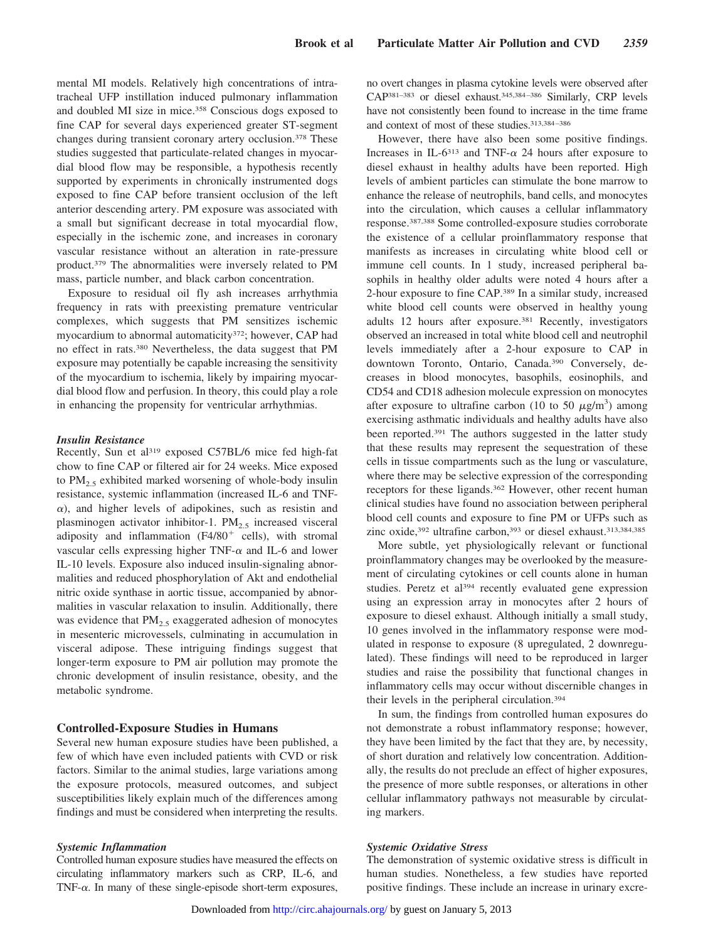mental MI models. Relatively high concentrations of intratracheal UFP instillation induced pulmonary inflammation and doubled MI size in mice.358 Conscious dogs exposed to fine CAP for several days experienced greater ST-segment changes during transient coronary artery occlusion.378 These studies suggested that particulate-related changes in myocardial blood flow may be responsible, a hypothesis recently supported by experiments in chronically instrumented dogs exposed to fine CAP before transient occlusion of the left anterior descending artery. PM exposure was associated with a small but significant decrease in total myocardial flow, especially in the ischemic zone, and increases in coronary vascular resistance without an alteration in rate-pressure product.379 The abnormalities were inversely related to PM mass, particle number, and black carbon concentration.

Exposure to residual oil fly ash increases arrhythmia frequency in rats with preexisting premature ventricular complexes, which suggests that PM sensitizes ischemic myocardium to abnormal automaticity<sup>372</sup>; however, CAP had no effect in rats.380 Nevertheless, the data suggest that PM exposure may potentially be capable increasing the sensitivity of the myocardium to ischemia, likely by impairing myocardial blood flow and perfusion. In theory, this could play a role in enhancing the propensity for ventricular arrhythmias.

#### *Insulin Resistance*

Recently, Sun et al<sup>319</sup> exposed C57BL/6 mice fed high-fat chow to fine CAP or filtered air for 24 weeks. Mice exposed to  $PM_{2.5}$  exhibited marked worsening of whole-body insulin resistance, systemic inflammation (increased IL-6 and TNF-  $\alpha$ ), and higher levels of adipokines, such as resistin and plasminogen activator inhibitor-1.  $PM_{2.5}$  increased visceral adiposity and inflammation  $(F4/80<sup>+</sup>$  cells), with stromal vascular cells expressing higher TNF- $\alpha$  and IL-6 and lower IL-10 levels. Exposure also induced insulin-signaling abnormalities and reduced phosphorylation of Akt and endothelial nitric oxide synthase in aortic tissue, accompanied by abnormalities in vascular relaxation to insulin. Additionally, there was evidence that  $PM<sub>2.5</sub>$  exaggerated adhesion of monocytes in mesenteric microvessels, culminating in accumulation in visceral adipose. These intriguing findings suggest that longer-term exposure to PM air pollution may promote the chronic development of insulin resistance, obesity, and the metabolic syndrome.

#### **Controlled-Exposure Studies in Humans**

Several new human exposure studies have been published, a few of which have even included patients with CVD or risk factors. Similar to the animal studies, large variations among the exposure protocols, measured outcomes, and subject susceptibilities likely explain much of the differences among findings and must be considered when interpreting the results.

# *Systemic Inflammation*

Controlled human exposure studies have measured the effects on circulating inflammatory markers such as CRP, IL-6, and TNF- $\alpha$ . In many of these single-episode short-term exposures,

no overt changes in plasma cytokine levels were observed after CAP381–383 or diesel exhaust.345,384–386 Similarly, CRP levels have not consistently been found to increase in the time frame and context of most of these studies.313,384–386

However, there have also been some positive findings. Increases in IL-6<sup>313</sup> and TNF- $\alpha$  24 hours after exposure to diesel exhaust in healthy adults have been reported. High levels of ambient particles can stimulate the bone marrow to enhance the release of neutrophils, band cells, and monocytes into the circulation, which causes a cellular inflammatory response.387,388 Some controlled-exposure studies corroborate the existence of a cellular proinflammatory response that manifests as increases in circulating white blood cell or immune cell counts. In 1 study, increased peripheral basophils in healthy older adults were noted 4 hours after a 2-hour exposure to fine CAP.389 In a similar study, increased white blood cell counts were observed in healthy young adults 12 hours after exposure.381 Recently, investigators observed an increased in total white blood cell and neutrophil levels immediately after a 2-hour exposure to CAP in downtown Toronto, Ontario, Canada.390 Conversely, decreases in blood monocytes, basophils, eosinophils, and CD54 and CD18 adhesion molecule expression on monocytes after exposure to ultrafine carbon (10 to 50  $\mu$ g/m<sup>3</sup>) among exercising asthmatic individuals and healthy adults have also been reported.391 The authors suggested in the latter study that these results may represent the sequestration of these cells in tissue compartments such as the lung or vasculature, where there may be selective expression of the corresponding receptors for these ligands.<sup>362</sup> However, other recent human clinical studies have found no association between peripheral blood cell counts and exposure to fine PM or UFPs such as zinc oxide,<sup>392</sup> ultrafine carbon,<sup>393</sup> or diesel exhaust.<sup>313,384,385</sup>

More subtle, yet physiologically relevant or functional proinflammatory changes may be overlooked by the measurement of circulating cytokines or cell counts alone in human studies. Peretz et al<sup>394</sup> recently evaluated gene expression using an expression array in monocytes after 2 hours of exposure to diesel exhaust. Although initially a small study, 10 genes involved in the inflammatory response were modulated in response to exposure (8 upregulated, 2 downregulated). These findings will need to be reproduced in larger studies and raise the possibility that functional changes in inflammatory cells may occur without discernible changes in their levels in the peripheral circulation.394

In sum, the findings from controlled human exposures do not demonstrate a robust inflammatory response; however, they have been limited by the fact that they are, by necessity, of short duration and relatively low concentration. Additionally, the results do not preclude an effect of higher exposures, the presence of more subtle responses, or alterations in other cellular inflammatory pathways not measurable by circulating markers.

#### *Systemic Oxidative Stress*

The demonstration of systemic oxidative stress is difficult in human studies. Nonetheless, a few studies have reported positive findings. These include an increase in urinary excre-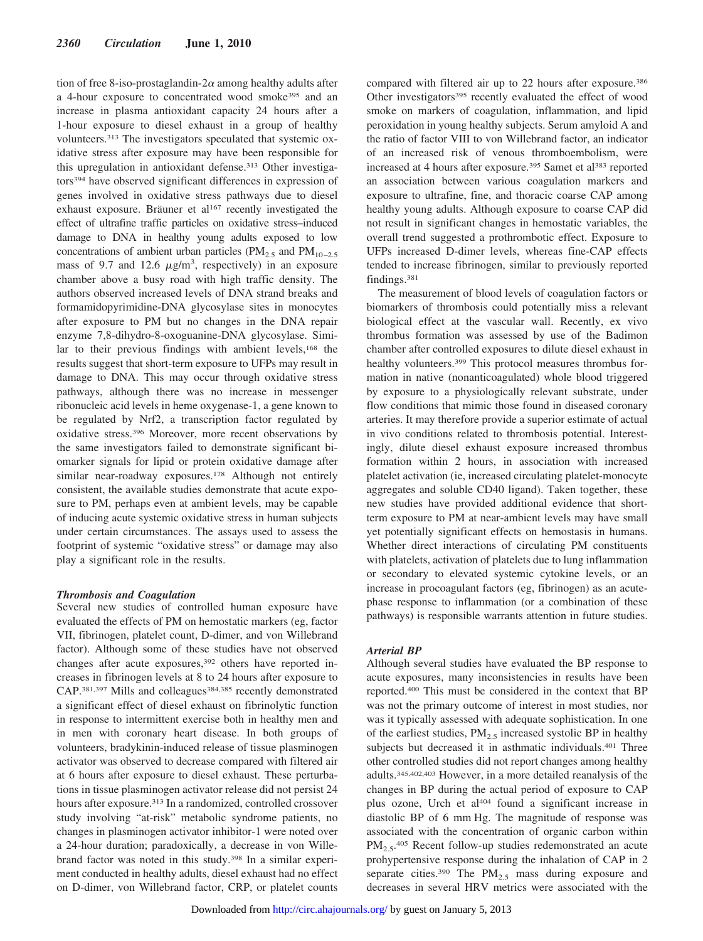tion of free 8-iso-prostaglandin- $2\alpha$  among healthy adults after a 4-hour exposure to concentrated wood smoke395 and an increase in plasma antioxidant capacity 24 hours after a 1-hour exposure to diesel exhaust in a group of healthy volunteers.313 The investigators speculated that systemic oxidative stress after exposure may have been responsible for this upregulation in antioxidant defense.<sup>313</sup> Other investigators394 have observed significant differences in expression of genes involved in oxidative stress pathways due to diesel exhaust exposure. Bräuner et al<sup>167</sup> recently investigated the effect of ultrafine traffic particles on oxidative stress–induced damage to DNA in healthy young adults exposed to low concentrations of ambient urban particles ( $PM_{2.5}$  and  $PM_{10-2.5}$ mass of 9.7 and 12.6  $\mu$ g/m<sup>3</sup>, respectively) in an exposure chamber above a busy road with high traffic density. The authors observed increased levels of DNA strand breaks and formamidopyrimidine-DNA glycosylase sites in monocytes after exposure to PM but no changes in the DNA repair enzyme 7,8-dihydro-8-oxoguanine-DNA glycosylase. Similar to their previous findings with ambient levels,<sup>168</sup> the results suggest that short-term exposure to UFPs may result in damage to DNA. This may occur through oxidative stress pathways, although there was no increase in messenger ribonucleic acid levels in heme oxygenase-1, a gene known to be regulated by Nrf2, a transcription factor regulated by oxidative stress.396 Moreover, more recent observations by the same investigators failed to demonstrate significant biomarker signals for lipid or protein oxidative damage after similar near-roadway exposures.<sup>178</sup> Although not entirely consistent, the available studies demonstrate that acute exposure to PM, perhaps even at ambient levels, may be capable of inducing acute systemic oxidative stress in human subjects under certain circumstances. The assays used to assess the footprint of systemic "oxidative stress" or damage may also play a significant role in the results.

#### *Thrombosis and Coagulation*

Several new studies of controlled human exposure have evaluated the effects of PM on hemostatic markers (eg, factor VII, fibrinogen, platelet count, D-dimer, and von Willebrand factor). Although some of these studies have not observed changes after acute exposures,<sup>392</sup> others have reported increases in fibrinogen levels at 8 to 24 hours after exposure to CAP.<sup>381,397</sup> Mills and colleagues<sup>384,385</sup> recently demonstrated a significant effect of diesel exhaust on fibrinolytic function in response to intermittent exercise both in healthy men and in men with coronary heart disease. In both groups of volunteers, bradykinin-induced release of tissue plasminogen activator was observed to decrease compared with filtered air at 6 hours after exposure to diesel exhaust. These perturbations in tissue plasminogen activator release did not persist 24 hours after exposure.313 In a randomized, controlled crossover study involving "at-risk" metabolic syndrome patients, no changes in plasminogen activator inhibitor-1 were noted over a 24-hour duration; paradoxically, a decrease in von Willebrand factor was noted in this study.398 In a similar experiment conducted in healthy adults, diesel exhaust had no effect on D-dimer, von Willebrand factor, CRP, or platelet counts compared with filtered air up to 22 hours after exposure.386 Other investigators<sup>395</sup> recently evaluated the effect of wood smoke on markers of coagulation, inflammation, and lipid peroxidation in young healthy subjects. Serum amyloid A and the ratio of factor VIII to von Willebrand factor, an indicator of an increased risk of venous thromboembolism, were increased at 4 hours after exposure.<sup>395</sup> Samet et al<sup>383</sup> reported an association between various coagulation markers and exposure to ultrafine, fine, and thoracic coarse CAP among healthy young adults. Although exposure to coarse CAP did not result in significant changes in hemostatic variables, the overall trend suggested a prothrombotic effect. Exposure to UFPs increased D-dimer levels, whereas fine-CAP effects tended to increase fibrinogen, similar to previously reported findings.381

The measurement of blood levels of coagulation factors or biomarkers of thrombosis could potentially miss a relevant biological effect at the vascular wall. Recently, ex vivo thrombus formation was assessed by use of the Badimon chamber after controlled exposures to dilute diesel exhaust in healthy volunteers.<sup>399</sup> This protocol measures thrombus formation in native (nonanticoagulated) whole blood triggered by exposure to a physiologically relevant substrate, under flow conditions that mimic those found in diseased coronary arteries. It may therefore provide a superior estimate of actual in vivo conditions related to thrombosis potential. Interestingly, dilute diesel exhaust exposure increased thrombus formation within 2 hours, in association with increased platelet activation (ie, increased circulating platelet-monocyte aggregates and soluble CD40 ligand). Taken together, these new studies have provided additional evidence that shortterm exposure to PM at near-ambient levels may have small yet potentially significant effects on hemostasis in humans. Whether direct interactions of circulating PM constituents with platelets, activation of platelets due to lung inflammation or secondary to elevated systemic cytokine levels, or an increase in procoagulant factors (eg, fibrinogen) as an acutephase response to inflammation (or a combination of these pathways) is responsible warrants attention in future studies.

#### *Arterial BP*

Although several studies have evaluated the BP response to acute exposures, many inconsistencies in results have been reported.400 This must be considered in the context that BP was not the primary outcome of interest in most studies, nor was it typically assessed with adequate sophistication. In one of the earliest studies,  $PM_{2.5}$  increased systolic BP in healthy subjects but decreased it in asthmatic individuals.<sup>401</sup> Three other controlled studies did not report changes among healthy adults.345,402,403 However, in a more detailed reanalysis of the changes in BP during the actual period of exposure to CAP plus ozone, Urch et al404 found a significant increase in diastolic BP of 6 mm Hg. The magnitude of response was associated with the concentration of organic carbon within PM<sub>2.5</sub>.<sup>405</sup> Recent follow-up studies redemonstrated an acute prohypertensive response during the inhalation of CAP in 2 separate cities.<sup>390</sup> The  $PM_{2.5}$  mass during exposure and decreases in several HRV metrics were associated with the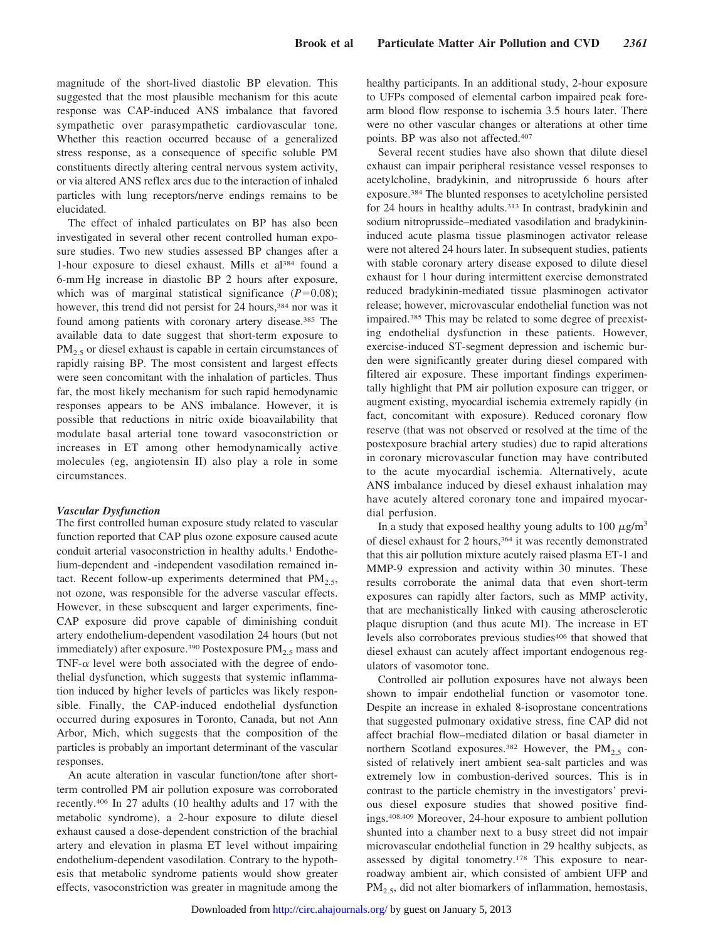magnitude of the short-lived diastolic BP elevation. This suggested that the most plausible mechanism for this acute response was CAP-induced ANS imbalance that favored sympathetic over parasympathetic cardiovascular tone. Whether this reaction occurred because of a generalized stress response, as a consequence of specific soluble PM constituents directly altering central nervous system activity, or via altered ANS reflex arcs due to the interaction of inhaled particles with lung receptors/nerve endings remains to be elucidated.

The effect of inhaled particulates on BP has also been investigated in several other recent controlled human exposure studies. Two new studies assessed BP changes after a 1-hour exposure to diesel exhaust. Mills et al<sup>384</sup> found a 6-mm Hg increase in diastolic BP 2 hours after exposure, which was of marginal statistical significance  $(P=0.08)$ ; however, this trend did not persist for 24 hours,<sup>384</sup> nor was it found among patients with coronary artery disease.385 The available data to date suggest that short-term exposure to  $PM_{2.5}$  or diesel exhaust is capable in certain circumstances of rapidly raising BP. The most consistent and largest effects were seen concomitant with the inhalation of particles. Thus far, the most likely mechanism for such rapid hemodynamic responses appears to be ANS imbalance. However, it is possible that reductions in nitric oxide bioavailability that modulate basal arterial tone toward vasoconstriction or increases in ET among other hemodynamically active molecules (eg, angiotensin II) also play a role in some circumstances.

#### *Vascular Dysfunction*

The first controlled human exposure study related to vascular function reported that CAP plus ozone exposure caused acute conduit arterial vasoconstriction in healthy adults.<sup>1</sup> Endothelium-dependent and -independent vasodilation remained intact. Recent follow-up experiments determined that  $PM_{2.5}$ , not ozone, was responsible for the adverse vascular effects. However, in these subsequent and larger experiments, fine-CAP exposure did prove capable of diminishing conduit artery endothelium-dependent vasodilation 24 hours (but not immediately) after exposure.<sup>390</sup> Postexposure  $PM_{2.5}$  mass and TNF- $\alpha$  level were both associated with the degree of endothelial dysfunction, which suggests that systemic inflammation induced by higher levels of particles was likely responsible. Finally, the CAP-induced endothelial dysfunction occurred during exposures in Toronto, Canada, but not Ann Arbor, Mich, which suggests that the composition of the particles is probably an important determinant of the vascular responses.

An acute alteration in vascular function/tone after shortterm controlled PM air pollution exposure was corroborated recently.406 In 27 adults (10 healthy adults and 17 with the metabolic syndrome), a 2-hour exposure to dilute diesel exhaust caused a dose-dependent constriction of the brachial artery and elevation in plasma ET level without impairing endothelium-dependent vasodilation. Contrary to the hypothesis that metabolic syndrome patients would show greater effects, vasoconstriction was greater in magnitude among the healthy participants. In an additional study, 2-hour exposure to UFPs composed of elemental carbon impaired peak forearm blood flow response to ischemia 3.5 hours later. There were no other vascular changes or alterations at other time points. BP was also not affected.407

Several recent studies have also shown that dilute diesel exhaust can impair peripheral resistance vessel responses to acetylcholine, bradykinin, and nitroprusside 6 hours after exposure.384 The blunted responses to acetylcholine persisted for 24 hours in healthy adults.<sup>313</sup> In contrast, bradykinin and sodium nitroprusside–mediated vasodilation and bradykinininduced acute plasma tissue plasminogen activator release were not altered 24 hours later. In subsequent studies, patients with stable coronary artery disease exposed to dilute diesel exhaust for 1 hour during intermittent exercise demonstrated reduced bradykinin-mediated tissue plasminogen activator release; however, microvascular endothelial function was not impaired.385 This may be related to some degree of preexisting endothelial dysfunction in these patients. However, exercise-induced ST-segment depression and ischemic burden were significantly greater during diesel compared with filtered air exposure. These important findings experimentally highlight that PM air pollution exposure can trigger, or augment existing, myocardial ischemia extremely rapidly (in fact, concomitant with exposure). Reduced coronary flow reserve (that was not observed or resolved at the time of the postexposure brachial artery studies) due to rapid alterations in coronary microvascular function may have contributed to the acute myocardial ischemia. Alternatively, acute ANS imbalance induced by diesel exhaust inhalation may have acutely altered coronary tone and impaired myocardial perfusion.

In a study that exposed healthy young adults to 100  $\mu$ g/m<sup>3</sup> of diesel exhaust for 2 hours,<sup>364</sup> it was recently demonstrated that this air pollution mixture acutely raised plasma ET-1 and MMP-9 expression and activity within 30 minutes. These results corroborate the animal data that even short-term exposures can rapidly alter factors, such as MMP activity, that are mechanistically linked with causing atherosclerotic plaque disruption (and thus acute MI). The increase in ET levels also corroborates previous studies<sup>406</sup> that showed that diesel exhaust can acutely affect important endogenous regulators of vasomotor tone.

Controlled air pollution exposures have not always been shown to impair endothelial function or vasomotor tone. Despite an increase in exhaled 8-isoprostane concentrations that suggested pulmonary oxidative stress, fine CAP did not affect brachial flow–mediated dilation or basal diameter in northern Scotland exposures.<sup>382</sup> However, the  $PM_{2.5}$  consisted of relatively inert ambient sea-salt particles and was extremely low in combustion-derived sources. This is in contrast to the particle chemistry in the investigators' previous diesel exposure studies that showed positive findings.408,409 Moreover, 24-hour exposure to ambient pollution shunted into a chamber next to a busy street did not impair microvascular endothelial function in 29 healthy subjects, as assessed by digital tonometry.178 This exposure to nearroadway ambient air, which consisted of ambient UFP and PM<sub>2.5</sub>, did not alter biomarkers of inflammation, hemostasis,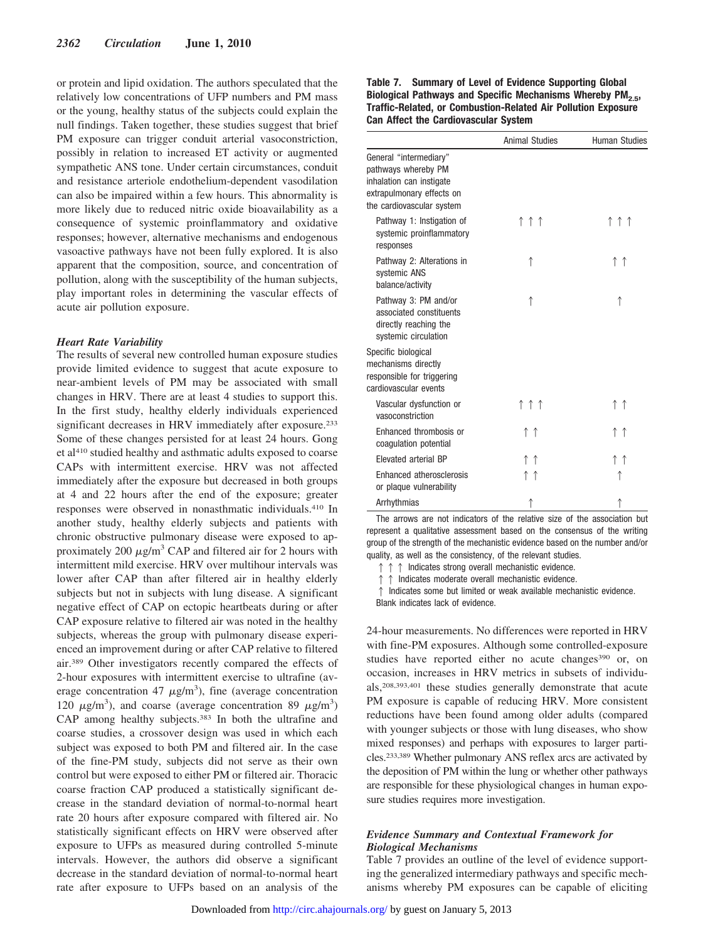or protein and lipid oxidation. The authors speculated that the relatively low concentrations of UFP numbers and PM mass or the young, healthy status of the subjects could explain the null findings. Taken together, these studies suggest that brief PM exposure can trigger conduit arterial vasoconstriction, possibly in relation to increased ET activity or augmented sympathetic ANS tone. Under certain circumstances, conduit and resistance arteriole endothelium-dependent vasodilation can also be impaired within a few hours. This abnormality is more likely due to reduced nitric oxide bioavailability as a consequence of systemic proinflammatory and oxidative responses; however, alternative mechanisms and endogenous vasoactive pathways have not been fully explored. It is also apparent that the composition, source, and concentration of pollution, along with the susceptibility of the human subjects, play important roles in determining the vascular effects of acute air pollution exposure.

#### *Heart Rate Variability*

The results of several new controlled human exposure studies provide limited evidence to suggest that acute exposure to near-ambient levels of PM may be associated with small changes in HRV. There are at least 4 studies to support this. In the first study, healthy elderly individuals experienced significant decreases in HRV immediately after exposure.<sup>233</sup> Some of these changes persisted for at least 24 hours. Gong et al410 studied healthy and asthmatic adults exposed to coarse CAPs with intermittent exercise. HRV was not affected immediately after the exposure but decreased in both groups at 4 and 22 hours after the end of the exposure; greater responses were observed in nonasthmatic individuals.410 In another study, healthy elderly subjects and patients with chronic obstructive pulmonary disease were exposed to approximately 200  $\mu$ g/m<sup>3</sup> CAP and filtered air for 2 hours with intermittent mild exercise. HRV over multihour intervals was lower after CAP than after filtered air in healthy elderly subjects but not in subjects with lung disease. A significant negative effect of CAP on ectopic heartbeats during or after CAP exposure relative to filtered air was noted in the healthy subjects, whereas the group with pulmonary disease experienced an improvement during or after CAP relative to filtered air.389 Other investigators recently compared the effects of 2-hour exposures with intermittent exercise to ultrafine (average concentration 47  $\mu$ g/m<sup>3</sup>), fine (average concentration 120  $\mu$ g/m<sup>3</sup>), and coarse (average concentration 89  $\mu$ g/m<sup>3</sup>) CAP among healthy subjects.383 In both the ultrafine and coarse studies, a crossover design was used in which each subject was exposed to both PM and filtered air. In the case of the fine-PM study, subjects did not serve as their own control but were exposed to either PM or filtered air. Thoracic coarse fraction CAP produced a statistically significant decrease in the standard deviation of normal-to-normal heart rate 20 hours after exposure compared with filtered air. No statistically significant effects on HRV were observed after exposure to UFPs as measured during controlled 5-minute intervals. However, the authors did observe a significant decrease in the standard deviation of normal-to-normal heart rate after exposure to UFPs based on an analysis of the **Table 7. Summary of Level of Evidence Supporting Global Biological Pathways and Specific Mechanisms Whereby PM2.5, Traffic-Related, or Combustion-Related Air Pollution Exposure Can Affect the Cardiovascular System**

|                                                                                                                                     | <b>Animal Studies</b> | <b>Human Studies</b> |
|-------------------------------------------------------------------------------------------------------------------------------------|-----------------------|----------------------|
| General "intermediary"<br>pathways whereby PM<br>inhalation can instigate<br>extrapulmonary effects on<br>the cardiovascular system |                       |                      |
| Pathway 1: Instigation of<br>systemic proinflammatory<br>responses                                                                  | ↑↑↑                   | ↑↑↑                  |
| Pathway 2: Alterations in<br>systemic ANS<br>balance/activity                                                                       | ↑                     | ↑↑                   |
| Pathway 3: PM and/or<br>associated constituents<br>directly reaching the<br>systemic circulation                                    | ↑                     | ↑                    |
| Specific biological<br>mechanisms directly<br>responsible for triggering<br>cardiovascular events                                   |                       |                      |
| Vascular dysfunction or<br>vasoconstriction                                                                                         | ↑↑↑                   | ↑↑                   |
| Enhanced thrombosis or<br>coagulation potential                                                                                     | ↑↑                    | ↑↑                   |
| Elevated arterial BP                                                                                                                | ↑↑                    | ↑↑                   |
| Enhanced atherosclerosis<br>or plaque vulnerability                                                                                 | ↑↑                    | ↑                    |
| Arrhythmias                                                                                                                         | ↑                     | ↑                    |

The arrows are not indicators of the relative size of the association but represent a qualitative assessment based on the consensus of the writing group of the strength of the mechanistic evidence based on the number and/or quality, as well as the consistency, of the relevant studies.

 $\uparrow \uparrow \uparrow$  Indicates strong overall mechanistic evidence.

 $\uparrow \uparrow$  Indicates moderate overall mechanistic evidence.

 $\uparrow$  Indicates some but limited or weak available mechanistic evidence. Blank indicates lack of evidence.

24-hour measurements. No differences were reported in HRV with fine-PM exposures. Although some controlled-exposure studies have reported either no acute changes<sup>390</sup> or, on occasion, increases in HRV metrics in subsets of individuals,208,393,401 these studies generally demonstrate that acute PM exposure is capable of reducing HRV. More consistent reductions have been found among older adults (compared with younger subjects or those with lung diseases, who show mixed responses) and perhaps with exposures to larger particles.233,389 Whether pulmonary ANS reflex arcs are activated by the deposition of PM within the lung or whether other pathways are responsible for these physiological changes in human exposure studies requires more investigation.

## *Evidence Summary and Contextual Framework for Biological Mechanisms*

Table 7 provides an outline of the level of evidence supporting the generalized intermediary pathways and specific mechanisms whereby PM exposures can be capable of eliciting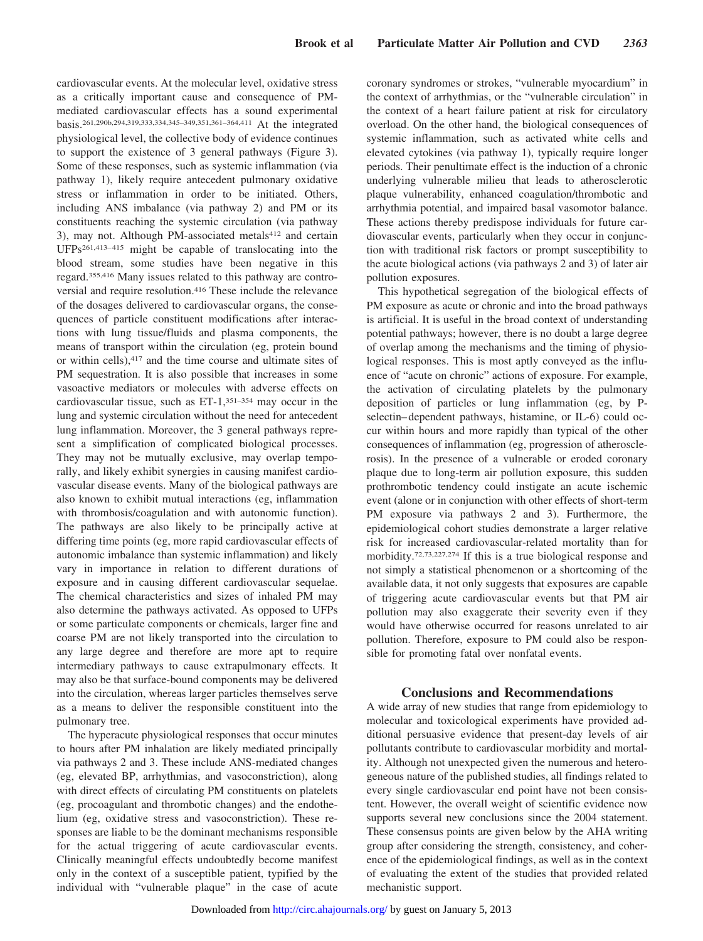cardiovascular events. At the molecular level, oxidative stress as a critically important cause and consequence of PMmediated cardiovascular effects has a sound experimental basis.261,290b,294,319,333,334,345–349,351,361–364,411 At the integrated physiological level, the collective body of evidence continues to support the existence of 3 general pathways (Figure 3). Some of these responses, such as systemic inflammation (via pathway 1), likely require antecedent pulmonary oxidative stress or inflammation in order to be initiated. Others, including ANS imbalance (via pathway 2) and PM or its constituents reaching the systemic circulation (via pathway 3), may not. Although PM-associated metals<sup>412</sup> and certain UFPs261,413–415 might be capable of translocating into the blood stream, some studies have been negative in this regard.355,416 Many issues related to this pathway are controversial and require resolution.416 These include the relevance of the dosages delivered to cardiovascular organs, the consequences of particle constituent modifications after interactions with lung tissue/fluids and plasma components, the means of transport within the circulation (eg, protein bound or within cells),417 and the time course and ultimate sites of PM sequestration. It is also possible that increases in some vasoactive mediators or molecules with adverse effects on cardiovascular tissue, such as ET-1,351–354 may occur in the lung and systemic circulation without the need for antecedent lung inflammation. Moreover, the 3 general pathways represent a simplification of complicated biological processes. They may not be mutually exclusive, may overlap temporally, and likely exhibit synergies in causing manifest cardiovascular disease events. Many of the biological pathways are also known to exhibit mutual interactions (eg, inflammation with thrombosis/coagulation and with autonomic function). The pathways are also likely to be principally active at differing time points (eg, more rapid cardiovascular effects of autonomic imbalance than systemic inflammation) and likely vary in importance in relation to different durations of exposure and in causing different cardiovascular sequelae. The chemical characteristics and sizes of inhaled PM may also determine the pathways activated. As opposed to UFPs or some particulate components or chemicals, larger fine and coarse PM are not likely transported into the circulation to any large degree and therefore are more apt to require intermediary pathways to cause extrapulmonary effects. It may also be that surface-bound components may be delivered into the circulation, whereas larger particles themselves serve as a means to deliver the responsible constituent into the pulmonary tree.

The hyperacute physiological responses that occur minutes to hours after PM inhalation are likely mediated principally via pathways 2 and 3. These include ANS-mediated changes (eg, elevated BP, arrhythmias, and vasoconstriction), along with direct effects of circulating PM constituents on platelets (eg, procoagulant and thrombotic changes) and the endothelium (eg, oxidative stress and vasoconstriction). These responses are liable to be the dominant mechanisms responsible for the actual triggering of acute cardiovascular events. Clinically meaningful effects undoubtedly become manifest only in the context of a susceptible patient, typified by the individual with "vulnerable plaque" in the case of acute coronary syndromes or strokes, "vulnerable myocardium" in the context of arrhythmias, or the "vulnerable circulation" in the context of a heart failure patient at risk for circulatory overload. On the other hand, the biological consequences of systemic inflammation, such as activated white cells and elevated cytokines (via pathway 1), typically require longer periods. Their penultimate effect is the induction of a chronic underlying vulnerable milieu that leads to atherosclerotic plaque vulnerability, enhanced coagulation/thrombotic and arrhythmia potential, and impaired basal vasomotor balance. These actions thereby predispose individuals for future cardiovascular events, particularly when they occur in conjunction with traditional risk factors or prompt susceptibility to the acute biological actions (via pathways 2 and 3) of later air pollution exposures.

This hypothetical segregation of the biological effects of PM exposure as acute or chronic and into the broad pathways is artificial. It is useful in the broad context of understanding potential pathways; however, there is no doubt a large degree of overlap among the mechanisms and the timing of physiological responses. This is most aptly conveyed as the influence of "acute on chronic" actions of exposure. For example, the activation of circulating platelets by the pulmonary deposition of particles or lung inflammation (eg, by Pselectin–dependent pathways, histamine, or IL-6) could occur within hours and more rapidly than typical of the other consequences of inflammation (eg, progression of atherosclerosis). In the presence of a vulnerable or eroded coronary plaque due to long-term air pollution exposure, this sudden prothrombotic tendency could instigate an acute ischemic event (alone or in conjunction with other effects of short-term PM exposure via pathways 2 and 3). Furthermore, the epidemiological cohort studies demonstrate a larger relative risk for increased cardiovascular-related mortality than for morbidity.72,73,227,274 If this is a true biological response and not simply a statistical phenomenon or a shortcoming of the available data, it not only suggests that exposures are capable of triggering acute cardiovascular events but that PM air pollution may also exaggerate their severity even if they would have otherwise occurred for reasons unrelated to air pollution. Therefore, exposure to PM could also be responsible for promoting fatal over nonfatal events.

## **Conclusions and Recommendations**

A wide array of new studies that range from epidemiology to molecular and toxicological experiments have provided additional persuasive evidence that present-day levels of air pollutants contribute to cardiovascular morbidity and mortality. Although not unexpected given the numerous and heterogeneous nature of the published studies, all findings related to every single cardiovascular end point have not been consistent. However, the overall weight of scientific evidence now supports several new conclusions since the 2004 statement. These consensus points are given below by the AHA writing group after considering the strength, consistency, and coherence of the epidemiological findings, as well as in the context of evaluating the extent of the studies that provided related mechanistic support.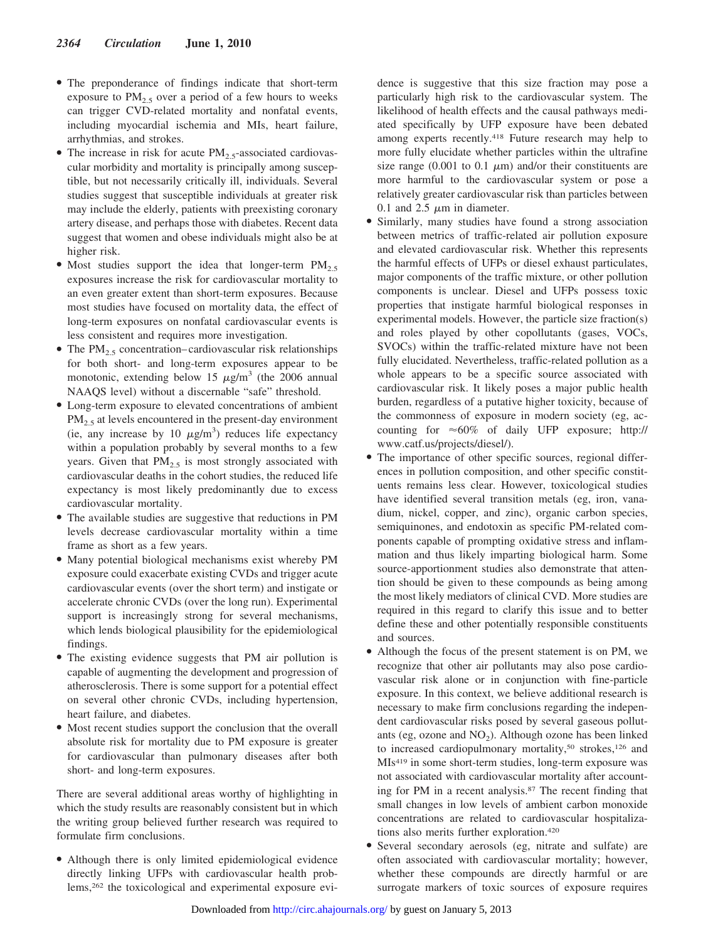- The preponderance of findings indicate that short-term exposure to  $PM<sub>2.5</sub>$  over a period of a few hours to weeks can trigger CVD-related mortality and nonfatal events, including myocardial ischemia and MIs, heart failure, arrhythmias, and strokes.
- The increase in risk for acute  $PM_{2.5}$ -associated cardiovascular morbidity and mortality is principally among susceptible, but not necessarily critically ill, individuals. Several studies suggest that susceptible individuals at greater risk may include the elderly, patients with preexisting coronary artery disease, and perhaps those with diabetes. Recent data suggest that women and obese individuals might also be at higher risk.
- Most studies support the idea that longer-term  $PM_{2.5}$ exposures increase the risk for cardiovascular mortality to an even greater extent than short-term exposures. Because most studies have focused on mortality data, the effect of long-term exposures on nonfatal cardiovascular events is less consistent and requires more investigation.
- The  $PM_{2.5}$  concentration–cardiovascular risk relationships for both short- and long-term exposures appear to be monotonic, extending below 15  $\mu$ g/m<sup>3</sup> (the 2006 annual NAAQS level) without a discernable "safe" threshold.
- Long-term exposure to elevated concentrations of ambient  $PM<sub>2.5</sub>$  at levels encountered in the present-day environment (ie, any increase by 10  $\mu$ g/m<sup>3</sup>) reduces life expectancy within a population probably by several months to a few years. Given that  $PM_{2.5}$  is most strongly associated with cardiovascular deaths in the cohort studies, the reduced life expectancy is most likely predominantly due to excess cardiovascular mortality.
- The available studies are suggestive that reductions in PM levels decrease cardiovascular mortality within a time frame as short as a few years.
- Many potential biological mechanisms exist whereby PM exposure could exacerbate existing CVDs and trigger acute cardiovascular events (over the short term) and instigate or accelerate chronic CVDs (over the long run). Experimental support is increasingly strong for several mechanisms, which lends biological plausibility for the epidemiological findings.
- The existing evidence suggests that PM air pollution is capable of augmenting the development and progression of atherosclerosis. There is some support for a potential effect on several other chronic CVDs, including hypertension, heart failure, and diabetes.
- Most recent studies support the conclusion that the overall absolute risk for mortality due to PM exposure is greater for cardiovascular than pulmonary diseases after both short- and long-term exposures.

There are several additional areas worthy of highlighting in which the study results are reasonably consistent but in which the writing group believed further research was required to formulate firm conclusions.

● Although there is only limited epidemiological evidence directly linking UFPs with cardiovascular health problems,262 the toxicological and experimental exposure evidence is suggestive that this size fraction may pose a particularly high risk to the cardiovascular system. The likelihood of health effects and the causal pathways mediated specifically by UFP exposure have been debated among experts recently.418 Future research may help to more fully elucidate whether particles within the ultrafine size range (0.001 to 0.1  $\mu$ m) and/or their constituents are more harmful to the cardiovascular system or pose a relatively greater cardiovascular risk than particles between 0.1 and 2.5  $\mu$ m in diameter.

- Similarly, many studies have found a strong association between metrics of traffic-related air pollution exposure and elevated cardiovascular risk. Whether this represents the harmful effects of UFPs or diesel exhaust particulates, major components of the traffic mixture, or other pollution components is unclear. Diesel and UFPs possess toxic properties that instigate harmful biological responses in experimental models. However, the particle size fraction(s) and roles played by other copollutants (gases, VOCs, SVOCs) within the traffic-related mixture have not been fully elucidated. Nevertheless, traffic-related pollution as a whole appears to be a specific source associated with cardiovascular risk. It likely poses a major public health burden, regardless of a putative higher toxicity, because of the commonness of exposure in modern society (eg, accounting for  $\approx 60\%$  of daily UFP exposure; http:// www.catf.us/projects/diesel/).
- The importance of other specific sources, regional differences in pollution composition, and other specific constituents remains less clear. However, toxicological studies have identified several transition metals (eg, iron, vanadium, nickel, copper, and zinc), organic carbon species, semiquinones, and endotoxin as specific PM-related components capable of prompting oxidative stress and inflammation and thus likely imparting biological harm. Some source-apportionment studies also demonstrate that attention should be given to these compounds as being among the most likely mediators of clinical CVD. More studies are required in this regard to clarify this issue and to better define these and other potentially responsible constituents and sources.
- Although the focus of the present statement is on PM, we recognize that other air pollutants may also pose cardiovascular risk alone or in conjunction with fine-particle exposure. In this context, we believe additional research is necessary to make firm conclusions regarding the independent cardiovascular risks posed by several gaseous pollutants (eg, ozone and  $NO<sub>2</sub>$ ). Although ozone has been linked to increased cardiopulmonary mortality,<sup>50</sup> strokes,<sup>126</sup> and MIs419 in some short-term studies, long-term exposure was not associated with cardiovascular mortality after accounting for PM in a recent analysis.87 The recent finding that small changes in low levels of ambient carbon monoxide concentrations are related to cardiovascular hospitalizations also merits further exploration.420
- Several secondary aerosols (eg, nitrate and sulfate) are often associated with cardiovascular mortality; however, whether these compounds are directly harmful or are surrogate markers of toxic sources of exposure requires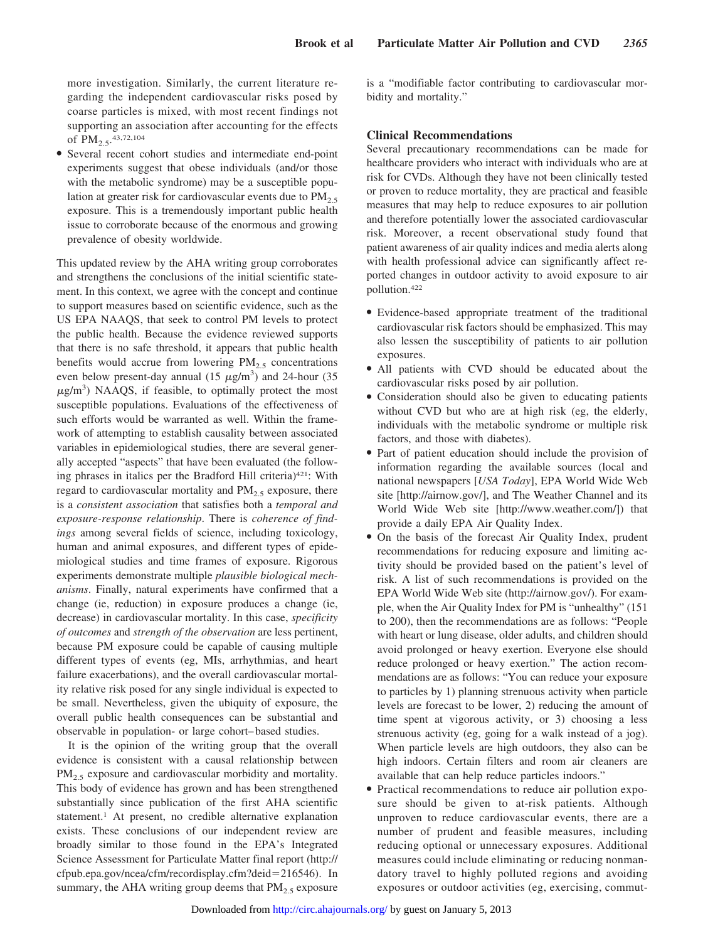more investigation. Similarly, the current literature regarding the independent cardiovascular risks posed by coarse particles is mixed, with most recent findings not supporting an association after accounting for the effects of  $PM_{2.5}$ , 43,72,104

● Several recent cohort studies and intermediate end-point experiments suggest that obese individuals (and/or those with the metabolic syndrome) may be a susceptible population at greater risk for cardiovascular events due to  $PM<sub>2.5</sub>$ exposure. This is a tremendously important public health issue to corroborate because of the enormous and growing prevalence of obesity worldwide.

This updated review by the AHA writing group corroborates and strengthens the conclusions of the initial scientific statement. In this context, we agree with the concept and continue to support measures based on scientific evidence, such as the US EPA NAAQS, that seek to control PM levels to protect the public health. Because the evidence reviewed supports that there is no safe threshold, it appears that public health benefits would accrue from lowering  $PM_{2.5}$  concentrations even below present-day annual  $(15 \ \mu g/m^3)$  and 24-hour  $(35 \ \mu g/m^3)$  $\mu$ g/m<sup>3</sup>) NAAQS, if feasible, to optimally protect the most susceptible populations. Evaluations of the effectiveness of such efforts would be warranted as well. Within the framework of attempting to establish causality between associated variables in epidemiological studies, there are several generally accepted "aspects" that have been evaluated (the following phrases in italics per the Bradford Hill criteria)<sup>421</sup>: With regard to cardiovascular mortality and  $PM_{2.5}$  exposure, there is a *consistent association* that satisfies both a *temporal and exposure-response relationship*. There is *coherence of findings* among several fields of science, including toxicology, human and animal exposures, and different types of epidemiological studies and time frames of exposure. Rigorous experiments demonstrate multiple *plausible biological mechanisms*. Finally, natural experiments have confirmed that a change (ie, reduction) in exposure produces a change (ie, decrease) in cardiovascular mortality. In this case, *specificity of outcomes* and *strength of the observation* are less pertinent, because PM exposure could be capable of causing multiple different types of events (eg, MIs, arrhythmias, and heart failure exacerbations), and the overall cardiovascular mortality relative risk posed for any single individual is expected to be small. Nevertheless, given the ubiquity of exposure, the overall public health consequences can be substantial and observable in population- or large cohort–based studies.

It is the opinion of the writing group that the overall evidence is consistent with a causal relationship between  $PM<sub>2.5</sub>$  exposure and cardiovascular morbidity and mortality. This body of evidence has grown and has been strengthened substantially since publication of the first AHA scientific statement.<sup>1</sup> At present, no credible alternative explanation exists. These conclusions of our independent review are broadly similar to those found in the EPA's Integrated Science Assessment for Particulate Matter final report (http:// cfpub.epa.gov/ncea/cfm/recordisplay.cfm?deid-216546). In summary, the AHA writing group deems that  $PM<sub>2.5</sub>$  exposure is a "modifiable factor contributing to cardiovascular morbidity and mortality."

# **Clinical Recommendations**

Several precautionary recommendations can be made for healthcare providers who interact with individuals who are at risk for CVDs. Although they have not been clinically tested or proven to reduce mortality, they are practical and feasible measures that may help to reduce exposures to air pollution and therefore potentially lower the associated cardiovascular risk. Moreover, a recent observational study found that patient awareness of air quality indices and media alerts along with health professional advice can significantly affect reported changes in outdoor activity to avoid exposure to air pollution.422

- Evidence-based appropriate treatment of the traditional cardiovascular risk factors should be emphasized. This may also lessen the susceptibility of patients to air pollution exposures.
- All patients with CVD should be educated about the cardiovascular risks posed by air pollution.
- Consideration should also be given to educating patients without CVD but who are at high risk (eg, the elderly, individuals with the metabolic syndrome or multiple risk factors, and those with diabetes).
- Part of patient education should include the provision of information regarding the available sources (local and national newspapers [*USA Today*], EPA World Wide Web site [http://airnow.gov/], and The Weather Channel and its World Wide Web site [http://www.weather.com/]) that provide a daily EPA Air Quality Index.
- On the basis of the forecast Air Quality Index, prudent recommendations for reducing exposure and limiting activity should be provided based on the patient's level of risk. A list of such recommendations is provided on the EPA World Wide Web site (http://airnow.gov/). For example, when the Air Quality Index for PM is "unhealthy" (151 to 200), then the recommendations are as follows: "People with heart or lung disease, older adults, and children should avoid prolonged or heavy exertion. Everyone else should reduce prolonged or heavy exertion." The action recommendations are as follows: "You can reduce your exposure to particles by 1) planning strenuous activity when particle levels are forecast to be lower, 2) reducing the amount of time spent at vigorous activity, or 3) choosing a less strenuous activity (eg, going for a walk instead of a jog). When particle levels are high outdoors, they also can be high indoors. Certain filters and room air cleaners are available that can help reduce particles indoors."
- Practical recommendations to reduce air pollution exposure should be given to at-risk patients. Although unproven to reduce cardiovascular events, there are a number of prudent and feasible measures, including reducing optional or unnecessary exposures. Additional measures could include eliminating or reducing nonmandatory travel to highly polluted regions and avoiding exposures or outdoor activities (eg, exercising, commut-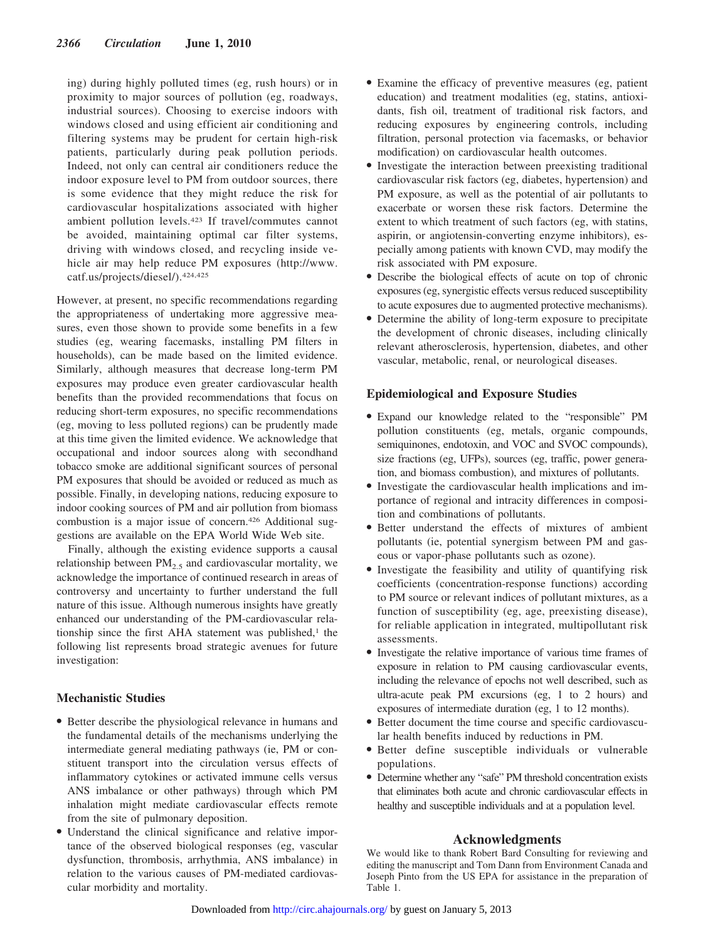ing) during highly polluted times (eg, rush hours) or in proximity to major sources of pollution (eg, roadways, industrial sources). Choosing to exercise indoors with windows closed and using efficient air conditioning and filtering systems may be prudent for certain high-risk patients, particularly during peak pollution periods. Indeed, not only can central air conditioners reduce the indoor exposure level to PM from outdoor sources, there is some evidence that they might reduce the risk for cardiovascular hospitalizations associated with higher ambient pollution levels.423 If travel/commutes cannot be avoided, maintaining optimal car filter systems, driving with windows closed, and recycling inside vehicle air may help reduce PM exposures (http://www. catf.us/projects/diesel/).424,425

However, at present, no specific recommendations regarding the appropriateness of undertaking more aggressive measures, even those shown to provide some benefits in a few studies (eg, wearing facemasks, installing PM filters in households), can be made based on the limited evidence. Similarly, although measures that decrease long-term PM exposures may produce even greater cardiovascular health benefits than the provided recommendations that focus on reducing short-term exposures, no specific recommendations (eg, moving to less polluted regions) can be prudently made at this time given the limited evidence. We acknowledge that occupational and indoor sources along with secondhand tobacco smoke are additional significant sources of personal PM exposures that should be avoided or reduced as much as possible. Finally, in developing nations, reducing exposure to indoor cooking sources of PM and air pollution from biomass combustion is a major issue of concern.426 Additional suggestions are available on the EPA World Wide Web site.

Finally, although the existing evidence supports a causal relationship between  $PM<sub>2.5</sub>$  and cardiovascular mortality, we acknowledge the importance of continued research in areas of controversy and uncertainty to further understand the full nature of this issue. Although numerous insights have greatly enhanced our understanding of the PM-cardiovascular relationship since the first AHA statement was published, $<sup>1</sup>$  the</sup> following list represents broad strategic avenues for future investigation:

# **Mechanistic Studies**

- Better describe the physiological relevance in humans and the fundamental details of the mechanisms underlying the intermediate general mediating pathways (ie, PM or constituent transport into the circulation versus effects of inflammatory cytokines or activated immune cells versus ANS imbalance or other pathways) through which PM inhalation might mediate cardiovascular effects remote from the site of pulmonary deposition.
- Understand the clinical significance and relative importance of the observed biological responses (eg, vascular dysfunction, thrombosis, arrhythmia, ANS imbalance) in relation to the various causes of PM-mediated cardiovascular morbidity and mortality.
- Examine the efficacy of preventive measures (eg, patient education) and treatment modalities (eg, statins, antioxidants, fish oil, treatment of traditional risk factors, and reducing exposures by engineering controls, including filtration, personal protection via facemasks, or behavior modification) on cardiovascular health outcomes.
- Investigate the interaction between preexisting traditional cardiovascular risk factors (eg, diabetes, hypertension) and PM exposure, as well as the potential of air pollutants to exacerbate or worsen these risk factors. Determine the extent to which treatment of such factors (eg, with statins, aspirin, or angiotensin-converting enzyme inhibitors), especially among patients with known CVD, may modify the risk associated with PM exposure.
- Describe the biological effects of acute on top of chronic exposures (eg, synergistic effects versus reduced susceptibility to acute exposures due to augmented protective mechanisms).
- Determine the ability of long-term exposure to precipitate the development of chronic diseases, including clinically relevant atherosclerosis, hypertension, diabetes, and other vascular, metabolic, renal, or neurological diseases.

# **Epidemiological and Exposure Studies**

- Expand our knowledge related to the "responsible" PM pollution constituents (eg, metals, organic compounds, semiquinones, endotoxin, and VOC and SVOC compounds), size fractions (eg, UFPs), sources (eg, traffic, power generation, and biomass combustion), and mixtures of pollutants.
- Investigate the cardiovascular health implications and importance of regional and intracity differences in composition and combinations of pollutants.
- Better understand the effects of mixtures of ambient pollutants (ie, potential synergism between PM and gaseous or vapor-phase pollutants such as ozone).
- Investigate the feasibility and utility of quantifying risk coefficients (concentration-response functions) according to PM source or relevant indices of pollutant mixtures, as a function of susceptibility (eg, age, preexisting disease), for reliable application in integrated, multipollutant risk assessments.
- Investigate the relative importance of various time frames of exposure in relation to PM causing cardiovascular events, including the relevance of epochs not well described, such as ultra-acute peak PM excursions (eg, 1 to 2 hours) and exposures of intermediate duration (eg, 1 to 12 months).
- Better document the time course and specific cardiovascular health benefits induced by reductions in PM.
- Better define susceptible individuals or vulnerable populations.
- Determine whether any "safe" PM threshold concentration exists that eliminates both acute and chronic cardiovascular effects in healthy and susceptible individuals and at a population level.

# **Acknowledgments**

We would like to thank Robert Bard Consulting for reviewing and editing the manuscript and Tom Dann from Environment Canada and Joseph Pinto from the US EPA for assistance in the preparation of Table 1.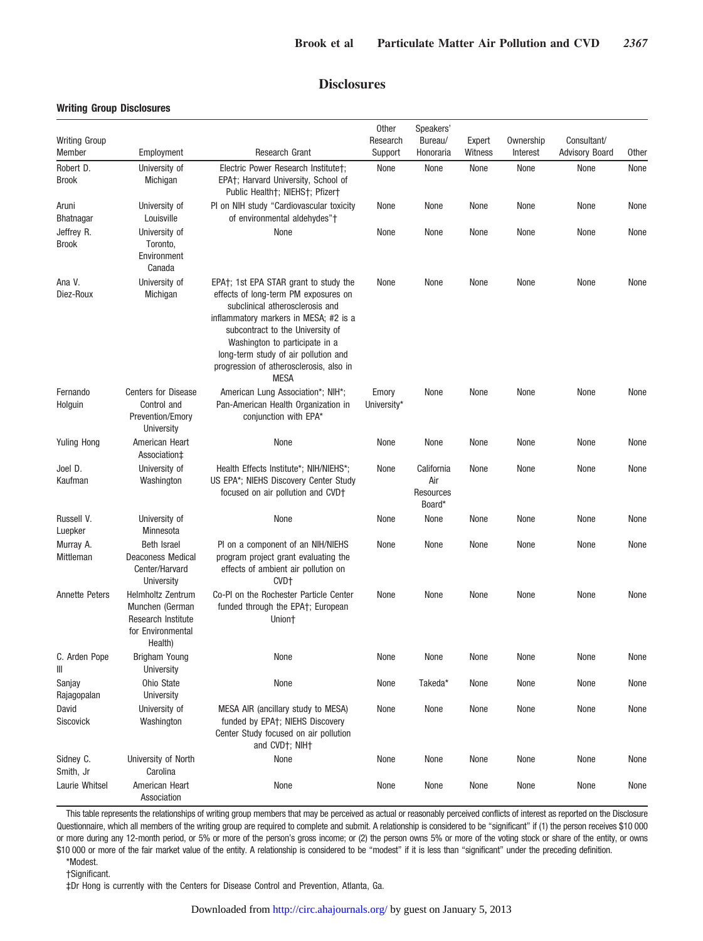# **Disclosures**

# **Writing Group Disclosures**

|                                |                                                                                                   |                                                                                                                                                                                                                                                                                                                            | Other                | Speakers'                                |                   |                       |                                      |       |
|--------------------------------|---------------------------------------------------------------------------------------------------|----------------------------------------------------------------------------------------------------------------------------------------------------------------------------------------------------------------------------------------------------------------------------------------------------------------------------|----------------------|------------------------------------------|-------------------|-----------------------|--------------------------------------|-------|
| <b>Writing Group</b><br>Member | Employment                                                                                        | Research Grant                                                                                                                                                                                                                                                                                                             | Research<br>Support  | Bureau/<br>Honoraria                     | Expert<br>Witness | Ownership<br>Interest | Consultant/<br><b>Advisory Board</b> | Other |
| Robert D.                      | University of                                                                                     | Electric Power Research Institute†;                                                                                                                                                                                                                                                                                        | None                 | None                                     | None              | None                  | None                                 | None  |
| <b>Brook</b>                   | Michigan                                                                                          | EPA†; Harvard University, School of<br>Public Health†; NIEHS†; Pfizer†                                                                                                                                                                                                                                                     |                      |                                          |                   |                       |                                      |       |
| Aruni<br><b>Bhatnagar</b>      | University of<br>Louisville                                                                       | PI on NIH study "Cardiovascular toxicity<br>of environmental aldehydes"+                                                                                                                                                                                                                                                   | None                 | None                                     | None              | None                  | None                                 | None  |
| Jeffrey R.<br><b>Brook</b>     | University of<br>Toronto,<br>Environment<br>Canada                                                | None                                                                                                                                                                                                                                                                                                                       | None                 | None                                     | None              | None                  | None                                 | None  |
| Ana V.<br>Diez-Roux            | University of<br>Michigan                                                                         | EPA†; 1st EPA STAR grant to study the<br>effects of long-term PM exposures on<br>subclinical atherosclerosis and<br>inflammatory markers in MESA; #2 is a<br>subcontract to the University of<br>Washington to participate in a<br>long-term study of air pollution and<br>progression of atherosclerosis, also in<br>MESA | None                 | None                                     | None              | None                  | None                                 | None  |
| Fernando<br>Holguin            | <b>Centers for Disease</b><br>Control and<br>Prevention/Emory<br>University                       | American Lung Association*; NIH*;<br>Pan-American Health Organization in<br>conjunction with EPA*                                                                                                                                                                                                                          | Emory<br>University* | None                                     | None              | None                  | None                                 | None  |
| <b>Yuling Hong</b>             | American Heart<br>Association <sup>±</sup>                                                        | None                                                                                                                                                                                                                                                                                                                       | None                 | None                                     | None              | None                  | None                                 | None  |
| Joel D.<br>Kaufman             | University of<br>Washington                                                                       | Health Effects Institute*; NIH/NIEHS*;<br>US EPA*; NIEHS Discovery Center Study<br>focused on air pollution and CVD+                                                                                                                                                                                                       | None                 | California<br>Air<br>Resources<br>Board* | None              | None                  | None                                 | None  |
| Russell V.<br>Luepker          | University of<br>Minnesota                                                                        | None                                                                                                                                                                                                                                                                                                                       | None                 | None                                     | None              | None                  | None                                 | None  |
| Murray A.<br>Mittleman         | <b>Beth Israel</b><br><b>Deaconess Medical</b><br>Center/Harvard<br>University                    | PI on a component of an NIH/NIEHS<br>program project grant evaluating the<br>effects of ambient air pollution on<br>CVD+                                                                                                                                                                                                   | None                 | None                                     | None              | None                  | None                                 | None  |
| <b>Annette Peters</b>          | <b>Helmholtz Zentrum</b><br>Munchen (German<br>Research Institute<br>for Environmental<br>Health) | Co-PI on the Rochester Particle Center<br>funded through the EPA†; European<br>Union†                                                                                                                                                                                                                                      | None                 | None                                     | None              | None                  | None                                 | None  |
| C. Arden Pope<br>Ш             | Brigham Young<br>University                                                                       | None                                                                                                                                                                                                                                                                                                                       | None                 | None                                     | None              | None                  | None                                 | None  |
| Sanjay<br>Rajagopalan          | Ohio State<br>University                                                                          | None                                                                                                                                                                                                                                                                                                                       | None                 | Takeda*                                  | None              | None                  | None                                 | None  |
| David<br>Siscovick             | University of<br>Washington                                                                       | MESA AIR (ancillary study to MESA)<br>funded by EPA†; NIEHS Discovery<br>Center Study focused on air pollution<br>and CVD+; NIH+                                                                                                                                                                                           | None                 | None                                     | None              | None                  | None                                 | None  |
| Sidney C.<br>Smith, Jr         | University of North<br>Carolina                                                                   | None                                                                                                                                                                                                                                                                                                                       | None                 | None                                     | None              | None                  | None                                 | None  |
| Laurie Whitsel                 | American Heart<br>Association                                                                     | None                                                                                                                                                                                                                                                                                                                       | None                 | None                                     | None              | None                  | None                                 | None  |

This table represents the relationships of writing group members that may be perceived as actual or reasonably perceived conflicts of interest as reported on the Disclosure Questionnaire, which all members of the writing group are required to complete and submit. A relationship is considered to be "significant" if (1) the person receives \$10 000 or more during any 12-month period, or 5% or more of the person's gross income; or (2) the person owns 5% or more of the voting stock or share of the entity, or owns \$10 000 or more of the fair market value of the entity. A relationship is considered to be "modest" if it is less than "significant" under the preceding definition.

\*Modest.

†Significant.

‡Dr Hong is currently with the Centers for Disease Control and Prevention, Atlanta, Ga.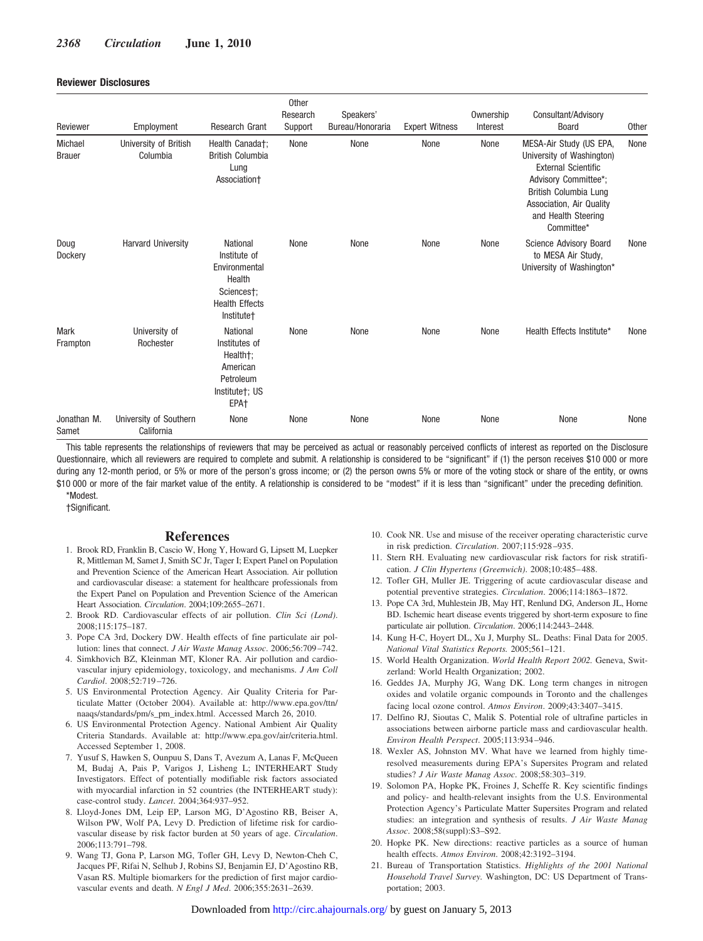#### **Reviewer Disclosures**

| Reviewer                 | Employment                           | <b>Research Grant</b>                                                                                    | Other<br>Research<br>Support | Speakers'<br>Bureau/Honoraria | <b>Expert Witness</b> | Ownership<br>Interest | Consultant/Advisory<br><b>Board</b>                                                                                                                                                                  | Other |
|--------------------------|--------------------------------------|----------------------------------------------------------------------------------------------------------|------------------------------|-------------------------------|-----------------------|-----------------------|------------------------------------------------------------------------------------------------------------------------------------------------------------------------------------------------------|-------|
| Michael<br><b>Brauer</b> | University of British<br>Columbia    | Health Canada†;<br><b>British Columbia</b><br>Lung<br>Association+                                       | None                         | None                          | None                  | None                  | MESA-Air Study (US EPA,<br>University of Washington)<br><b>External Scientific</b><br>Advisory Committee*;<br>British Columbia Lung<br>Association, Air Quality<br>and Health Steering<br>Committee* | None  |
| Doug<br>Dockery          | <b>Harvard University</b>            | National<br>Institute of<br>Environmental<br>Health<br>Sciences†;<br><b>Health Effects</b><br>Institute+ | None                         | None                          | None                  | None                  | Science Advisory Board<br>to MESA Air Study,<br>University of Washington*                                                                                                                            | None  |
| Mark<br>Frampton         | University of<br>Rochester           | National<br>Institutes of<br>Health†;<br>American<br>Petroleum<br>Institute†; US<br>EPA <sub>†</sub>     | None                         | None                          | None                  | None                  | Health Effects Institute*                                                                                                                                                                            | None  |
| Jonathan M.<br>Samet     | University of Southern<br>California | None                                                                                                     | None                         | None                          | None                  | None                  | None                                                                                                                                                                                                 | None  |

This table represents the relationships of reviewers that may be perceived as actual or reasonably perceived conflicts of interest as reported on the Disclosure Questionnaire, which all reviewers are required to complete and submit. A relationship is considered to be "significant" if (1) the person receives \$10 000 or more during any 12-month period, or 5% or more of the person's gross income; or (2) the person owns 5% or more of the voting stock or share of the entity, or owns \$10 000 or more of the fair market value of the entity. A relationship is considered to be "modest" if it is less than "significant" under the preceding definition.

\*Modest.

†Significant.

# **References**

- 1. Brook RD, Franklin B, Cascio W, Hong Y, Howard G, Lipsett M, Luepker R, Mittleman M, Samet J, Smith SC Jr, Tager I; Expert Panel on Population and Prevention Science of the American Heart Association. Air pollution and cardiovascular disease: a statement for healthcare professionals from the Expert Panel on Population and Prevention Science of the American Heart Association. *Circulation*. 2004;109:2655–2671.
- 2. Brook RD. Cardiovascular effects of air pollution. *Clin Sci (Lond)*. 2008;115:175–187.
- 3. Pope CA 3rd, Dockery DW. Health effects of fine particulate air pollution: lines that connect. *J Air Waste Manag Assoc*. 2006;56:709–742.
- 4. Simkhovich BZ, Kleinman MT, Kloner RA. Air pollution and cardiovascular injury epidemiology, toxicology, and mechanisms. *J Am Coll Cardiol*. 2008;52:719–726.
- 5. US Environmental Protection Agency. Air Quality Criteria for Particulate Matter (October 2004). Available at: http://www.epa.gov/ttn/ naaqs/standards/pm/s\_pm\_index.html. Accessed March 26, 2010.
- 6. US Environmental Protection Agency. National Ambient Air Quality Criteria Standards. Available at: http://www.epa.gov/air/criteria.html. Accessed September 1, 2008.
- 7. Yusuf S, Hawken S, Ounpuu S, Dans T, Avezum A, Lanas F, McQueen M, Budaj A, Pais P, Varigos J, Lisheng L; INTERHEART Study Investigators. Effect of potentially modifiable risk factors associated with myocardial infarction in 52 countries (the INTERHEART study): case-control study. *Lancet*. 2004;364:937–952.
- 8. Lloyd-Jones DM, Leip EP, Larson MG, D'Agostino RB, Beiser A, Wilson PW, Wolf PA, Levy D. Prediction of lifetime risk for cardiovascular disease by risk factor burden at 50 years of age. *Circulation*. 2006;113:791–798.
- 9. Wang TJ, Gona P, Larson MG, Tofler GH, Levy D, Newton-Cheh C, Jacques PF, Rifai N, Selhub J, Robins SJ, Benjamin EJ, D'Agostino RB, Vasan RS. Multiple biomarkers for the prediction of first major cardiovascular events and death. *N Engl J Med*. 2006;355:2631–2639.
- 10. Cook NR. Use and misuse of the receiver operating characteristic curve in risk prediction. *Circulation*. 2007;115:928–935.
- 11. Stern RH. Evaluating new cardiovascular risk factors for risk stratification. *J Clin Hypertens (Greenwich)*. 2008;10:485–488.
- 12. Tofler GH, Muller JE. Triggering of acute cardiovascular disease and potential preventive strategies. *Circulation*. 2006;114:1863–1872.
- 13. Pope CA 3rd, Muhlestein JB, May HT, Renlund DG, Anderson JL, Horne BD. Ischemic heart disease events triggered by short-term exposure to fine particulate air pollution. *Circulation*. 2006;114:2443–2448.
- 14. Kung H-C, Hoyert DL, Xu J, Murphy SL. Deaths: Final Data for 2005. *National Vital Statistics Reports.* 2005;561–121.
- 15. World Health Organization. *World Health Report 2002.* Geneva, Switzerland: World Health Organization; 2002.
- 16. Geddes JA, Murphy JG, Wang DK. Long term changes in nitrogen oxides and volatile organic compounds in Toronto and the challenges facing local ozone control. *Atmos Environ*. 2009;43:3407–3415.
- 17. Delfino RJ, Sioutas C, Malik S. Potential role of ultrafine particles in associations between airborne particle mass and cardiovascular health. *Environ Health Perspect*. 2005;113:934–946.
- 18. Wexler AS, Johnston MV. What have we learned from highly timeresolved measurements during EPA's Supersites Program and related studies? *J Air Waste Manag Assoc*. 2008;58:303–319.
- 19. Solomon PA, Hopke PK, Froines J, Scheffe R. Key scientific findings and policy- and health-relevant insights from the U.S. Environmental Protection Agency's Particulate Matter Supersites Program and related studies: an integration and synthesis of results. *J Air Waste Manag Assoc*. 2008;58(suppl):S3–S92.
- 20. Hopke PK. New directions: reactive particles as a source of human health effects. *Atmos Environ*. 2008;42:3192–3194.
- 21. Bureau of Transportation Statistics. *Highlights of the 2001 National Household Travel Survey.* Washington, DC: US Department of Transportation; 2003.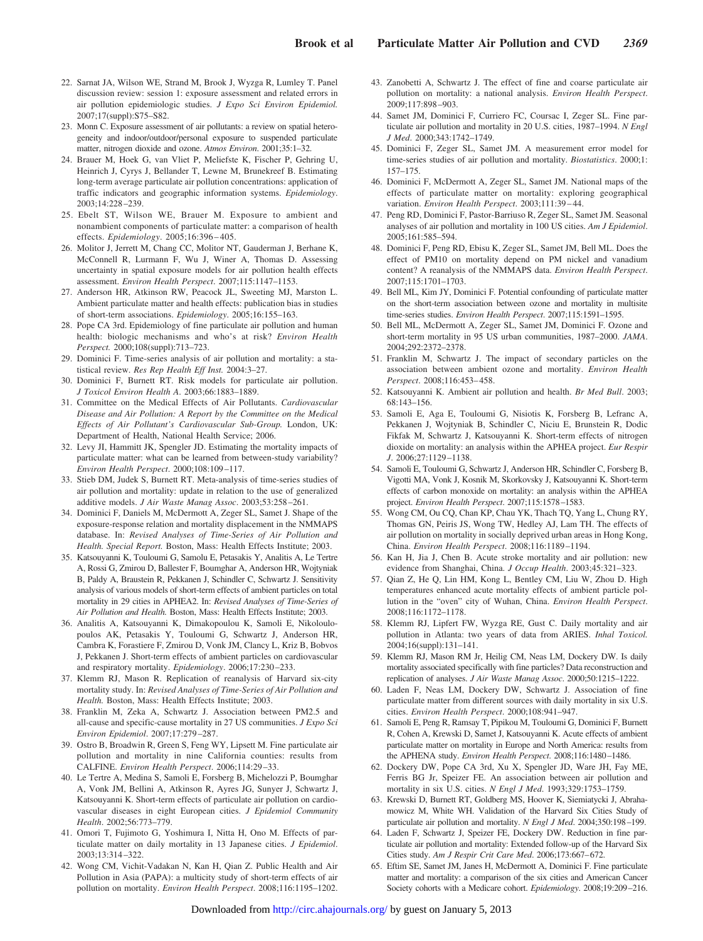- 22. Sarnat JA, Wilson WE, Strand M, Brook J, Wyzga R, Lumley T. Panel discussion review: session 1: exposure assessment and related errors in air pollution epidemiologic studies. *J Expo Sci Environ Epidemiol.* 2007;17(suppl):S75–S82.
- 23. Monn C. Exposure assessment of air pollutants: a review on spatial heterogeneity and indoor/outdoor/personal exposure to suspended particulate matter, nitrogen dioxide and ozone. *Atmos Environ*. 2001;35:1–32.
- 24. Brauer M, Hoek G, van Vliet P, Meliefste K, Fischer P, Gehring U, Heinrich J, Cyrys J, Bellander T, Lewne M, Brunekreef B. Estimating long-term average particulate air pollution concentrations: application of traffic indicators and geographic information systems. *Epidemiology*. 2003;14:228–239.
- 25. Ebelt ST, Wilson WE, Brauer M. Exposure to ambient and nonambient components of particulate matter: a comparison of health effects. *Epidemiology*. 2005;16:396–405.
- 26. Molitor J, Jerrett M, Chang CC, Molitor NT, Gauderman J, Berhane K, McConnell R, Lurmann F, Wu J, Winer A, Thomas D. Assessing uncertainty in spatial exposure models for air pollution health effects assessment. *Environ Health Perspect*. 2007;115:1147–1153.
- 27. Anderson HR, Atkinson RW, Peacock JL, Sweeting MJ, Marston L. Ambient particulate matter and health effects: publication bias in studies of short-term associations. *Epidemiology*. 2005;16:155–163.
- 28. Pope CA 3rd. Epidemiology of fine particulate air pollution and human health: biologic mechanisms and who's at risk? *Environ Health Perspect.* 2000;108(suppl):713–723.
- 29. Dominici F. Time-series analysis of air pollution and mortality: a statistical review. *Res Rep Health Eff Inst.* 2004:3–27.
- 30. Dominici F, Burnett RT. Risk models for particulate air pollution. *J Toxicol Environ Health A*. 2003;66:1883–1889.
- 31. Committee on the Medical Effects of Air Pollutants. *Cardiovascular Disease and Air Pollution: A Report by the Committee on the Medical Effects of Air Pollutant's Cardiovascular Sub-Group.* London, UK: Department of Health, National Health Service; 2006.
- 32. Levy JI, Hammitt JK, Spengler JD. Estimating the mortality impacts of particulate matter: what can be learned from between-study variability? *Environ Health Perspect*. 2000;108:109–117.
- 33. Stieb DM, Judek S, Burnett RT. Meta-analysis of time-series studies of air pollution and mortality: update in relation to the use of generalized additive models. *J Air Waste Manag Assoc*. 2003;53:258–261.
- 34. Dominici F, Daniels M, McDermott A, Zeger SL, Samet J. Shape of the exposure-response relation and mortality displacement in the NMMAPS database. In: *Revised Analyses of Time-Series of Air Pollution and Health. Special Report.* Boston, Mass: Health Effects Institute; 2003.
- 35. Katsouyanni K, Touloumi G, Samolu E, Petasakis Y, Analitis A, Le Tertre A, Rossi G, Zmirou D, Ballester F, Boumghar A, Anderson HR, Wojtyniak B, Paldy A, Braustein R, Pekkanen J, Schindler C, Schwartz J. Sensitivity analysis of various models of short-term effects of ambient particles on total mortality in 29 cities in APHEA2. In: *Revised Analyses of Time-Series of Air Pollution and Health.* Boston, Mass: Health Effects Institute; 2003.
- 36. Analitis A, Katsouyanni K, Dimakopoulou K, Samoli E, Nikoloulopoulos AK, Petasakis Y, Touloumi G, Schwartz J, Anderson HR, Cambra K, Forastiere F, Zmirou D, Vonk JM, Clancy L, Kriz B, Bobvos J, Pekkanen J. Short-term effects of ambient particles on cardiovascular and respiratory mortality. *Epidemiology*. 2006;17:230–233.
- 37. Klemm RJ, Mason R. Replication of reanalysis of Harvard six-city mortality study. In: *Revised Analyses of Time-Series of Air Pollution and Health.* Boston, Mass: Health Effects Institute; 2003.
- 38. Franklin M, Zeka A, Schwartz J. Association between PM2.5 and all-cause and specific-cause mortality in 27 US communities. *J Expo Sci Environ Epidemiol*. 2007;17:279–287.
- 39. Ostro B, Broadwin R, Green S, Feng WY, Lipsett M. Fine particulate air pollution and mortality in nine California counties: results from CALFINE. *Environ Health Perspect*. 2006;114:29–33.
- 40. Le Tertre A, Medina S, Samoli E, Forsberg B, Michelozzi P, Boumghar A, Vonk JM, Bellini A, Atkinson R, Ayres JG, Sunyer J, Schwartz J, Katsouyanni K. Short-term effects of particulate air pollution on cardiovascular diseases in eight European cities. *J Epidemiol Community Health*. 2002;56:773–779.
- 41. Omori T, Fujimoto G, Yoshimura I, Nitta H, Ono M. Effects of particulate matter on daily mortality in 13 Japanese cities. *J Epidemiol*. 2003;13:314–322.
- 42. Wong CM, Vichit-Vadakan N, Kan H, Qian Z. Public Health and Air Pollution in Asia (PAPA): a multicity study of short-term effects of air pollution on mortality. *Environ Health Perspect*. 2008;116:1195–1202.
- 43. Zanobetti A, Schwartz J. The effect of fine and coarse particulate air pollution on mortality: a national analysis. *Environ Health Perspect*. 2009;117:898–903.
- 44. Samet JM, Dominici F, Curriero FC, Coursac I, Zeger SL. Fine particulate air pollution and mortality in 20 U.S. cities, 1987–1994. *N Engl J Med*. 2000;343:1742–1749.
- 45. Dominici F, Zeger SL, Samet JM. A measurement error model for time-series studies of air pollution and mortality. *Biostatistics*. 2000;1: 157–175.
- 46. Dominici F, McDermott A, Zeger SL, Samet JM. National maps of the effects of particulate matter on mortality: exploring geographical variation. *Environ Health Perspect*. 2003;111:39–44.
- 47. Peng RD, Dominici F, Pastor-Barriuso R, Zeger SL, Samet JM. Seasonal analyses of air pollution and mortality in 100 US cities. *Am J Epidemiol*. 2005;161:585–594.
- 48. Dominici F, Peng RD, Ebisu K, Zeger SL, Samet JM, Bell ML. Does the effect of PM10 on mortality depend on PM nickel and vanadium content? A reanalysis of the NMMAPS data. *Environ Health Perspect*. 2007;115:1701–1703.
- 49. Bell ML, Kim JY, Dominici F. Potential confounding of particulate matter on the short-term association between ozone and mortality in multisite time-series studies. *Environ Health Perspect*. 2007;115:1591–1595.
- 50. Bell ML, McDermott A, Zeger SL, Samet JM, Dominici F. Ozone and short-term mortality in 95 US urban communities, 1987–2000. *JAMA*. 2004;292:2372–2378.
- 51. Franklin M, Schwartz J. The impact of secondary particles on the association between ambient ozone and mortality. *Environ Health Perspect*. 2008;116:453–458.
- 52. Katsouyanni K. Ambient air pollution and health. *Br Med Bull*. 2003; 68:143–156.
- 53. Samoli E, Aga E, Touloumi G, Nisiotis K, Forsberg B, Lefranc A, Pekkanen J, Wojtyniak B, Schindler C, Niciu E, Brunstein R, Dodic Fikfak M, Schwartz J, Katsouyanni K. Short-term effects of nitrogen dioxide on mortality: an analysis within the APHEA project. *Eur Respir J*. 2006;27:1129–1138.
- 54. Samoli E, Touloumi G, Schwartz J, Anderson HR, Schindler C, Forsberg B, Vigotti MA, Vonk J, Kosnik M, Skorkovsky J, Katsouyanni K. Short-term effects of carbon monoxide on mortality: an analysis within the APHEA project. *Environ Health Perspect*. 2007;115:1578–1583.
- 55. Wong CM, Ou CQ, Chan KP, Chau YK, Thach TQ, Yang L, Chung RY, Thomas GN, Peiris JS, Wong TW, Hedley AJ, Lam TH. The effects of air pollution on mortality in socially deprived urban areas in Hong Kong, China. *Environ Health Perspect*. 2008;116:1189–1194.
- 56. Kan H, Jia J, Chen B. Acute stroke mortality and air pollution: new evidence from Shanghai, China. *J Occup Health*. 2003;45:321–323.
- 57. Qian Z, He Q, Lin HM, Kong L, Bentley CM, Liu W, Zhou D. High temperatures enhanced acute mortality effects of ambient particle pollution in the "oven" city of Wuhan, China. *Environ Health Perspect*. 2008;116:1172–1178.
- 58. Klemm RJ, Lipfert FW, Wyzga RE, Gust C. Daily mortality and air pollution in Atlanta: two years of data from ARIES. *Inhal Toxicol.* 2004;16(suppl):131–141.
- 59. Klemm RJ, Mason RM Jr, Heilig CM, Neas LM, Dockery DW. Is daily mortality associated specifically with fine particles? Data reconstruction and replication of analyses. *J Air Waste Manag Assoc*. 2000;50:1215–1222.
- 60. Laden F, Neas LM, Dockery DW, Schwartz J. Association of fine particulate matter from different sources with daily mortality in six U.S. cities. *Environ Health Perspect*. 2000;108:941–947.
- 61. Samoli E, Peng R, Ramsay T, Pipikou M, Touloumi G, Dominici F, Burnett R, Cohen A, Krewski D, Samet J, Katsouyanni K. Acute effects of ambient particulate matter on mortality in Europe and North America: results from the APHENA study. *Environ Health Perspect*. 2008;116:1480–1486.
- 62. Dockery DW, Pope CA 3rd, Xu X, Spengler JD, Ware JH, Fay ME, Ferris BG Jr, Speizer FE. An association between air pollution and mortality in six U.S. cities. *N Engl J Med*. 1993;329:1753–1759.
- 63. Krewski D, Burnett RT, Goldberg MS, Hoover K, Siemiatycki J, Abrahamowicz M, White WH. Validation of the Harvard Six Cities Study of particulate air pollution and mortality. *N Engl J Med*. 2004;350:198–199.
- 64. Laden F, Schwartz J, Speizer FE, Dockery DW. Reduction in fine particulate air pollution and mortality: Extended follow-up of the Harvard Six Cities study. *Am J Respir Crit Care Med*. 2006;173:667–672.
- 65. Eftim SE, Samet JM, Janes H, McDermott A, Dominici F. Fine particulate matter and mortality: a comparison of the six cities and American Cancer Society cohorts with a Medicare cohort. *Epidemiology*. 2008;19:209–216.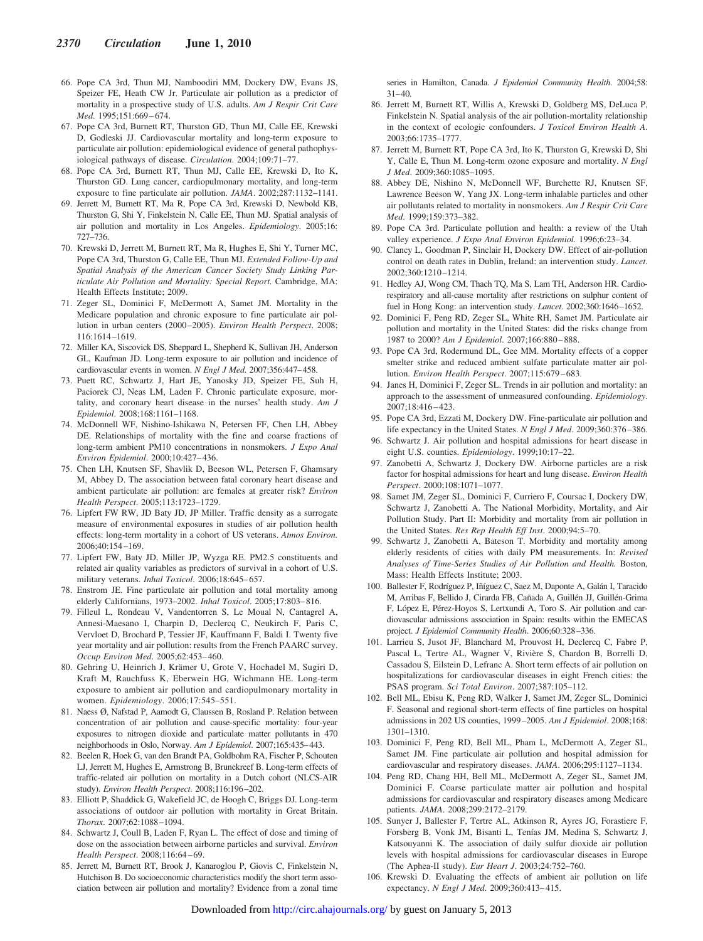- 66. Pope CA 3rd, Thun MJ, Namboodiri MM, Dockery DW, Evans JS, Speizer FE, Heath CW Jr. Particulate air pollution as a predictor of mortality in a prospective study of U.S. adults. *Am J Respir Crit Care Med*. 1995;151:669–674.
- 67. Pope CA 3rd, Burnett RT, Thurston GD, Thun MJ, Calle EE, Krewski D, Godleski JJ. Cardiovascular mortality and long-term exposure to particulate air pollution: epidemiological evidence of general pathophysiological pathways of disease. *Circulation*. 2004;109:71–77.
- 68. Pope CA 3rd, Burnett RT, Thun MJ, Calle EE, Krewski D, Ito K, Thurston GD. Lung cancer, cardiopulmonary mortality, and long-term exposure to fine particulate air pollution. *JAMA*. 2002;287:1132–1141.
- 69. Jerrett M, Burnett RT, Ma R, Pope CA 3rd, Krewski D, Newbold KB, Thurston G, Shi Y, Finkelstein N, Calle EE, Thun MJ. Spatial analysis of air pollution and mortality in Los Angeles. *Epidemiology*. 2005;16: 727–736.
- 70. Krewski D, Jerrett M, Burnett RT, Ma R, Hughes E, Shi Y, Turner MC, Pope CA 3rd, Thurston G, Calle EE, Thun MJ. *Extended Follow-Up and Spatial Analysis of the American Cancer Society Study Linking Particulate Air Pollution and Mortality: Special Report.* Cambridge, MA: Health Effects Institute; 2009.
- 71. Zeger SL, Dominici F, McDermott A, Samet JM. Mortality in the Medicare population and chronic exposure to fine particulate air pollution in urban centers (2000–2005). *Environ Health Perspect*. 2008; 116:1614–1619.
- 72. Miller KA, Siscovick DS, Sheppard L, Shepherd K, Sullivan JH, Anderson GL, Kaufman JD. Long-term exposure to air pollution and incidence of cardiovascular events in women. *N Engl J Med*. 2007;356:447–458.
- 73. Puett RC, Schwartz J, Hart JE, Yanosky JD, Speizer FE, Suh H, Paciorek CJ, Neas LM, Laden F. Chronic particulate exposure, mortality, and coronary heart disease in the nurses' health study. *Am J Epidemiol*. 2008;168:1161–1168.
- 74. McDonnell WF, Nishino-Ishikawa N, Petersen FF, Chen LH, Abbey DE. Relationships of mortality with the fine and coarse fractions of long-term ambient PM10 concentrations in nonsmokers. *J Expo Anal Environ Epidemiol*. 2000;10:427–436.
- 75. Chen LH, Knutsen SF, Shavlik D, Beeson WL, Petersen F, Ghamsary M, Abbey D. The association between fatal coronary heart disease and ambient particulate air pollution: are females at greater risk? *Environ Health Perspect*. 2005;113:1723–1729.
- 76. Lipfert FW RW, JD Baty JD, JP Miller. Traffic density as a surrogate measure of environmental exposures in studies of air pollution health effects: long-term mortality in a cohort of US veterans. *Atmos Environ.* 2006;40:154–169.
- 77. Lipfert FW, Baty JD, Miller JP, Wyzga RE. PM2.5 constituents and related air quality variables as predictors of survival in a cohort of U.S. military veterans. *Inhal Toxicol*. 2006;18:645–657.
- 78. Enstrom JE. Fine particulate air pollution and total mortality among elderly Californians, 1973–2002. *Inhal Toxicol*. 2005;17:803–816.
- 79. Filleul L, Rondeau V, Vandentorren S, Le Moual N, Cantagrel A, Annesi-Maesano I, Charpin D, Declercq C, Neukirch F, Paris C, Vervloet D, Brochard P, Tessier JF, Kauffmann F, Baldi I. Twenty five year mortality and air pollution: results from the French PAARC survey. *Occup Environ Med*. 2005;62:453–460.
- 80. Gehring U, Heinrich J, Krämer U, Grote V, Hochadel M, Sugiri D, Kraft M, Rauchfuss K, Eberwein HG, Wichmann HE. Long-term exposure to ambient air pollution and cardiopulmonary mortality in women. *Epidemiology*. 2006;17:545–551.
- 81. Naess Ø, Nafstad P, Aamodt G, Claussen B, Rosland P. Relation between concentration of air pollution and cause-specific mortality: four-year exposures to nitrogen dioxide and particulate matter pollutants in 470 neighborhoods in Oslo, Norway. *Am J Epidemiol*. 2007;165:435–443.
- 82. Beelen R, Hoek G, van den Brandt PA, Goldbohm RA, Fischer P, Schouten LJ, Jerrett M, Hughes E, Armstrong B, Brunekreef B. Long-term effects of traffic-related air pollution on mortality in a Dutch cohort (NLCS-AIR study). *Environ Health Perspect*. 2008;116:196–202.
- 83. Elliott P, Shaddick G, Wakefield JC, de Hoogh C, Briggs DJ. Long-term associations of outdoor air pollution with mortality in Great Britain. *Thorax*. 2007;62:1088–1094.
- 84. Schwartz J, Coull B, Laden F, Ryan L. The effect of dose and timing of dose on the association between airborne particles and survival. *Environ Health Perspect*. 2008;116:64–69.
- 85. Jerrett M, Burnett RT, Brook J, Kanaroglou P, Giovis C, Finkelstein N, Hutchison B. Do socioeconomic characteristics modify the short term association between air pollution and mortality? Evidence from a zonal time

series in Hamilton, Canada. *J Epidemiol Community Health*. 2004;58: 31–40.

- 86. Jerrett M, Burnett RT, Willis A, Krewski D, Goldberg MS, DeLuca P, Finkelstein N. Spatial analysis of the air pollution-mortality relationship in the context of ecologic confounders. *J Toxicol Environ Health A*. 2003;66:1735–1777.
- 87. Jerrett M, Burnett RT, Pope CA 3rd, Ito K, Thurston G, Krewski D, Shi Y, Calle E, Thun M. Long-term ozone exposure and mortality. *N Engl J Med*. 2009;360:1085–1095.
- 88. Abbey DE, Nishino N, McDonnell WF, Burchette RJ, Knutsen SF, Lawrence Beeson W, Yang JX. Long-term inhalable particles and other air pollutants related to mortality in nonsmokers. *Am J Respir Crit Care Med*. 1999;159:373–382.
- 89. Pope CA 3rd. Particulate pollution and health: a review of the Utah valley experience. *J Expo Anal Environ Epidemiol.* 1996;6:23–34.
- 90. Clancy L, Goodman P, Sinclair H, Dockery DW. Effect of air-pollution control on death rates in Dublin, Ireland: an intervention study. *Lancet*. 2002;360:1210–1214.
- 91. Hedley AJ, Wong CM, Thach TQ, Ma S, Lam TH, Anderson HR. Cardiorespiratory and all-cause mortality after restrictions on sulphur content of fuel in Hong Kong: an intervention study. *Lancet*. 2002;360:1646–1652.
- 92. Dominici F, Peng RD, Zeger SL, White RH, Samet JM. Particulate air pollution and mortality in the United States: did the risks change from 1987 to 2000? *Am J Epidemiol*. 2007;166:880–888.
- 93. Pope CA 3rd, Rodermund DL, Gee MM. Mortality effects of a copper smelter strike and reduced ambient sulfate particulate matter air pollution. *Environ Health Perspect*. 2007;115:679–683.
- 94. Janes H, Dominici F, Zeger SL. Trends in air pollution and mortality: an approach to the assessment of unmeasured confounding. *Epidemiology*. 2007;18:416–423.
- 95. Pope CA 3rd, Ezzati M, Dockery DW. Fine-particulate air pollution and life expectancy in the United States. *N Engl J Med*. 2009;360:376–386.
- 96. Schwartz J. Air pollution and hospital admissions for heart disease in eight U.S. counties. *Epidemiology*. 1999;10:17–22.
- 97. Zanobetti A, Schwartz J, Dockery DW. Airborne particles are a risk factor for hospital admissions for heart and lung disease. *Environ Health Perspect*. 2000;108:1071–1077.
- 98. Samet JM, Zeger SL, Dominici F, Curriero F, Coursac I, Dockery DW, Schwartz J, Zanobetti A. The National Morbidity, Mortality, and Air Pollution Study. Part II: Morbidity and mortality from air pollution in the United States. *Res Rep Health Eff Inst*. 2000;94:5–70.
- 99. Schwartz J, Zanobetti A, Bateson T. Morbidity and mortality among elderly residents of cities with daily PM measurements. In: *Revised Analyses of Time-Series Studies of Air Pollution and Health.* Boston, Mass: Health Effects Institute; 2003.
- 100. Ballester F, Rodríguez P, Iñíguez C, Saez M, Daponte A, Galán I, Taracido M, Arribas F, Bellido J, Cirarda FB, Cañada A, Guillén JJ, Guillén-Grima F, López E, Pérez-Hoyos S, Lertxundi A, Toro S. Air pollution and cardiovascular admissions association in Spain: results within the EMECAS project. *J Epidemiol Community Health*. 2006;60:328–336.
- 101. Larrieu S, Jusot JF, Blanchard M, Prouvost H, Declercq C, Fabre P, Pascal L, Tertre AL, Wagner V, Rivière S, Chardon B, Borrelli D, Cassadou S, Eilstein D, Lefranc A. Short term effects of air pollution on hospitalizations for cardiovascular diseases in eight French cities: the PSAS program. *Sci Total Environ*. 2007;387:105–112.
- 102. Bell ML, Ebisu K, Peng RD, Walker J, Samet JM, Zeger SL, Dominici F. Seasonal and regional short-term effects of fine particles on hospital admissions in 202 US counties, 1999–2005. *Am J Epidemiol*. 2008;168: 1301–1310.
- 103. Dominici F, Peng RD, Bell ML, Pham L, McDermott A, Zeger SL, Samet JM. Fine particulate air pollution and hospital admission for cardiovascular and respiratory diseases. *JAMA*. 2006;295:1127–1134.
- 104. Peng RD, Chang HH, Bell ML, McDermott A, Zeger SL, Samet JM, Dominici F. Coarse particulate matter air pollution and hospital admissions for cardiovascular and respiratory diseases among Medicare patients. *JAMA*. 2008;299:2172–2179.
- 105. Sunyer J, Ballester F, Tertre AL, Atkinson R, Ayres JG, Forastiere F, Forsberg B, Vonk JM, Bisanti L, Tenías JM, Medina S, Schwartz J, Katsouyanni K. The association of daily sulfur dioxide air pollution levels with hospital admissions for cardiovascular diseases in Europe (The Aphea-II study). *Eur Heart J*. 2003;24:752–760.
- 106. Krewski D. Evaluating the effects of ambient air pollution on life expectancy. *N Engl J Med*. 2009;360:413–415.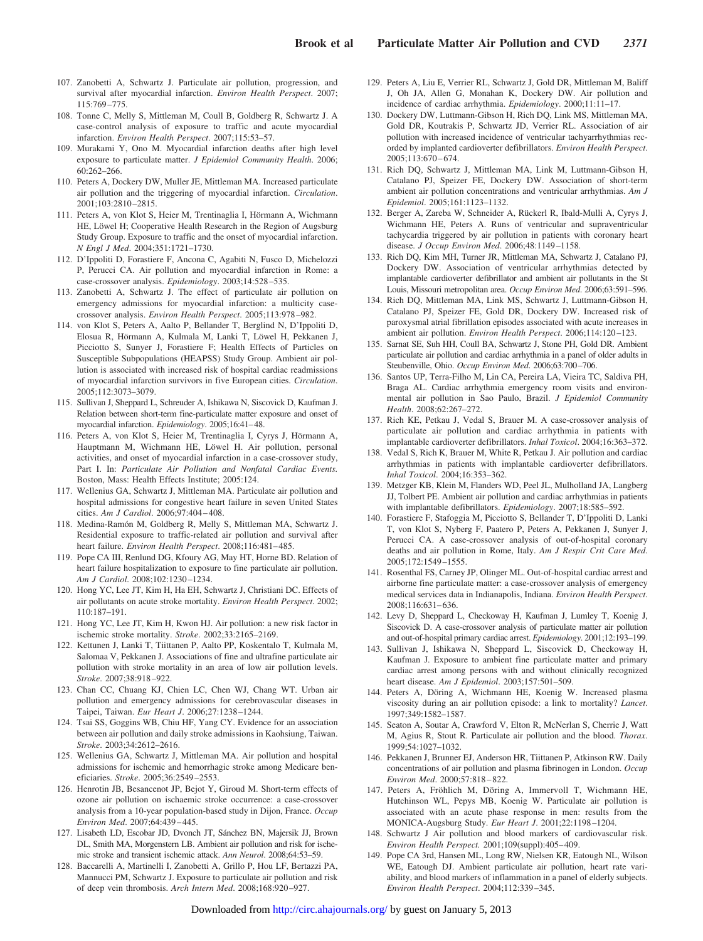- 107. Zanobetti A, Schwartz J. Particulate air pollution, progression, and survival after myocardial infarction. *Environ Health Perspect*. 2007; 115:769–775.
- 108. Tonne C, Melly S, Mittleman M, Coull B, Goldberg R, Schwartz J. A case-control analysis of exposure to traffic and acute myocardial infarction. *Environ Health Perspect*. 2007;115:53–57.
- 109. Murakami Y, Ono M. Myocardial infarction deaths after high level exposure to particulate matter. *J Epidemiol Community Health*. 2006; 60:262–266.
- 110. Peters A, Dockery DW, Muller JE, Mittleman MA. Increased particulate air pollution and the triggering of myocardial infarction. *Circulation*. 2001;103:2810–2815.
- 111. Peters A, von Klot S, Heier M, Trentinaglia I, Hörmann A, Wichmann HE, Löwel H; Cooperative Health Research in the Region of Augsburg Study Group. Exposure to traffic and the onset of myocardial infarction. *N Engl J Med*. 2004;351:1721–1730.
- 112. D'Ippoliti D, Forastiere F, Ancona C, Agabiti N, Fusco D, Michelozzi P, Perucci CA. Air pollution and myocardial infarction in Rome: a case-crossover analysis. *Epidemiology*. 2003;14:528–535.
- 113. Zanobetti A, Schwartz J. The effect of particulate air pollution on emergency admissions for myocardial infarction: a multicity casecrossover analysis. *Environ Health Perspect*. 2005;113:978–982.
- 114. von Klot S, Peters A, Aalto P, Bellander T, Berglind N, D'Ippoliti D, Elosua R, Hörmann A, Kulmala M, Lanki T, Löwel H, Pekkanen J, Picciotto S, Sunyer J, Forastiere F; Health Effects of Particles on Susceptible Subpopulations (HEAPSS) Study Group. Ambient air pollution is associated with increased risk of hospital cardiac readmissions of myocardial infarction survivors in five European cities. *Circulation*. 2005;112:3073–3079.
- 115. Sullivan J, Sheppard L, Schreuder A, Ishikawa N, Siscovick D, Kaufman J. Relation between short-term fine-particulate matter exposure and onset of myocardial infarction. *Epidemiology*. 2005;16:41–48.
- 116. Peters A, von Klot S, Heier M, Trentinaglia I, Cyrys J, Hörmann A, Hauptmann M, Wichmann HE, Löwel H. Air pollution, personal activities, and onset of myocardial infarction in a case-crossover study, Part I. In: *Particulate Air Pollution and Nonfatal Cardiac Events.* Boston, Mass: Health Effects Institute; 2005:124.
- 117. Wellenius GA, Schwartz J, Mittleman MA. Particulate air pollution and hospital admissions for congestive heart failure in seven United States cities. *Am J Cardiol*. 2006;97:404–408.
- 118. Medina-Ramón M, Goldberg R, Melly S, Mittleman MA, Schwartz J. Residential exposure to traffic-related air pollution and survival after heart failure. *Environ Health Perspect*. 2008;116:481–485.
- 119. Pope CA III, Renlund DG, Kfoury AG, May HT, Horne BD. Relation of heart failure hospitalization to exposure to fine particulate air pollution. *Am J Cardiol*. 2008;102:1230–1234.
- 120. Hong YC, Lee JT, Kim H, Ha EH, Schwartz J, Christiani DC. Effects of air pollutants on acute stroke mortality. *Environ Health Perspect*. 2002; 110:187–191.
- 121. Hong YC, Lee JT, Kim H, Kwon HJ. Air pollution: a new risk factor in ischemic stroke mortality. *Stroke*. 2002;33:2165–2169.
- 122. Kettunen J, Lanki T, Tiittanen P, Aalto PP, Koskentalo T, Kulmala M, Salomaa V, Pekkanen J. Associations of fine and ultrafine particulate air pollution with stroke mortality in an area of low air pollution levels. *Stroke*. 2007;38:918–922.
- 123. Chan CC, Chuang KJ, Chien LC, Chen WJ, Chang WT. Urban air pollution and emergency admissions for cerebrovascular diseases in Taipei, Taiwan. *Eur Heart J*. 2006;27:1238–1244.
- 124. Tsai SS, Goggins WB, Chiu HF, Yang CY. Evidence for an association between air pollution and daily stroke admissions in Kaohsiung, Taiwan. *Stroke*. 2003;34:2612–2616.
- 125. Wellenius GA, Schwartz J, Mittleman MA. Air pollution and hospital admissions for ischemic and hemorrhagic stroke among Medicare beneficiaries. *Stroke*. 2005;36:2549–2553.
- 126. Henrotin JB, Besancenot JP, Bejot Y, Giroud M. Short-term effects of ozone air pollution on ischaemic stroke occurrence: a case-crossover analysis from a 10-year population-based study in Dijon, France. *Occup Environ Med*. 2007;64:439–445.
- 127. Lisabeth LD, Escobar JD, Dvonch JT, Sánchez BN, Majersik JJ, Brown DL, Smith MA, Morgenstern LB. Ambient air pollution and risk for ischemic stroke and transient ischemic attack. *Ann Neurol*. 2008;64:53–59.
- 128. Baccarelli A, Martinelli I, Zanobetti A, Grillo P, Hou LF, Bertazzi PA, Mannucci PM, Schwartz J. Exposure to particulate air pollution and risk of deep vein thrombosis. *Arch Intern Med*. 2008;168:920–927.
- 129. Peters A, Liu E, Verrier RL, Schwartz J, Gold DR, Mittleman M, Baliff J, Oh JA, Allen G, Monahan K, Dockery DW. Air pollution and incidence of cardiac arrhythmia. *Epidemiology*. 2000;11:11–17.
- 130. Dockery DW, Luttmann-Gibson H, Rich DQ, Link MS, Mittleman MA, Gold DR, Koutrakis P, Schwartz JD, Verrier RL. Association of air pollution with increased incidence of ventricular tachyarrhythmias recorded by implanted cardioverter defibrillators. *Environ Health Perspect*. 2005;113:670–674.
- 131. Rich DQ, Schwartz J, Mittleman MA, Link M, Luttmann-Gibson H, Catalano PJ, Speizer FE, Dockery DW. Association of short-term ambient air pollution concentrations and ventricular arrhythmias. *Am J Epidemiol*. 2005;161:1123–1132.
- 132. Berger A, Zareba W, Schneider A, Rückerl R, Ibald-Mulli A, Cyrys J, Wichmann HE, Peters A. Runs of ventricular and supraventricular tachycardia triggered by air pollution in patients with coronary heart disease. *J Occup Environ Med*. 2006;48:1149–1158.
- 133. Rich DQ, Kim MH, Turner JR, Mittleman MA, Schwartz J, Catalano PJ, Dockery DW. Association of ventricular arrhythmias detected by implantable cardioverter defibrillator and ambient air pollutants in the St Louis, Missouri metropolitan area. *Occup Environ Med*. 2006;63:591–596.
- 134. Rich DQ, Mittleman MA, Link MS, Schwartz J, Luttmann-Gibson H, Catalano PJ, Speizer FE, Gold DR, Dockery DW. Increased risk of paroxysmal atrial fibrillation episodes associated with acute increases in ambient air pollution. *Environ Health Perspect*. 2006;114:120–123.
- 135. Sarnat SE, Suh HH, Coull BA, Schwartz J, Stone PH, Gold DR. Ambient particulate air pollution and cardiac arrhythmia in a panel of older adults in Steubenville, Ohio. *Occup Environ Med*. 2006;63:700–706.
- 136. Santos UP, Terra-Filho M, Lin CA, Pereira LA, Vieira TC, Saldiva PH, Braga AL. Cardiac arrhythmia emergency room visits and environmental air pollution in Sao Paulo, Brazil. *J Epidemiol Community Health*. 2008;62:267–272.
- 137. Rich KE, Petkau J, Vedal S, Brauer M. A case-crossover analysis of particulate air pollution and cardiac arrhythmia in patients with implantable cardioverter defibrillators. *Inhal Toxicol*. 2004;16:363–372.
- 138. Vedal S, Rich K, Brauer M, White R, Petkau J. Air pollution and cardiac arrhythmias in patients with implantable cardioverter defibrillators. *Inhal Toxicol*. 2004;16:353–362.
- 139. Metzger KB, Klein M, Flanders WD, Peel JL, Mulholland JA, Langberg JJ, Tolbert PE. Ambient air pollution and cardiac arrhythmias in patients with implantable defibrillators. *Epidemiology*. 2007;18:585–592.
- 140. Forastiere F, Stafoggia M, Picciotto S, Bellander T, D'Ippoliti D, Lanki T, von Klot S, Nyberg F, Paatero P, Peters A, Pekkanen J, Sunyer J, Perucci CA. A case-crossover analysis of out-of-hospital coronary deaths and air pollution in Rome, Italy. *Am J Respir Crit Care Med*. 2005;172:1549–1555.
- 141. Rosenthal FS, Carney JP, Olinger ML. Out-of-hospital cardiac arrest and airborne fine particulate matter: a case-crossover analysis of emergency medical services data in Indianapolis, Indiana. *Environ Health Perspect*. 2008;116:631–636.
- 142. Levy D, Sheppard L, Checkoway H, Kaufman J, Lumley T, Koenig J, Siscovick D. A case-crossover analysis of particulate matter air pollution and out-of-hospital primary cardiac arrest. *Epidemiology*. 2001;12:193–199.
- 143. Sullivan J, Ishikawa N, Sheppard L, Siscovick D, Checkoway H, Kaufman J. Exposure to ambient fine particulate matter and primary cardiac arrest among persons with and without clinically recognized heart disease. *Am J Epidemiol*. 2003;157:501–509.
- 144. Peters A, Döring A, Wichmann HE, Koenig W. Increased plasma viscosity during an air pollution episode: a link to mortality? *Lancet*. 1997;349:1582–1587.
- 145. Seaton A, Soutar A, Crawford V, Elton R, McNerlan S, Cherrie J, Watt M, Agius R, Stout R. Particulate air pollution and the blood. *Thorax*. 1999;54:1027–1032.
- 146. Pekkanen J, Brunner EJ, Anderson HR, Tiittanen P, Atkinson RW. Daily concentrations of air pollution and plasma fibrinogen in London. *Occup Environ Med*. 2000;57:818–822.
- 147. Peters A, Fröhlich M, Döring A, Immervoll T, Wichmann HE, Hutchinson WL, Pepys MB, Koenig W. Particulate air pollution is associated with an acute phase response in men: results from the MONICA-Augsburg Study. *Eur Heart J*. 2001;22:1198–1204.
- 148. Schwartz J Air pollution and blood markers of cardiovascular risk. *Environ Health Perspect.* 2001;109(suppl):405–409.
- 149. Pope CA 3rd, Hansen ML, Long RW, Nielsen KR, Eatough NL, Wilson WE, Eatough DJ. Ambient particulate air pollution, heart rate variability, and blood markers of inflammation in a panel of elderly subjects. *Environ Health Perspect*. 2004;112:339–345.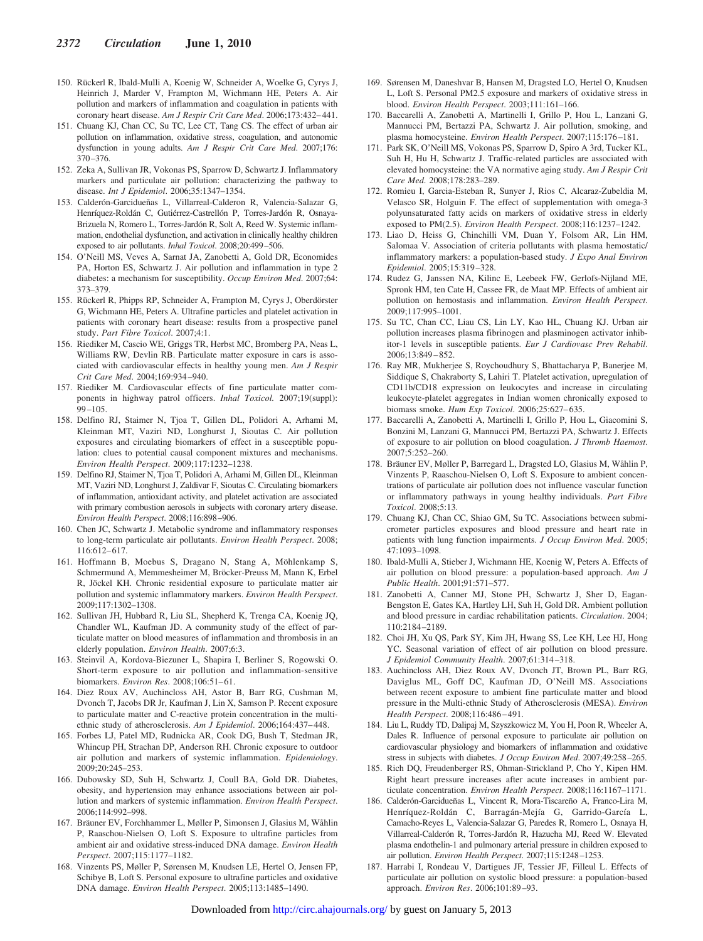- 150. Rückerl R, Ibald-Mulli A, Koenig W, Schneider A, Woelke G, Cyrys J, Heinrich J, Marder V, Frampton M, Wichmann HE, Peters A. Air pollution and markers of inflammation and coagulation in patients with coronary heart disease. *Am J Respir Crit Care Med*. 2006;173:432–441.
- 151. Chuang KJ, Chan CC, Su TC, Lee CT, Tang CS. The effect of urban air pollution on inflammation, oxidative stress, coagulation, and autonomic dysfunction in young adults. *Am J Respir Crit Care Med*. 2007;176: 370–376.
- 152. Zeka A, Sullivan JR, Vokonas PS, Sparrow D, Schwartz J. Inflammatory markers and particulate air pollution: characterizing the pathway to disease. *Int J Epidemiol*. 2006;35:1347–1354.
- 153. Calderón-Garcidueñas L, Villarreal-Calderon R, Valencia-Salazar G, Henríquez-Roldán C, Gutiérrez-Castrellón P, Torres-Jardón R, Osnaya-Brizuela N, Romero L, Torres-Jardón R, Solt A, Reed W. Systemic inflammation, endothelial dysfunction, and activation in clinically healthy children exposed to air pollutants. *Inhal Toxicol*. 2008;20:499–506.
- 154. O'Neill MS, Veves A, Sarnat JA, Zanobetti A, Gold DR, Economides PA, Horton ES, Schwartz J. Air pollution and inflammation in type 2 diabetes: a mechanism for susceptibility. *Occup Environ Med*. 2007;64: 373–379.
- 155. Rückerl R, Phipps RP, Schneider A, Frampton M, Cyrys J, Oberdörster G, Wichmann HE, Peters A. Ultrafine particles and platelet activation in patients with coronary heart disease: results from a prospective panel study. *Part Fibre Toxicol*. 2007;4:1.
- 156. Riediker M, Cascio WE, Griggs TR, Herbst MC, Bromberg PA, Neas L, Williams RW, Devlin RB. Particulate matter exposure in cars is associated with cardiovascular effects in healthy young men. *Am J Respir Crit Care Med*. 2004;169:934–940.
- 157. Riediker M. Cardiovascular effects of fine particulate matter components in highway patrol officers. *Inhal Toxicol.* 2007;19(suppl): 99–105.
- 158. Delfino RJ, Staimer N, Tjoa T, Gillen DL, Polidori A, Arhami M, Kleinman MT, Vaziri ND, Longhurst J, Sioutas C. Air pollution exposures and circulating biomarkers of effect in a susceptible population: clues to potential causal component mixtures and mechanisms. *Environ Health Perspect*. 2009;117:1232–1238.
- 159. Delfino RJ, Staimer N, Tjoa T, Polidori A, Arhami M, Gillen DL, Kleinman MT, Vaziri ND, Longhurst J, Zaldivar F, Sioutas C. Circulating biomarkers of inflammation, antioxidant activity, and platelet activation are associated with primary combustion aerosols in subjects with coronary artery disease. *Environ Health Perspect*. 2008;116:898–906.
- 160. Chen JC, Schwartz J. Metabolic syndrome and inflammatory responses to long-term particulate air pollutants. *Environ Health Perspect*. 2008; 116:612–617.
- 161. Hoffmann B, Moebus S, Dragano N, Stang A, Möhlenkamp S, Schmermund A, Memmesheimer M, Bröcker-Preuss M, Mann K, Erbel R, Jöckel KH. Chronic residential exposure to particulate matter air pollution and systemic inflammatory markers. *Environ Health Perspect*. 2009;117:1302–1308.
- 162. Sullivan JH, Hubbard R, Liu SL, Shepherd K, Trenga CA, Koenig JQ, Chandler WL, Kaufman JD. A community study of the effect of particulate matter on blood measures of inflammation and thrombosis in an elderly population. *Environ Health*. 2007;6:3.
- 163. Steinvil A, Kordova-Biezuner L, Shapira I, Berliner S, Rogowski O. Short-term exposure to air pollution and inflammation-sensitive biomarkers. *Environ Res*. 2008;106:51–61.
- 164. Diez Roux AV, Auchincloss AH, Astor B, Barr RG, Cushman M, Dvonch T, Jacobs DR Jr, Kaufman J, Lin X, Samson P. Recent exposure to particulate matter and C-reactive protein concentration in the multiethnic study of atherosclerosis. *Am J Epidemiol*. 2006;164:437–448.
- 165. Forbes LJ, Patel MD, Rudnicka AR, Cook DG, Bush T, Stedman JR, Whincup PH, Strachan DP, Anderson RH. Chronic exposure to outdoor air pollution and markers of systemic inflammation. *Epidemiology*. 2009;20:245–253.
- 166. Dubowsky SD, Suh H, Schwartz J, Coull BA, Gold DR. Diabetes, obesity, and hypertension may enhance associations between air pollution and markers of systemic inflammation. *Environ Health Perspect*. 2006;114:992–998.
- 167. Bräuner EV, Forchhammer L, Møller P, Simonsen J, Glasius M, Wåhlin P, Raaschou-Nielsen O, Loft S. Exposure to ultrafine particles from ambient air and oxidative stress-induced DNA damage. *Environ Health Perspect*. 2007;115:1177–1182.
- 168. Vinzents PS, Møller P, Sørensen M, Knudsen LE, Hertel O, Jensen FP, Schibye B, Loft S. Personal exposure to ultrafine particles and oxidative DNA damage. *Environ Health Perspect*. 2005;113:1485–1490.
- 169. Sørensen M, Daneshvar B, Hansen M, Dragsted LO, Hertel O, Knudsen L, Loft S. Personal PM2.5 exposure and markers of oxidative stress in blood. *Environ Health Perspect*. 2003;111:161–166.
- 170. Baccarelli A, Zanobetti A, Martinelli I, Grillo P, Hou L, Lanzani G, Mannucci PM, Bertazzi PA, Schwartz J. Air pollution, smoking, and plasma homocysteine. *Environ Health Perspect*. 2007;115:176–181.
- 171. Park SK, O'Neill MS, Vokonas PS, Sparrow D, Spiro A 3rd, Tucker KL, Suh H, Hu H, Schwartz J. Traffic-related particles are associated with elevated homocysteine: the VA normative aging study. *Am J Respir Crit Care Med*. 2008;178:283–289.
- 172. Romieu I, Garcia-Esteban R, Sunyer J, Rios C, Alcaraz-Zubeldia M, Velasco SR, Holguin F. The effect of supplementation with omega-3 polyunsaturated fatty acids on markers of oxidative stress in elderly exposed to PM(2.5). *Environ Health Perspect*. 2008;116:1237–1242.
- 173. Liao D, Heiss G, Chinchilli VM, Duan Y, Folsom AR, Lin HM, Salomaa V. Association of criteria pollutants with plasma hemostatic/ inflammatory markers: a population-based study. *J Expo Anal Environ Epidemiol*. 2005;15:319–328.
- 174. Rudez G, Janssen NA, Kilinc E, Leebeek FW, Gerlofs-Nijland ME, Spronk HM, ten Cate H, Cassee FR, de Maat MP. Effects of ambient air pollution on hemostasis and inflammation. *Environ Health Perspect*. 2009;117:995–1001.
- 175. Su TC, Chan CC, Liau CS, Lin LY, Kao HL, Chuang KJ. Urban air pollution increases plasma fibrinogen and plasminogen activator inhibitor-1 levels in susceptible patients. *Eur J Cardiovasc Prev Rehabil*. 2006;13:849–852.
- 176. Ray MR, Mukherjee S, Roychoudhury S, Bhattacharya P, Banerjee M, Siddique S, Chakraborty S, Lahiri T. Platelet activation, upregulation of CD11b/CD18 expression on leukocytes and increase in circulating leukocyte-platelet aggregates in Indian women chronically exposed to biomass smoke. *Hum Exp Toxicol*. 2006;25:627–635.
- 177. Baccarelli A, Zanobetti A, Martinelli I, Grillo P, Hou L, Giacomini S, Bonzini M, Lanzani G, Mannucci PM, Bertazzi PA, Schwartz J. Effects of exposure to air pollution on blood coagulation. *J Thromb Haemost*. 2007;5:252–260.
- 178. Bräuner EV, Møller P, Barregard L, Dragsted LO, Glasius M, Wåhlin P, Vinzents P, Raaschou-Nielsen O, Loft S. Exposure to ambient concentrations of particulate air pollution does not influence vascular function or inflammatory pathways in young healthy individuals. *Part Fibre Toxicol*. 2008;5:13.
- 179. Chuang KJ, Chan CC, Shiao GM, Su TC. Associations between submicrometer particles exposures and blood pressure and heart rate in patients with lung function impairments. *J Occup Environ Med*. 2005; 47:1093–1098.
- 180. Ibald-Mulli A, Stieber J, Wichmann HE, Koenig W, Peters A. Effects of air pollution on blood pressure: a population-based approach. *Am J Public Health*. 2001;91:571–577.
- 181. Zanobetti A, Canner MJ, Stone PH, Schwartz J, Sher D, Eagan-Bengston E, Gates KA, Hartley LH, Suh H, Gold DR. Ambient pollution and blood pressure in cardiac rehabilitation patients. *Circulation*. 2004; 110:2184–2189.
- 182. Choi JH, Xu QS, Park SY, Kim JH, Hwang SS, Lee KH, Lee HJ, Hong YC. Seasonal variation of effect of air pollution on blood pressure. *J Epidemiol Community Health*. 2007;61:314–318.
- 183. Auchincloss AH, Diez Roux AV, Dvonch JT, Brown PL, Barr RG, Daviglus ML, Goff DC, Kaufman JD, O'Neill MS. Associations between recent exposure to ambient fine particulate matter and blood pressure in the Multi-ethnic Study of Atherosclerosis (MESA). *Environ Health Perspect*. 2008;116:486–491.
- 184. Liu L, Ruddy TD, Dalipaj M, Szyszkowicz M, You H, Poon R, Wheeler A, Dales R. Influence of personal exposure to particulate air pollution on cardiovascular physiology and biomarkers of inflammation and oxidative stress in subjects with diabetes. *J Occup Environ Med*. 2007;49:258–265.
- 185. Rich DQ, Freudenberger RS, Ohman-Strickland P, Cho Y, Kipen HM. Right heart pressure increases after acute increases in ambient particulate concentration. *Environ Health Perspect*. 2008;116:1167–1171.
- 186. Calderón-Garcidueñas L, Vincent R, Mora-Tiscareño A, Franco-Lira M, Henríquez-Roldán C, Barragán-Mejía G, Garrido-García L, Camacho-Reyes L, Valencia-Salazar G, Paredes R, Romero L, Osnaya H, Villarreal-Calderón R, Torres-Jardón R, Hazucha MJ, Reed W. Elevated plasma endothelin-1 and pulmonary arterial pressure in children exposed to air pollution. *Environ Health Perspect*. 2007;115:1248–1253.
- 187. Harrabi I, Rondeau V, Dartigues JF, Tessier JF, Filleul L. Effects of particulate air pollution on systolic blood pressure: a population-based approach. *Environ Res*. 2006;101:89–93.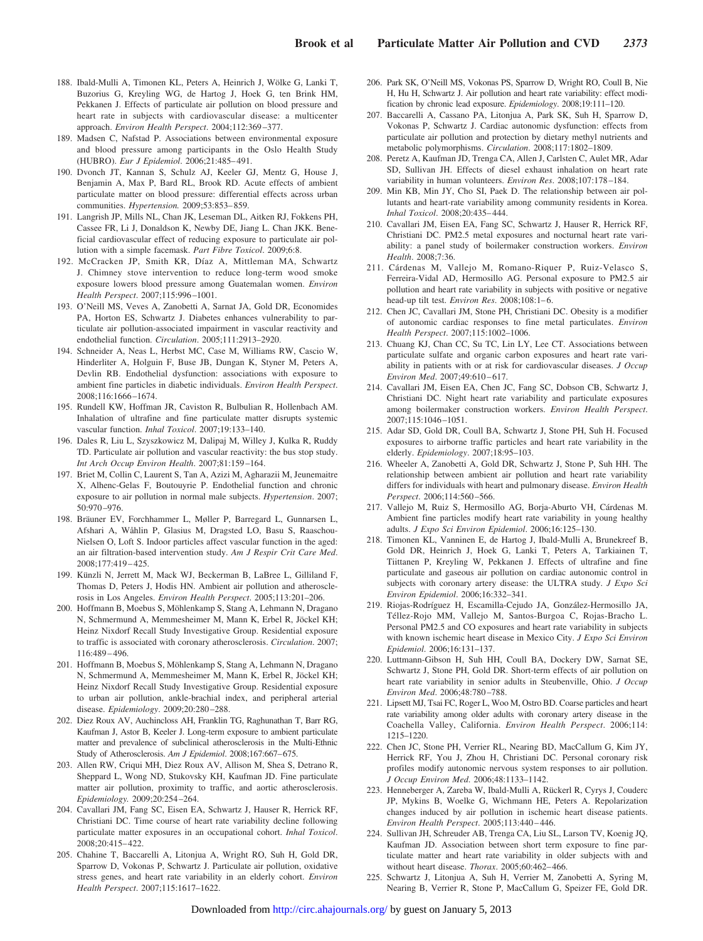- 188. Ibald-Mulli A, Timonen KL, Peters A, Heinrich J, Wölke G, Lanki T, Buzorius G, Kreyling WG, de Hartog J, Hoek G, ten Brink HM, Pekkanen J. Effects of particulate air pollution on blood pressure and heart rate in subjects with cardiovascular disease: a multicenter approach. *Environ Health Perspect*. 2004;112:369–377.
- 189. Madsen C, Nafstad P. Associations between environmental exposure and blood pressure among participants in the Oslo Health Study (HUBRO). *Eur J Epidemiol*. 2006;21:485–491.
- 190. Dvonch JT, Kannan S, Schulz AJ, Keeler GJ, Mentz G, House J, Benjamin A, Max P, Bard RL, Brook RD. Acute effects of ambient particulate matter on blood pressure: differential effects across urban communities. *Hypertension.* 2009;53:853–859.
- 191. Langrish JP, Mills NL, Chan JK, Leseman DL, Aitken RJ, Fokkens PH, Cassee FR, Li J, Donaldson K, Newby DE, Jiang L. Chan JKK. Beneficial cardiovascular effect of reducing exposure to particulate air pollution with a simple facemask. *Part Fibre Toxicol*. 2009;6:8.
- 192. McCracken JP, Smith KR, Díaz A, Mittleman MA, Schwartz J. Chimney stove intervention to reduce long-term wood smoke exposure lowers blood pressure among Guatemalan women. *Environ Health Perspect*. 2007;115:996–1001.
- 193. O'Neill MS, Veves A, Zanobetti A, Sarnat JA, Gold DR, Economides PA, Horton ES, Schwartz J. Diabetes enhances vulnerability to particulate air pollution-associated impairment in vascular reactivity and endothelial function. *Circulation*. 2005;111:2913–2920.
- 194. Schneider A, Neas L, Herbst MC, Case M, Williams RW, Cascio W, Hinderliter A, Holguin F, Buse JB, Dungan K, Styner M, Peters A, Devlin RB. Endothelial dysfunction: associations with exposure to ambient fine particles in diabetic individuals. *Environ Health Perspect*. 2008;116:1666–1674.
- 195. Rundell KW, Hoffman JR, Caviston R, Bulbulian R, Hollenbach AM. Inhalation of ultrafine and fine particulate matter disrupts systemic vascular function. *Inhal Toxicol*. 2007;19:133–140.
- 196. Dales R, Liu L, Szyszkowicz M, Dalipaj M, Willey J, Kulka R, Ruddy TD. Particulate air pollution and vascular reactivity: the bus stop study. *Int Arch Occup Environ Health*. 2007;81:159–164.
- 197. Briet M, Collin C, Laurent S, Tan A, Azizi M, Agharazii M, Jeunemaitre X, Alhenc-Gelas F, Boutouyrie P. Endothelial function and chronic exposure to air pollution in normal male subjects. *Hypertension*. 2007; 50:970–976.
- 198. Bräuner EV, Forchhammer L, Møller P, Barregard L, Gunnarsen L, Afshari A, Wåhlin P, Glasius M, Dragsted LO, Basu S, Raaschou-Nielsen O, Loft S. Indoor particles affect vascular function in the aged: an air filtration-based intervention study. *Am J Respir Crit Care Med*. 2008;177:419–425.
- 199. Künzli N, Jerrett M, Mack WJ, Beckerman B, LaBree L, Gilliland F, Thomas D, Peters J, Hodis HN. Ambient air pollution and atherosclerosis in Los Angeles. *Environ Health Perspect*. 2005;113:201–206.
- 200. Hoffmann B, Moebus S, Möhlenkamp S, Stang A, Lehmann N, Dragano N, Schmermund A, Memmesheimer M, Mann K, Erbel R, Jöckel KH; Heinz Nixdorf Recall Study Investigative Group. Residential exposure to traffic is associated with coronary atherosclerosis. *Circulation*. 2007; 116:489–496.
- 201. Hoffmann B, Moebus S, Möhlenkamp S, Stang A, Lehmann N, Dragano N, Schmermund A, Memmesheimer M, Mann K, Erbel R, Jöckel KH; Heinz Nixdorf Recall Study Investigative Group. Residential exposure to urban air pollution, ankle-brachial index, and peripheral arterial disease. *Epidemiology*. 2009;20:280–288.
- 202. Diez Roux AV, Auchincloss AH, Franklin TG, Raghunathan T, Barr RG, Kaufman J, Astor B, Keeler J. Long-term exposure to ambient particulate matter and prevalence of subclinical atherosclerosis in the Multi-Ethnic Study of Atherosclerosis. *Am J Epidemiol*. 2008;167:667–675.
- 203. Allen RW, Criqui MH, Diez Roux AV, Allison M, Shea S, Detrano R, Sheppard L, Wong ND, Stukovsky KH, Kaufman JD. Fine particulate matter air pollution, proximity to traffic, and aortic atherosclerosis. *Epidemiology.* 2009;20:254–264.
- 204. Cavallari JM, Fang SC, Eisen EA, Schwartz J, Hauser R, Herrick RF, Christiani DC. Time course of heart rate variability decline following particulate matter exposures in an occupational cohort. *Inhal Toxicol*. 2008;20:415–422.
- 205. Chahine T, Baccarelli A, Litonjua A, Wright RO, Suh H, Gold DR, Sparrow D, Vokonas P, Schwartz J. Particulate air pollution, oxidative stress genes, and heart rate variability in an elderly cohort. *Environ Health Perspect*. 2007;115:1617–1622.
- 206. Park SK, O'Neill MS, Vokonas PS, Sparrow D, Wright RO, Coull B, Nie H, Hu H, Schwartz J. Air pollution and heart rate variability: effect modification by chronic lead exposure. *Epidemiology*. 2008;19:111–120.
- 207. Baccarelli A, Cassano PA, Litonjua A, Park SK, Suh H, Sparrow D, Vokonas P, Schwartz J. Cardiac autonomic dysfunction: effects from particulate air pollution and protection by dietary methyl nutrients and metabolic polymorphisms. *Circulation*. 2008;117:1802–1809.
- 208. Peretz A, Kaufman JD, Trenga CA, Allen J, Carlsten C, Aulet MR, Adar SD, Sullivan JH. Effects of diesel exhaust inhalation on heart rate variability in human volunteers. *Environ Res*. 2008;107:178–184.
- 209. Min KB, Min JY, Cho SI, Paek D. The relationship between air pollutants and heart-rate variability among community residents in Korea. *Inhal Toxicol*. 2008;20:435–444.
- 210. Cavallari JM, Eisen EA, Fang SC, Schwartz J, Hauser R, Herrick RF, Christiani DC. PM2.5 metal exposures and nocturnal heart rate variability: a panel study of boilermaker construction workers. *Environ Health*. 2008;7:36.
- 211. Cárdenas M, Vallejo M, Romano-Riquer P, Ruiz-Velasco S, Ferreira-Vidal AD, Hermosillo AG. Personal exposure to PM2.5 air pollution and heart rate variability in subjects with positive or negative head-up tilt test. *Environ Res*. 2008;108:1–6.
- 212. Chen JC, Cavallari JM, Stone PH, Christiani DC. Obesity is a modifier of autonomic cardiac responses to fine metal particulates. *Environ Health Perspect*. 2007;115:1002–1006.
- 213. Chuang KJ, Chan CC, Su TC, Lin LY, Lee CT. Associations between particulate sulfate and organic carbon exposures and heart rate variability in patients with or at risk for cardiovascular diseases. *J Occup Environ Med*. 2007;49:610–617.
- 214. Cavallari JM, Eisen EA, Chen JC, Fang SC, Dobson CB, Schwartz J, Christiani DC. Night heart rate variability and particulate exposures among boilermaker construction workers. *Environ Health Perspect*. 2007;115:1046–1051.
- 215. Adar SD, Gold DR, Coull BA, Schwartz J, Stone PH, Suh H. Focused exposures to airborne traffic particles and heart rate variability in the elderly. *Epidemiology*. 2007;18:95–103.
- 216. Wheeler A, Zanobetti A, Gold DR, Schwartz J, Stone P, Suh HH. The relationship between ambient air pollution and heart rate variability differs for individuals with heart and pulmonary disease. *Environ Health Perspect*. 2006;114:560–566.
- 217. Vallejo M, Ruiz S, Hermosillo AG, Borja-Aburto VH, Cárdenas M. Ambient fine particles modify heart rate variability in young healthy adults. *J Expo Sci Environ Epidemiol*. 2006;16:125–130.
- 218. Timonen KL, Vanninen E, de Hartog J, Ibald-Mulli A, Brunekreef B, Gold DR, Heinrich J, Hoek G, Lanki T, Peters A, Tarkiainen T, Tiittanen P, Kreyling W, Pekkanen J. Effects of ultrafine and fine particulate and gaseous air pollution on cardiac autonomic control in subjects with coronary artery disease: the ULTRA study. *J Expo Sci Environ Epidemiol*. 2006;16:332–341.
- 219. Riojas-Rodríguez H, Escamilla-Cejudo JA, González-Hermosillo JA, Téllez-Rojo MM, Vallejo M, Santos-Burgoa C, Rojas-Bracho L. Personal PM2.5 and CO exposures and heart rate variability in subjects with known ischemic heart disease in Mexico City. *J Expo Sci Environ Epidemiol*. 2006;16:131–137.
- 220. Luttmann-Gibson H, Suh HH, Coull BA, Dockery DW, Sarnat SE, Schwartz J, Stone PH, Gold DR. Short-term effects of air pollution on heart rate variability in senior adults in Steubenville, Ohio. *J Occup Environ Med*. 2006;48:780–788.
- 221. Lipsett MJ, Tsai FC, Roger L, Woo M, Ostro BD. Coarse particles and heart rate variability among older adults with coronary artery disease in the Coachella Valley, California. *Environ Health Perspect*. 2006;114: 1215–1220.
- 222. Chen JC, Stone PH, Verrier RL, Nearing BD, MacCallum G, Kim JY, Herrick RF, You J, Zhou H, Christiani DC. Personal coronary risk profiles modify autonomic nervous system responses to air pollution. *J Occup Environ Med*. 2006;48:1133–1142.
- 223. Henneberger A, Zareba W, Ibald-Mulli A, Rückerl R, Cyrys J, Couderc JP, Mykins B, Woelke G, Wichmann HE, Peters A. Repolarization changes induced by air pollution in ischemic heart disease patients. *Environ Health Perspect*. 2005;113:440–446.
- 224. Sullivan JH, Schreuder AB, Trenga CA, Liu SL, Larson TV, Koenig JQ, Kaufman JD. Association between short term exposure to fine particulate matter and heart rate variability in older subjects with and without heart disease. *Thorax*. 2005;60:462–466.
- 225. Schwartz J, Litonjua A, Suh H, Verrier M, Zanobetti A, Syring M, Nearing B, Verrier R, Stone P, MacCallum G, Speizer FE, Gold DR.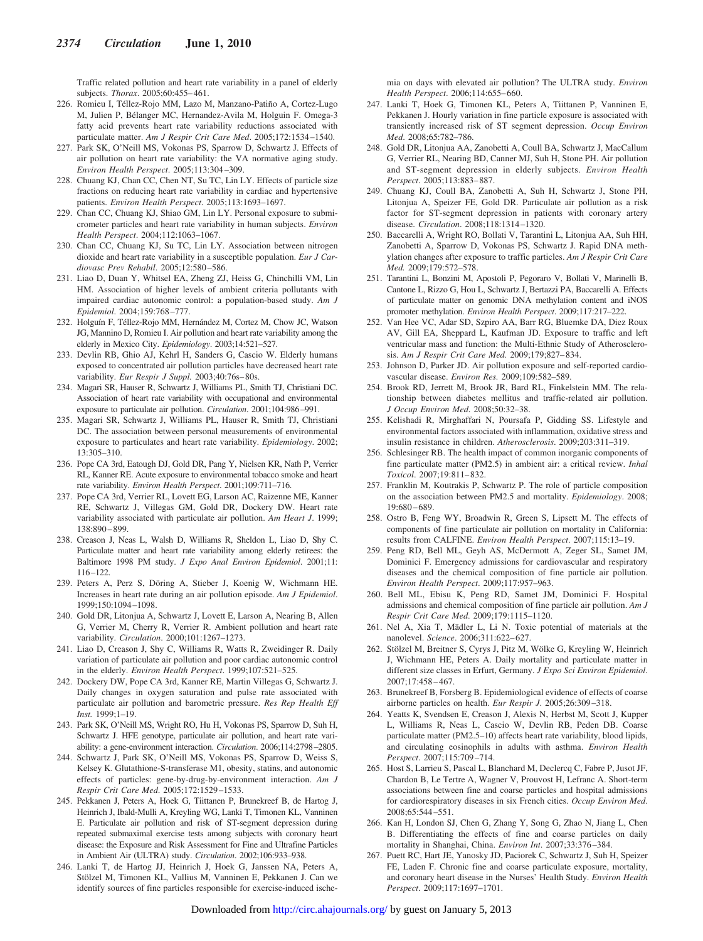Traffic related pollution and heart rate variability in a panel of elderly subjects. *Thorax*. 2005;60:455–461.

- 226. Romieu I, Téllez-Rojo MM, Lazo M, Manzano-Patiño A, Cortez-Lugo M, Julien P, Bélanger MC, Hernandez-Avila M, Holguin F. Omega-3 fatty acid prevents heart rate variability reductions associated with particulate matter. *Am J Respir Crit Care Med*. 2005;172:1534–1540.
- 227. Park SK, O'Neill MS, Vokonas PS, Sparrow D, Schwartz J. Effects of air pollution on heart rate variability: the VA normative aging study. *Environ Health Perspect*. 2005;113:304–309.
- 228. Chuang KJ, Chan CC, Chen NT, Su TC, Lin LY. Effects of particle size fractions on reducing heart rate variability in cardiac and hypertensive patients. *Environ Health Perspect*. 2005;113:1693–1697.
- 229. Chan CC, Chuang KJ, Shiao GM, Lin LY. Personal exposure to submicrometer particles and heart rate variability in human subjects. *Environ Health Perspect*. 2004;112:1063–1067.
- 230. Chan CC, Chuang KJ, Su TC, Lin LY. Association between nitrogen dioxide and heart rate variability in a susceptible population. *Eur J Cardiovasc Prev Rehabil*. 2005;12:580–586.
- 231. Liao D, Duan Y, Whitsel EA, Zheng ZJ, Heiss G, Chinchilli VM, Lin HM. Association of higher levels of ambient criteria pollutants with impaired cardiac autonomic control: a population-based study. *Am J Epidemiol*. 2004;159:768–777.
- 232. Holguín F, Téllez-Rojo MM, Hernández M, Cortez M, Chow JC, Watson JG, Mannino D, Romieu I. Air pollution and heart rate variability among the elderly in Mexico City. *Epidemiology*. 2003;14:521–527.
- 233. Devlin RB, Ghio AJ, Kehrl H, Sanders G, Cascio W. Elderly humans exposed to concentrated air pollution particles have decreased heart rate variability. *Eur Respir J Suppl.* 2003;40:76s–80s.
- 234. Magari SR, Hauser R, Schwartz J, Williams PL, Smith TJ, Christiani DC. Association of heart rate variability with occupational and environmental exposure to particulate air pollution. *Circulation*. 2001;104:986–991.
- 235. Magari SR, Schwartz J, Williams PL, Hauser R, Smith TJ, Christiani DC. The association between personal measurements of environmental exposure to particulates and heart rate variability. *Epidemiology*. 2002; 13:305–310.
- 236. Pope CA 3rd, Eatough DJ, Gold DR, Pang Y, Nielsen KR, Nath P, Verrier RL, Kanner RE. Acute exposure to environmental tobacco smoke and heart rate variability. *Environ Health Perspect*. 2001;109:711–716.
- 237. Pope CA 3rd, Verrier RL, Lovett EG, Larson AC, Raizenne ME, Kanner RE, Schwartz J, Villegas GM, Gold DR, Dockery DW. Heart rate variability associated with particulate air pollution. *Am Heart J*. 1999; 138:890–899.
- 238. Creason J, Neas L, Walsh D, Williams R, Sheldon L, Liao D, Shy C. Particulate matter and heart rate variability among elderly retirees: the Baltimore 1998 PM study. *J Expo Anal Environ Epidemiol*. 2001;11: 116–122.
- 239. Peters A, Perz S, Döring A, Stieber J, Koenig W, Wichmann HE. Increases in heart rate during an air pollution episode. *Am J Epidemiol*. 1999;150:1094–1098.
- 240. Gold DR, Litonjua A, Schwartz J, Lovett E, Larson A, Nearing B, Allen G, Verrier M, Cherry R, Verrier R. Ambient pollution and heart rate variability. *Circulation*. 2000;101:1267–1273.
- 241. Liao D, Creason J, Shy C, Williams R, Watts R, Zweidinger R. Daily variation of particulate air pollution and poor cardiac autonomic control in the elderly. *Environ Health Perspect*. 1999;107:521–525.
- 242. Dockery DW, Pope CA 3rd, Kanner RE, Martin Villegas G, Schwartz J. Daily changes in oxygen saturation and pulse rate associated with particulate air pollution and barometric pressure. *Res Rep Health Eff Inst.* 1999;1–19.
- 243. Park SK, O'Neill MS, Wright RO, Hu H, Vokonas PS, Sparrow D, Suh H, Schwartz J. HFE genotype, particulate air pollution, and heart rate variability: a gene-environment interaction. *Circulation*. 2006;114:2798–2805.
- 244. Schwartz J, Park SK, O'Neill MS, Vokonas PS, Sparrow D, Weiss S, Kelsey K. Glutathione-S-transferase M1, obesity, statins, and autonomic effects of particles: gene-by-drug-by-environment interaction. *Am J Respir Crit Care Med*. 2005;172:1529–1533.
- 245. Pekkanen J, Peters A, Hoek G, Tiittanen P, Brunekreef B, de Hartog J, Heinrich J, Ibald-Mulli A, Kreyling WG, Lanki T, Timonen KL, Vanninen E. Particulate air pollution and risk of ST-segment depression during repeated submaximal exercise tests among subjects with coronary heart disease: the Exposure and Risk Assessment for Fine and Ultrafine Particles in Ambient Air (ULTRA) study. *Circulation*. 2002;106:933–938.
- 246. Lanki T, de Hartog JJ, Heinrich J, Hoek G, Janssen NA, Peters A, Stölzel M, Timonen KL, Vallius M, Vanninen E, Pekkanen J. Can we identify sources of fine particles responsible for exercise-induced ische-

mia on days with elevated air pollution? The ULTRA study. *Environ Health Perspect*. 2006;114:655–660.

- 247. Lanki T, Hoek G, Timonen KL, Peters A, Tiittanen P, Vanninen E, Pekkanen J. Hourly variation in fine particle exposure is associated with transiently increased risk of ST segment depression. *Occup Environ Med*. 2008;65:782–786.
- 248. Gold DR, Litonjua AA, Zanobetti A, Coull BA, Schwartz J, MacCallum G, Verrier RL, Nearing BD, Canner MJ, Suh H, Stone PH. Air pollution and ST-segment depression in elderly subjects. *Environ Health Perspect*. 2005;113:883–887.
- 249. Chuang KJ, Coull BA, Zanobetti A, Suh H, Schwartz J, Stone PH, Litonjua A, Speizer FE, Gold DR. Particulate air pollution as a risk factor for ST-segment depression in patients with coronary artery disease. *Circulation*. 2008;118:1314–1320.
- 250. Baccarelli A, Wright RO, Bollati V, Tarantini L, Litonjua AA, Suh HH, Zanobetti A, Sparrow D, Vokonas PS, Schwartz J. Rapid DNA methylation changes after exposure to traffic particles. *Am J Respir Crit Care Med.* 2009;179:572–578.
- 251. Tarantini L, Bonzini M, Apostoli P, Pegoraro V, Bollati V, Marinelli B, Cantone L, Rizzo G, Hou L, Schwartz J, Bertazzi PA, Baccarelli A. Effects of particulate matter on genomic DNA methylation content and iNOS promoter methylation. *Environ Health Perspect*. 2009;117:217–222.
- 252. Van Hee VC, Adar SD, Szpiro AA, Barr RG, Bluemke DA, Diez Roux AV, Gill EA, Sheppard L, Kaufman JD. Exposure to traffic and left ventricular mass and function: the Multi-Ethnic Study of Atherosclerosis. *Am J Respir Crit Care Med.* 2009;179;827–834.
- 253. Johnson D, Parker JD. Air pollution exposure and self-reported cardiovascular disease. *Environ Res.* 2009;109:582–589.
- 254. Brook RD, Jerrett M, Brook JR, Bard RL, Finkelstein MM. The relationship between diabetes mellitus and traffic-related air pollution. *J Occup Environ Med*. 2008;50:32–38.
- 255. Kelishadi R, Mirghaffari N, Poursafa P, Gidding SS. Lifestyle and environmental factors associated with inflammation, oxidative stress and insulin resistance in children. *Atherosclerosis*. 2009;203:311–319.
- 256. Schlesinger RB. The health impact of common inorganic components of fine particulate matter (PM2.5) in ambient air: a critical review. *Inhal Toxicol*. 2007;19:811–832.
- 257. Franklin M, Koutrakis P, Schwartz P. The role of particle composition on the association between PM2.5 and mortality. *Epidemiology*. 2008; 19:680–689.
- 258. Ostro B, Feng WY, Broadwin R, Green S, Lipsett M. The effects of components of fine particulate air pollution on mortality in California: results from CALFINE. *Environ Health Perspect*. 2007;115:13–19.
- 259. Peng RD, Bell ML, Geyh AS, McDermott A, Zeger SL, Samet JM, Dominici F. Emergency admissions for cardiovascular and respiratory diseases and the chemical composition of fine particle air pollution. *Environ Health Perspect*. 2009;117:957–963.
- 260. Bell ML, Ebisu K, Peng RD, Samet JM, Dominici F. Hospital admissions and chemical composition of fine particle air pollution. *Am J Respir Crit Care Med*. 2009;179:1115–1120.
- 261. Nel A, Xia T, Mädler L, Li N. Toxic potential of materials at the nanolevel. *Science*. 2006;311:622–627.
- 262. Stölzel M, Breitner S, Cyrys J, Pitz M, Wölke G, Kreyling W, Heinrich J, Wichmann HE, Peters A. Daily mortality and particulate matter in different size classes in Erfurt, Germany. *J Expo Sci Environ Epidemiol*. 2007;17:458–467.
- 263. Brunekreef B, Forsberg B. Epidemiological evidence of effects of coarse airborne particles on health. *Eur Respir J*. 2005;26:309–318.
- 264. Yeatts K, Svendsen E, Creason J, Alexis N, Herbst M, Scott J, Kupper L, Williams R, Neas L, Cascio W, Devlin RB, Peden DB. Coarse particulate matter (PM2.5–10) affects heart rate variability, blood lipids, and circulating eosinophils in adults with asthma. *Environ Health Perspect*. 2007;115:709–714.
- 265. Host S, Larrieu S, Pascal L, Blanchard M, Declercq C, Fabre P, Jusot JF, Chardon B, Le Tertre A, Wagner V, Prouvost H, Lefranc A. Short-term associations between fine and coarse particles and hospital admissions for cardiorespiratory diseases in six French cities. *Occup Environ Med*. 2008;65:544–551.
- 266. Kan H, London SJ, Chen G, Zhang Y, Song G, Zhao N, Jiang L, Chen B. Differentiating the effects of fine and coarse particles on daily mortality in Shanghai, China. *Environ Int*. 2007;33:376–384.
- 267. Puett RC, Hart JE, Yanosky JD, Paciorek C, Schwartz J, Suh H, Speizer FE, Laden F. Chronic fine and coarse particulate exposure, mortality, and coronary heart disease in the Nurses' Health Study. *Environ Health Perspect*. 2009;117:1697–1701.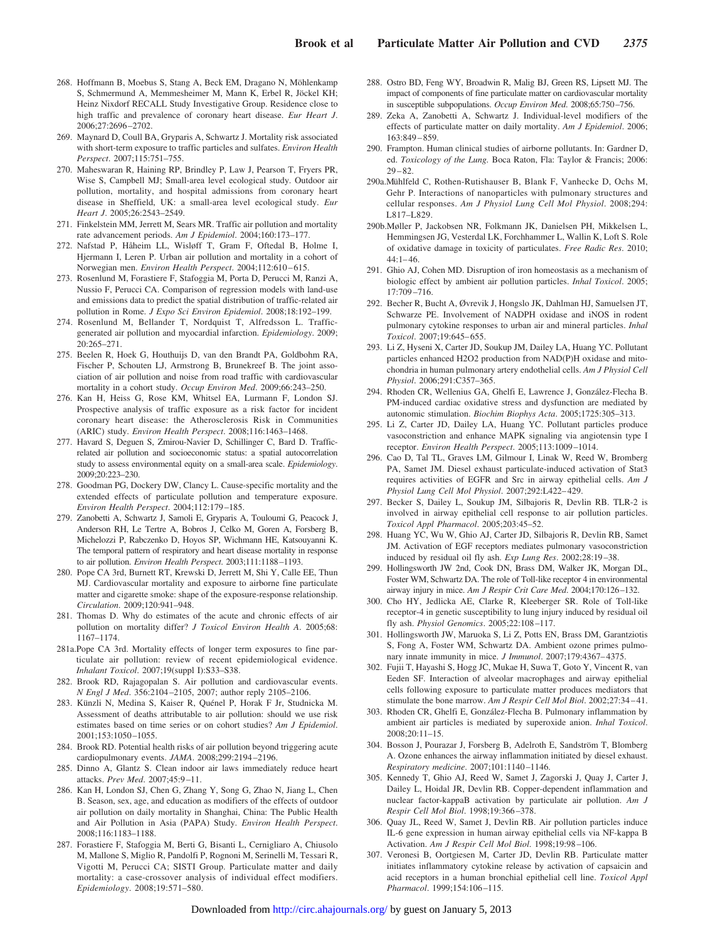- 268. Hoffmann B, Moebus S, Stang A, Beck EM, Dragano N, Möhlenkamp S, Schmermund A, Memmesheimer M, Mann K, Erbel R, Jöckel KH; Heinz Nixdorf RECALL Study Investigative Group. Residence close to high traffic and prevalence of coronary heart disease. *Eur Heart J*. 2006;27:2696–2702.
- 269. Maynard D, Coull BA, Gryparis A, Schwartz J. Mortality risk associated with short-term exposure to traffic particles and sulfates. *Environ Health Perspect*. 2007;115:751–755.
- 270. Maheswaran R, Haining RP, Brindley P, Law J, Pearson T, Fryers PR, Wise S, Campbell MJ; Small-area level ecological study. Outdoor air pollution, mortality, and hospital admissions from coronary heart disease in Sheffield, UK: a small-area level ecological study. *Eur Heart J*. 2005;26:2543–2549.
- 271. Finkelstein MM, Jerrett M, Sears MR. Traffic air pollution and mortality rate advancement periods. *Am J Epidemiol*. 2004;160:173–177.
- 272. Nafstad P, Håheim LL, Wisløff T, Gram F, Oftedal B, Holme I, Hjermann I, Leren P. Urban air pollution and mortality in a cohort of Norwegian men. *Environ Health Perspect*. 2004;112:610–615.
- 273. Rosenlund M, Forastiere F, Stafoggia M, Porta D, Perucci M, Ranzi A, Nussio F, Perucci CA. Comparison of regression models with land-use and emissions data to predict the spatial distribution of traffic-related air pollution in Rome. *J Expo Sci Environ Epidemiol*. 2008;18:192–199.
- 274. Rosenlund M, Bellander T, Nordquist T, Alfredsson L. Trafficgenerated air pollution and myocardial infarction. *Epidemiology*. 2009; 20:265–271.
- 275. Beelen R, Hoek G, Houthuijs D, van den Brandt PA, Goldbohm RA, Fischer P, Schouten LJ, Armstrong B, Brunekreef B. The joint association of air pollution and noise from road traffic with cardiovascular mortality in a cohort study. *Occup Environ Med*. 2009;66:243–250.
- 276. Kan H, Heiss G, Rose KM, Whitsel EA, Lurmann F, London SJ. Prospective analysis of traffic exposure as a risk factor for incident coronary heart disease: the Atherosclerosis Risk in Communities (ARIC) study. *Environ Health Perspect*. 2008;116:1463–1468.
- 277. Havard S, Deguen S, Zmirou-Navier D, Schillinger C, Bard D. Trafficrelated air pollution and socioeconomic status: a spatial autocorrelation study to assess environmental equity on a small-area scale. *Epidemiology*. 2009;20:223–230.
- 278. Goodman PG, Dockery DW, Clancy L. Cause-specific mortality and the extended effects of particulate pollution and temperature exposure. *Environ Health Perspect*. 2004;112:179–185.
- 279. Zanobetti A, Schwartz J, Samoli E, Gryparis A, Touloumi G, Peacock J, Anderson RH, Le Tertre A, Bobros J, Celko M, Goren A, Forsberg B, Michelozzi P, Rabczenko D, Hoyos SP, Wichmann HE, Katsouyanni K. The temporal pattern of respiratory and heart disease mortality in response to air pollution. *Environ Health Perspect*. 2003;111:1188–1193.
- 280. Pope CA 3rd, Burnett RT, Krewski D, Jerrett M, Shi Y, Calle EE, Thun MJ. Cardiovascular mortality and exposure to airborne fine particulate matter and cigarette smoke: shape of the exposure-response relationship. *Circulation*. 2009;120:941–948.
- 281. Thomas D. Why do estimates of the acute and chronic effects of air pollution on mortality differ? *J Toxicol Environ Health A*. 2005;68: 1167–1174.
- 281a.Pope CA 3rd. Mortality effects of longer term exposures to fine particulate air pollution: review of recent epidemiological evidence. *Inhalant Toxicol*. 2007;19(suppl I):S33–S38.
- 282. Brook RD, Rajagopalan S. Air pollution and cardiovascular events. *N Engl J Med*. 356:2104–2105, 2007; author reply 2105–2106.
- 283. Künzli N, Medina S, Kaiser R, Quénel P, Horak F Jr, Studnicka M. Assessment of deaths attributable to air pollution: should we use risk estimates based on time series or on cohort studies? *Am J Epidemiol*. 2001;153:1050–1055.
- 284. Brook RD. Potential health risks of air pollution beyond triggering acute cardiopulmonary events. *JAMA*. 2008;299:2194–2196.
- 285. Dinno A, Glantz S. Clean indoor air laws immediately reduce heart attacks. *Prev Med*. 2007;45:9–11.
- 286. Kan H, London SJ, Chen G, Zhang Y, Song G, Zhao N, Jiang L, Chen B. Season, sex, age, and education as modifiers of the effects of outdoor air pollution on daily mortality in Shanghai, China: The Public Health and Air Pollution in Asia (PAPA) Study. *Environ Health Perspect*. 2008;116:1183–1188.
- 287. Forastiere F, Stafoggia M, Berti G, Bisanti L, Cernigliaro A, Chiusolo M, Mallone S, Miglio R, Pandolfi P, Rognoni M, Serinelli M, Tessari R, Vigotti M, Perucci CA; SISTI Group. Particulate matter and daily mortality: a case-crossover analysis of individual effect modifiers. *Epidemiology*. 2008;19:571–580.
- 288. Ostro BD, Feng WY, Broadwin R, Malig BJ, Green RS, Lipsett MJ. The impact of components of fine particulate matter on cardiovascular mortality in susceptible subpopulations. *Occup Environ Med*. 2008;65:750–756.
- 289. Zeka A, Zanobetti A, Schwartz J. Individual-level modifiers of the effects of particulate matter on daily mortality. *Am J Epidemiol*. 2006; 163:849–859.
- 290. Frampton. Human clinical studies of airborne pollutants. In: Gardner D, ed. *Toxicology of the Lung.* Boca Raton, Fla: Taylor & Francis; 2006: 29–82.
- 290a.Mühlfeld C, Rothen-Rutishauser B, Blank F, Vanhecke D, Ochs M, Gehr P. Interactions of nanoparticles with pulmonary structures and cellular responses. *Am J Physiol Lung Cell Mol Physiol*. 2008;294: L817–L829.
- 290b.Møller P, Jackobsen NR, Folkmann JK, Danielsen PH, Mikkelsen L, Hemmingsen JG, Vesterdal LK, Forchhammer L, Wallin K, Loft S. Role of oxidative damage in toxicity of particulates. *Free Radic Res*. 2010; 44:1–46.
- 291. Ghio AJ, Cohen MD. Disruption of iron homeostasis as a mechanism of biologic effect by ambient air pollution particles. *Inhal Toxicol*. 2005; 17:709–716.
- 292. Becher R, Bucht A, Øvrevik J, Hongslo JK, Dahlman HJ, Samuelsen JT, Schwarze PE. Involvement of NADPH oxidase and iNOS in rodent pulmonary cytokine responses to urban air and mineral particles. *Inhal Toxicol*. 2007;19:645–655.
- 293. Li Z, Hyseni X, Carter JD, Soukup JM, Dailey LA, Huang YC. Pollutant particles enhanced H2O2 production from NAD(P)H oxidase and mitochondria in human pulmonary artery endothelial cells. *Am J Physiol Cell Physiol*. 2006;291:C357–365.
- 294. Rhoden CR, Wellenius GA, Ghelfi E, Lawrence J, González-Flecha B. PM-induced cardiac oxidative stress and dysfunction are mediated by autonomic stimulation. *Biochim Biophys Acta*. 2005;1725:305–313.
- 295. Li Z, Carter JD, Dailey LA, Huang YC. Pollutant particles produce vasoconstriction and enhance MAPK signaling via angiotensin type I receptor. *Environ Health Perspect*. 2005;113:1009–1014.
- 296. Cao D, Tal TL, Graves LM, Gilmour I, Linak W, Reed W, Bromberg PA, Samet JM. Diesel exhaust particulate-induced activation of Stat3 requires activities of EGFR and Src in airway epithelial cells. *Am J Physiol Lung Cell Mol Physiol*. 2007;292:L422–429.
- 297. Becker S, Dailey L, Soukup JM, Silbajoris R, Devlin RB. TLR-2 is involved in airway epithelial cell response to air pollution particles. *Toxicol Appl Pharmacol*. 2005;203:45–52.
- 298. Huang YC, Wu W, Ghio AJ, Carter JD, Silbajoris R, Devlin RB, Samet JM. Activation of EGF receptors mediates pulmonary vasoconstriction induced by residual oil fly ash. *Exp Lung Res*. 2002;28:19–38.
- 299. Hollingsworth JW 2nd, Cook DN, Brass DM, Walker JK, Morgan DL, Foster WM, Schwartz DA. The role of Toll-like receptor 4 in environmental airway injury in mice. *Am J Respir Crit Care Med*. 2004;170:126–132.
- 300. Cho HY, Jedlicka AE, Clarke R, Kleeberger SR. Role of Toll-like receptor-4 in genetic susceptibility to lung injury induced by residual oil fly ash. *Physiol Genomics*. 2005;22:108–117.
- 301. Hollingsworth JW, Maruoka S, Li Z, Potts EN, Brass DM, Garantziotis S, Fong A, Foster WM, Schwartz DA. Ambient ozone primes pulmonary innate immunity in mice. *J Immunol*. 2007;179:4367–4375.
- 302. Fujii T, Hayashi S, Hogg JC, Mukae H, Suwa T, Goto Y, Vincent R, van Eeden SF. Interaction of alveolar macrophages and airway epithelial cells following exposure to particulate matter produces mediators that stimulate the bone marrow. *Am J Respir Cell Mol Biol*. 2002;27:34–41.
- 303. Rhoden CR, Ghelfi E, González-Flecha B. Pulmonary inflammation by ambient air particles is mediated by superoxide anion. *Inhal Toxicol*. 2008;20:11–15.
- 304. Bosson J, Pourazar J, Forsberg B, Adelroth E, Sandström T, Blomberg A. Ozone enhances the airway inflammation initiated by diesel exhaust. *Respiratory medicine*. 2007;101:1140–1146.
- 305. Kennedy T, Ghio AJ, Reed W, Samet J, Zagorski J, Quay J, Carter J, Dailey L, Hoidal JR, Devlin RB. Copper-dependent inflammation and nuclear factor-kappaB activation by particulate air pollution. *Am J Respir Cell Mol Biol*. 1998;19:366–378.
- 306. Quay JL, Reed W, Samet J, Devlin RB. Air pollution particles induce IL-6 gene expression in human airway epithelial cells via NF-kappa B Activation. *Am J Respir Cell Mol Biol*. 1998;19:98–106.
- 307. Veronesi B, Oortgiesen M, Carter JD, Devlin RB. Particulate matter initiates inflammatory cytokine release by activation of capsaicin and acid receptors in a human bronchial epithelial cell line. *Toxicol Appl Pharmacol*. 1999;154:106–115.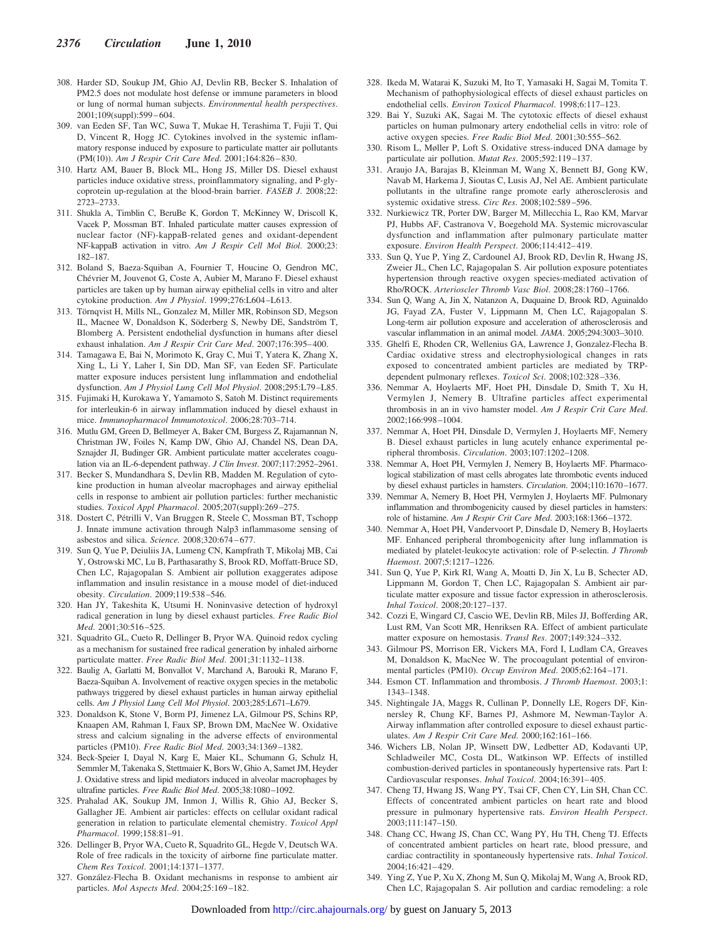- 308. Harder SD, Soukup JM, Ghio AJ, Devlin RB, Becker S. Inhalation of PM2.5 does not modulate host defense or immune parameters in blood or lung of normal human subjects. *Environmental health perspectives*. 2001;109(suppl):599–604.
- 309. van Eeden SF, Tan WC, Suwa T, Mukae H, Terashima T, Fujii T, Qui D, Vincent R, Hogg JC. Cytokines involved in the systemic inflammatory response induced by exposure to particulate matter air pollutants (PM(10)). *Am J Respir Crit Care Med*. 2001;164:826–830.
- 310. Hartz AM, Bauer B, Block ML, Hong JS, Miller DS. Diesel exhaust particles induce oxidative stress, proinflammatory signaling, and P-glycoprotein up-regulation at the blood-brain barrier. *FASEB J*. 2008;22: 2723–2733.
- 311. Shukla A, Timblin C, BeruBe K, Gordon T, McKinney W, Driscoll K, Vacek P, Mossman BT. Inhaled particulate matter causes expression of nuclear factor (NF)-kappaB-related genes and oxidant-dependent NF-kappaB activation in vitro. *Am J Respir Cell Mol Biol*. 2000;23: 182–187.
- 312. Boland S, Baeza-Squiban A, Fournier T, Houcine O, Gendron MC, Chévrier M, Jouvenot G, Coste A, Aubier M, Marano F. Diesel exhaust particles are taken up by human airway epithelial cells in vitro and alter cytokine production. *Am J Physiol*. 1999;276:L604–L613.
- 313. Törnqvist H, Mills NL, Gonzalez M, Miller MR, Robinson SD, Megson IL, Macnee W, Donaldson K, Söderberg S, Newby DE, Sandström T, Blomberg A. Persistent endothelial dysfunction in humans after diesel exhaust inhalation. *Am J Respir Crit Care Med*. 2007;176:395–400.
- 314. Tamagawa E, Bai N, Morimoto K, Gray C, Mui T, Yatera K, Zhang X, Xing L, Li Y, Laher I, Sin DD, Man SF, van Eeden SF. Particulate matter exposure induces persistent lung inflammation and endothelial dysfunction. *Am J Physiol Lung Cell Mol Physiol*. 2008;295:L79–L85.
- 315. Fujimaki H, Kurokawa Y, Yamamoto S, Satoh M. Distinct requirements for interleukin-6 in airway inflammation induced by diesel exhaust in mice. *Immunopharmacol Immunotoxicol*. 2006;28:703–714.
- 316. Mutlu GM, Green D, Bellmeyer A, Baker CM, Burgess Z, Rajamannan N, Christman JW, Foiles N, Kamp DW, Ghio AJ, Chandel NS, Dean DA, Sznajder JI, Budinger GR. Ambient particulate matter accelerates coagulation via an IL-6-dependent pathway. *J Clin Invest*. 2007;117:2952–2961.
- 317. Becker S, Mundandhara S, Devlin RB, Madden M. Regulation of cytokine production in human alveolar macrophages and airway epithelial cells in response to ambient air pollution particles: further mechanistic studies. *Toxicol Appl Pharmacol*. 2005;207(suppl):269–275.
- 318. Dostert C, Pétrilli V, Van Bruggen R, Steele C, Mossman BT, Tschopp J. Innate immune activation through Nalp3 inflammasome sensing of asbestos and silica. *Science.* 2008;320:674–677.
- 319. Sun Q, Yue P, Deiuliis JA, Lumeng CN, Kampfrath T, Mikolaj MB, Cai Y, Ostrowski MC, Lu B, Parthasarathy S, Brook RD, Moffatt-Bruce SD, Chen LC, Rajagopalan S. Ambient air pollution exaggerates adipose inflammation and insulin resistance in a mouse model of diet-induced obesity. *Circulation*. 2009;119:538–546.
- 320. Han JY, Takeshita K, Utsumi H. Noninvasive detection of hydroxyl radical generation in lung by diesel exhaust particles. *Free Radic Biol Med*. 2001;30:516–525.
- 321. Squadrito GL, Cueto R, Dellinger B, Pryor WA. Quinoid redox cycling as a mechanism for sustained free radical generation by inhaled airborne particulate matter. *Free Radic Biol Med*. 2001;31:1132–1138.
- 322. Baulig A, Garlatti M, Bonvallot V, Marchand A, Barouki R, Marano F, Baeza-Squiban A. Involvement of reactive oxygen species in the metabolic pathways triggered by diesel exhaust particles in human airway epithelial cells. *Am J Physiol Lung Cell Mol Physiol*. 2003;285:L671–L679.
- 323. Donaldson K, Stone V, Borm PJ, Jimenez LA, Gilmour PS, Schins RP, Knaapen AM, Rahman I, Faux SP, Brown DM, MacNee W. Oxidative stress and calcium signaling in the adverse effects of environmental particles (PM10). *Free Radic Biol Med*. 2003;34:1369–1382.
- 324. Beck-Speier I, Dayal N, Karg E, Maier KL, Schumann G, Schulz H, Semmler M, Takenaka S, Stettmaier K, Bors W, Ghio A, Samet JM, Heyder J. Oxidative stress and lipid mediators induced in alveolar macrophages by ultrafine particles. *Free Radic Biol Med*. 2005;38:1080–1092.
- 325. Prahalad AK, Soukup JM, Inmon J, Willis R, Ghio AJ, Becker S, Gallagher JE. Ambient air particles: effects on cellular oxidant radical generation in relation to particulate elemental chemistry. *Toxicol Appl Pharmacol*. 1999;158:81–91.
- 326. Dellinger B, Pryor WA, Cueto R, Squadrito GL, Hegde V, Deutsch WA. Role of free radicals in the toxicity of airborne fine particulate matter. *Chem Res Toxicol*. 2001;14:1371–1377.
- 327. Gonza´lez-Flecha B. Oxidant mechanisms in response to ambient air particles. *Mol Aspects Med*. 2004;25:169–182.
- 328. Ikeda M, Watarai K, Suzuki M, Ito T, Yamasaki H, Sagai M, Tomita T. Mechanism of pathophysiological effects of diesel exhaust particles on endothelial cells. *Environ Toxicol Pharmacol*. 1998;6:117–123.
- 329. Bai Y, Suzuki AK, Sagai M. The cytotoxic effects of diesel exhaust particles on human pulmonary artery endothelial cells in vitro: role of active oxygen species. *Free Radic Biol Med*. 2001;30:555–562.
- 330. Risom L, Møller P, Loft S. Oxidative stress-induced DNA damage by particulate air pollution. *Mutat Res*. 2005;592:119–137.
- 331. Araujo JA, Barajas B, Kleinman M, Wang X, Bennett BJ, Gong KW, Navab M, Harkema J, Sioutas C, Lusis AJ, Nel AE. Ambient particulate pollutants in the ultrafine range promote early atherosclerosis and systemic oxidative stress. *Circ Res*. 2008;102:589–596.
- 332. Nurkiewicz TR, Porter DW, Barger M, Millecchia L, Rao KM, Marvar PJ, Hubbs AF, Castranova V, Boegehold MA. Systemic microvascular dysfunction and inflammation after pulmonary particulate matter exposure. *Environ Health Perspect*. 2006;114:412–419.
- 333. Sun Q, Yue P, Ying Z, Cardounel AJ, Brook RD, Devlin R, Hwang JS, Zweier JL, Chen LC, Rajagopalan S. Air pollution exposure potentiates hypertension through reactive oxygen species-mediated activation of Rho/ROCK. *Arterioscler Thromb Vasc Biol*. 2008;28:1760–1766.
- 334. Sun Q, Wang A, Jin X, Natanzon A, Duquaine D, Brook RD, Aguinaldo JG, Fayad ZA, Fuster V, Lippmann M, Chen LC, Rajagopalan S. Long-term air pollution exposure and acceleration of atherosclerosis and vascular inflammation in an animal model. *JAMA*. 2005;294:3003–3010.
- 335. Ghelfi E, Rhoden CR, Wellenius GA, Lawrence J, Gonzalez-Flecha B. Cardiac oxidative stress and electrophysiological changes in rats exposed to concentrated ambient particles are mediated by TRPdependent pulmonary reflexes. *Toxicol Sci*. 2008;102:328–336.
- 336. Nemmar A, Hoylaerts MF, Hoet PH, Dinsdale D, Smith T, Xu H, Vermylen J, Nemery B. Ultrafine particles affect experimental thrombosis in an in vivo hamster model. *Am J Respir Crit Care Med*. 2002;166:998–1004.
- 337. Nemmar A, Hoet PH, Dinsdale D, Vermylen J, Hoylaerts MF, Nemery B. Diesel exhaust particles in lung acutely enhance experimental peripheral thrombosis. *Circulation*. 2003;107:1202–1208.
- 338. Nemmar A, Hoet PH, Vermylen J, Nemery B, Hoylaerts MF. Pharmacological stabilization of mast cells abrogates late thrombotic events induced by diesel exhaust particles in hamsters. *Circulation*. 2004;110:1670–1677.
- 339. Nemmar A, Nemery B, Hoet PH, Vermylen J, Hoylaerts MF. Pulmonary inflammation and thrombogenicity caused by diesel particles in hamsters: role of histamine. *Am J Respir Crit Care Med*. 2003;168:1366–1372.
- 340. Nemmar A, Hoet PH, Vandervoort P, Dinsdale D, Nemery B, Hoylaerts MF. Enhanced peripheral thrombogenicity after lung inflammation is mediated by platelet-leukocyte activation: role of P-selectin. *J Thromb Haemost*. 2007;5:1217–1226.
- 341. Sun Q, Yue P, Kirk RI, Wang A, Moatti D, Jin X, Lu B, Schecter AD, Lippmann M, Gordon T, Chen LC, Rajagopalan S. Ambient air particulate matter exposure and tissue factor expression in atherosclerosis. *Inhal Toxicol*. 2008;20:127–137.
- 342. Cozzi E, Wingard CJ, Cascio WE, Devlin RB, Miles JJ, Bofferding AR, Lust RM, Van Scott MR, Henriksen RA. Effect of ambient particulate matter exposure on hemostasis. *Transl Res*. 2007;149:324–332.
- 343. Gilmour PS, Morrison ER, Vickers MA, Ford I, Ludlam CA, Greaves M, Donaldson K, MacNee W. The procoagulant potential of environmental particles (PM10). *Occup Environ Med*. 2005;62:164–171.
- 344. Esmon CT. Inflammation and thrombosis. *J Thromb Haemost*. 2003;1: 1343–1348.
- 345. Nightingale JA, Maggs R, Cullinan P, Donnelly LE, Rogers DF, Kinnersley R, Chung KF, Barnes PJ, Ashmore M, Newman-Taylor A. Airway inflammation after controlled exposure to diesel exhaust particulates. *Am J Respir Crit Care Med*. 2000;162:161–166.
- 346. Wichers LB, Nolan JP, Winsett DW, Ledbetter AD, Kodavanti UP, Schladweiler MC, Costa DL, Watkinson WP. Effects of instilled combustion-derived particles in spontaneously hypertensive rats. Part I: Cardiovascular responses. *Inhal Toxicol*. 2004;16:391–405.
- 347. Cheng TJ, Hwang JS, Wang PY, Tsai CF, Chen CY, Lin SH, Chan CC. Effects of concentrated ambient particles on heart rate and blood pressure in pulmonary hypertensive rats. *Environ Health Perspect*. 2003;111:147–150.
- 348. Chang CC, Hwang JS, Chan CC, Wang PY, Hu TH, Cheng TJ. Effects of concentrated ambient particles on heart rate, blood pressure, and cardiac contractility in spontaneously hypertensive rats. *Inhal Toxicol*. 2004;16:421–429.
- 349. Ying Z, Yue P, Xu X, Zhong M, Sun Q, Mikolaj M, Wang A, Brook RD, Chen LC, Rajagopalan S. Air pollution and cardiac remodeling: a role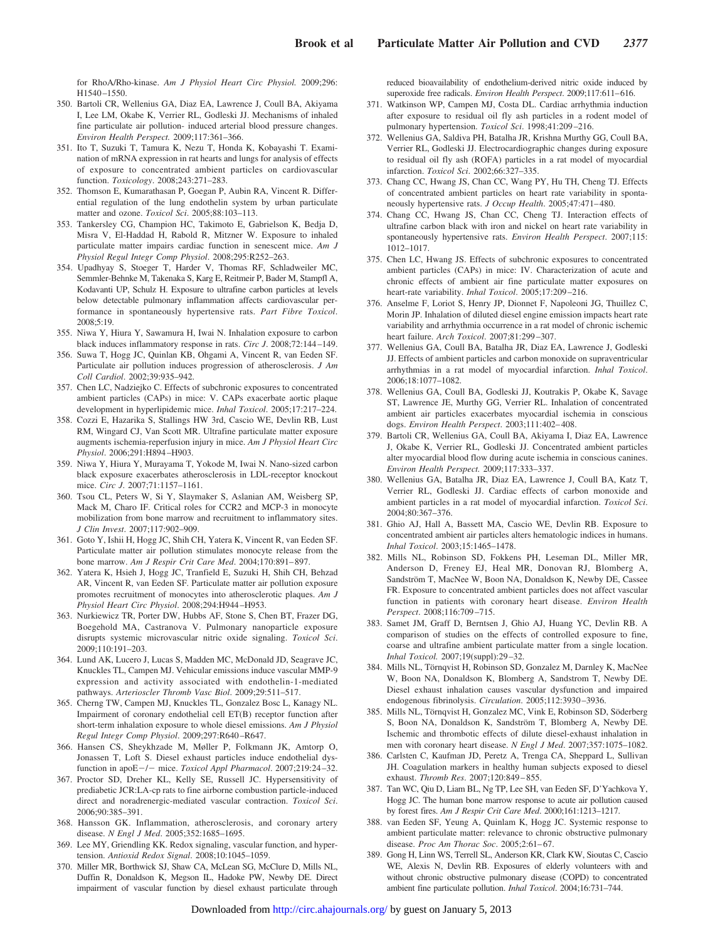for RhoA/Rho-kinase. *Am J Physiol Heart Circ Physiol.* 2009;296: H1540–1550.

- 350. Bartoli CR, Wellenius GA, Diaz EA, Lawrence J, Coull BA, Akiyama I, Lee LM, Okabe K, Verrier RL, Godleski JJ. Mechanisms of inhaled fine particulate air pollution- induced arterial blood pressure changes. *Environ Health Perspect.* 2009;117:361–366.
- 351. Ito T, Suzuki T, Tamura K, Nezu T, Honda K, Kobayashi T. Examination of mRNA expression in rat hearts and lungs for analysis of effects of exposure to concentrated ambient particles on cardiovascular function. *Toxicology*. 2008;243:271–283.
- 352. Thomson E, Kumarathasan P, Goegan P, Aubin RA, Vincent R. Differential regulation of the lung endothelin system by urban particulate matter and ozone. *Toxicol Sci*. 2005;88:103–113.
- 353. Tankersley CG, Champion HC, Takimoto E, Gabrielson K, Bedja D, Misra V, El-Haddad H, Rabold R, Mitzner W. Exposure to inhaled particulate matter impairs cardiac function in senescent mice. *Am J Physiol Regul Integr Comp Physiol*. 2008;295:R252–263.
- 354. Upadhyay S, Stoeger T, Harder V, Thomas RF, Schladweiler MC, Semmler-Behnke M, Takenaka S, Karg E, Reitmeir P, Bader M, Stampfl A, Kodavanti UP, Schulz H. Exposure to ultrafine carbon particles at levels below detectable pulmonary inflammation affects cardiovascular performance in spontaneously hypertensive rats. *Part Fibre Toxicol*. 2008;5:19.
- 355. Niwa Y, Hiura Y, Sawamura H, Iwai N. Inhalation exposure to carbon black induces inflammatory response in rats. *Circ J*. 2008;72:144–149.
- 356. Suwa T, Hogg JC, Quinlan KB, Ohgami A, Vincent R, van Eeden SF. Particulate air pollution induces progression of atherosclerosis. *J Am Coll Cardiol*. 2002;39:935–942.
- 357. Chen LC, Nadziejko C. Effects of subchronic exposures to concentrated ambient particles (CAPs) in mice: V. CAPs exacerbate aortic plaque development in hyperlipidemic mice. *Inhal Toxicol*. 2005;17:217–224.
- 358. Cozzi E, Hazarika S, Stallings HW 3rd, Cascio WE, Devlin RB, Lust RM, Wingard CJ, Van Scott MR. Ultrafine particulate matter exposure augments ischemia-reperfusion injury in mice. *Am J Physiol Heart Circ Physiol*. 2006;291:H894–H903.
- 359. Niwa Y, Hiura Y, Murayama T, Yokode M, Iwai N. Nano-sized carbon black exposure exacerbates atherosclerosis in LDL-receptor knockout mice. *Circ J*. 2007;71:1157–1161.
- 360. Tsou CL, Peters W, Si Y, Slaymaker S, Aslanian AM, Weisberg SP, Mack M, Charo IF. Critical roles for CCR2 and MCP-3 in monocyte mobilization from bone marrow and recruitment to inflammatory sites. *J Clin Invest*. 2007;117:902–909.
- 361. Goto Y, Ishii H, Hogg JC, Shih CH, Yatera K, Vincent R, van Eeden SF. Particulate matter air pollution stimulates monocyte release from the bone marrow. *Am J Respir Crit Care Med*. 2004;170:891–897.
- 362. Yatera K, Hsieh J, Hogg JC, Tranfield E, Suzuki H, Shih CH, Behzad AR, Vincent R, van Eeden SF. Particulate matter air pollution exposure promotes recruitment of monocytes into atherosclerotic plaques. *Am J Physiol Heart Circ Physiol*. 2008;294:H944–H953.
- 363. Nurkiewicz TR, Porter DW, Hubbs AF, Stone S, Chen BT, Frazer DG, Boegehold MA, Castranova V. Pulmonary nanoparticle exposure disrupts systemic microvascular nitric oxide signaling. *Toxicol Sci*. 2009;110:191–203.
- 364. Lund AK, Lucero J, Lucas S, Madden MC, McDonald JD, Seagrave JC, Knuckles TL, Campen MJ. Vehicular emissions induce vascular MMP-9 expression and activity associated with endothelin-1-mediated pathways. *Arterioscler Thromb Vasc Biol*. 2009;29:511–517.
- 365. Cherng TW, Campen MJ, Knuckles TL, Gonzalez Bosc L, Kanagy NL. Impairment of coronary endothelial cell ET(B) receptor function after short-term inhalation exposure to whole diesel emissions. *Am J Physiol Regul Integr Comp Physiol*. 2009;297:R640–R647.
- 366. Hansen CS, Sheykhzade M, Møller P, Folkmann JK, Amtorp O, Jonassen T, Loft S. Diesel exhaust particles induce endothelial dysfunction in apoE-/- mice. *Toxicol Appl Pharmacol*. 2007;219:24-32.
- 367. Proctor SD, Dreher KL, Kelly SE, Russell JC. Hypersensitivity of prediabetic JCR:LA-cp rats to fine airborne combustion particle-induced direct and noradrenergic-mediated vascular contraction. *Toxicol Sci*. 2006;90:385–391.
- 368. Hansson GK. Inflammation, atherosclerosis, and coronary artery disease. *N Engl J Med*. 2005;352:1685–1695.
- 369. Lee MY, Griendling KK. Redox signaling, vascular function, and hypertension. *Antioxid Redox Signal*. 2008;10:1045–1059.
- 370. Miller MR, Borthwick SJ, Shaw CA, McLean SG, McClure D, Mills NL, Duffin R, Donaldson K, Megson IL, Hadoke PW, Newby DE. Direct impairment of vascular function by diesel exhaust particulate through

reduced bioavailability of endothelium-derived nitric oxide induced by superoxide free radicals. *Environ Health Perspect*. 2009;117:611–616.

- 371. Watkinson WP, Campen MJ, Costa DL. Cardiac arrhythmia induction after exposure to residual oil fly ash particles in a rodent model of pulmonary hypertension. *Toxicol Sci*. 1998;41:209–216.
- 372. Wellenius GA, Saldiva PH, Batalha JR, Krishna Murthy GG, Coull BA, Verrier RL, Godleski JJ. Electrocardiographic changes during exposure to residual oil fly ash (ROFA) particles in a rat model of myocardial infarction. *Toxicol Sci*. 2002;66:327–335.
- 373. Chang CC, Hwang JS, Chan CC, Wang PY, Hu TH, Cheng TJ. Effects of concentrated ambient particles on heart rate variability in spontaneously hypertensive rats. *J Occup Health*. 2005;47:471–480.
- 374. Chang CC, Hwang JS, Chan CC, Cheng TJ. Interaction effects of ultrafine carbon black with iron and nickel on heart rate variability in spontaneously hypertensive rats. *Environ Health Perspect*. 2007;115: 1012–1017.
- 375. Chen LC, Hwang JS. Effects of subchronic exposures to concentrated ambient particles (CAPs) in mice: IV. Characterization of acute and chronic effects of ambient air fine particulate matter exposures on heart-rate variability. *Inhal Toxicol*. 2005;17:209–216.
- 376. Anselme F, Loriot S, Henry JP, Dionnet F, Napoleoni JG, Thuillez C, Morin JP. Inhalation of diluted diesel engine emission impacts heart rate variability and arrhythmia occurrence in a rat model of chronic ischemic heart failure. *Arch Toxicol*. 2007;81:299–307.
- 377. Wellenius GA, Coull BA, Batalha JR, Diaz EA, Lawrence J, Godleski JJ. Effects of ambient particles and carbon monoxide on supraventricular arrhythmias in a rat model of myocardial infarction. *Inhal Toxicol*. 2006;18:1077–1082.
- 378. Wellenius GA, Coull BA, Godleski JJ, Koutrakis P, Okabe K, Savage ST, Lawrence JE, Murthy GG, Verrier RL. Inhalation of concentrated ambient air particles exacerbates myocardial ischemia in conscious dogs. *Environ Health Perspect*. 2003;111:402–408.
- 379. Bartoli CR, Wellenius GA, Coull BA, Akiyama I, Diaz EA, Lawrence J, Okabe K, Verrier RL, Godleski JJ. Concentrated ambient particles alter myocardial blood flow during acute ischemia in conscious canines. *Environ Health Perspect.* 2009;117:333–337.
- 380. Wellenius GA, Batalha JR, Diaz EA, Lawrence J, Coull BA, Katz T, Verrier RL, Godleski JJ. Cardiac effects of carbon monoxide and ambient particles in a rat model of myocardial infarction. *Toxicol Sci*. 2004;80:367–376.
- 381. Ghio AJ, Hall A, Bassett MA, Cascio WE, Devlin RB. Exposure to concentrated ambient air particles alters hematologic indices in humans. *Inhal Toxicol*. 2003;15:1465–1478.
- 382. Mills NL, Robinson SD, Fokkens PH, Leseman DL, Miller MR, Anderson D, Freney EJ, Heal MR, Donovan RJ, Blomberg A, Sandström T, MacNee W, Boon NA, Donaldson K, Newby DE, Cassee FR. Exposure to concentrated ambient particles does not affect vascular function in patients with coronary heart disease. *Environ Health Perspect*. 2008;116:709–715.
- 383. Samet JM, Graff D, Berntsen J, Ghio AJ, Huang YC, Devlin RB. A comparison of studies on the effects of controlled exposure to fine, coarse and ultrafine ambient particulate matter from a single location. *Inhal Toxicol.* 2007;19(suppl):29–32.
- 384. Mills NL, Törnqvist H, Robinson SD, Gonzalez M, Darnley K, MacNee W, Boon NA, Donaldson K, Blomberg A, Sandstrom T, Newby DE. Diesel exhaust inhalation causes vascular dysfunction and impaired endogenous fibrinolysis. *Circulation*. 2005;112:3930–3936.
- 385. Mills NL, Törnqvist H, Gonzalez MC, Vink E, Robinson SD, Söderberg S, Boon NA, Donaldson K, Sandström T, Blomberg A, Newby DE. Ischemic and thrombotic effects of dilute diesel-exhaust inhalation in men with coronary heart disease. *N Engl J Med*. 2007;357:1075–1082.
- 386. Carlsten C, Kaufman JD, Peretz A, Trenga CA, Sheppard L, Sullivan JH. Coagulation markers in healthy human subjects exposed to diesel exhaust. *Thromb Res*. 2007;120:849–855.
- 387. Tan WC, Qiu D, Liam BL, Ng TP, Lee SH, van Eeden SF, D'Yachkova Y, Hogg JC. The human bone marrow response to acute air pollution caused by forest fires. *Am J Respir Crit Care Med*. 2000;161:1213–1217.
- 388. van Eeden SF, Yeung A, Quinlam K, Hogg JC. Systemic response to ambient particulate matter: relevance to chronic obstructive pulmonary disease. *Proc Am Thorac Soc*. 2005;2:61–67.
- 389. Gong H, Linn WS, Terrell SL, Anderson KR, Clark KW, Sioutas C, Cascio WE, Alexis N, Devlin RB. Exposures of elderly volunteers with and without chronic obstructive pulmonary disease (COPD) to concentrated ambient fine particulate pollution. *Inhal Toxicol*. 2004;16:731–744.